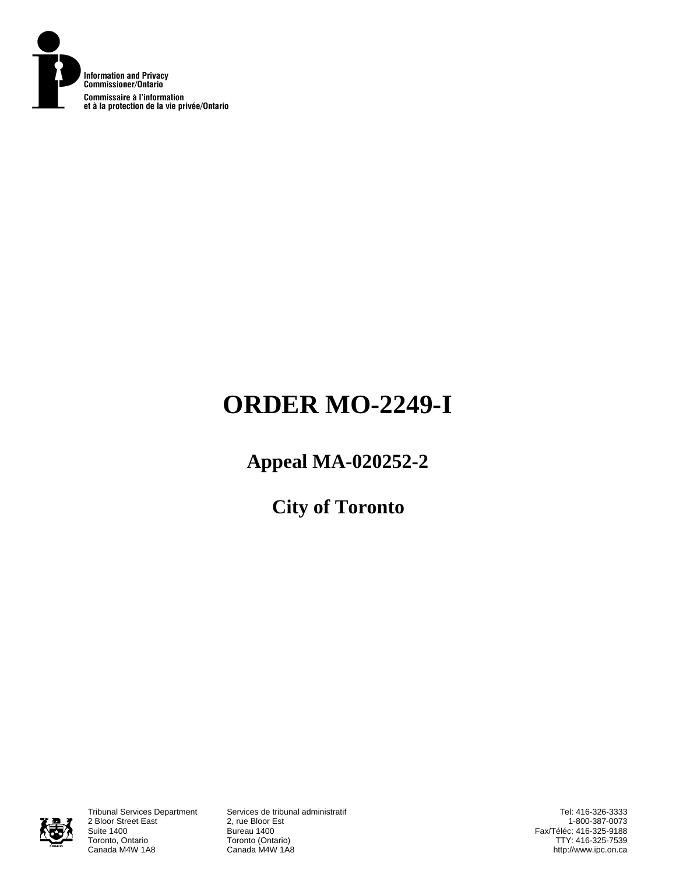

# **ORDER MO-2249-I**

# **Appeal MA-020252-2**

**City of Toronto** 



2 Bloor Street East<br>Suite 1400 Suite 1400<br>
Toronto, Ontario<br>
Toronto (Onta Toronto, Ontario **Toronto (Ontario)**<br>Canada M4W 1A8 **Canada M4W 1A8** 

Tribunal Services Department Services de tribunal administratif Canada M4W 1A8

Tel: 416-326-3333 1-800-387-0073 Fax/Téléc: 416-325-9188 TTY: 416-325-7539 http://www.ipc.on.ca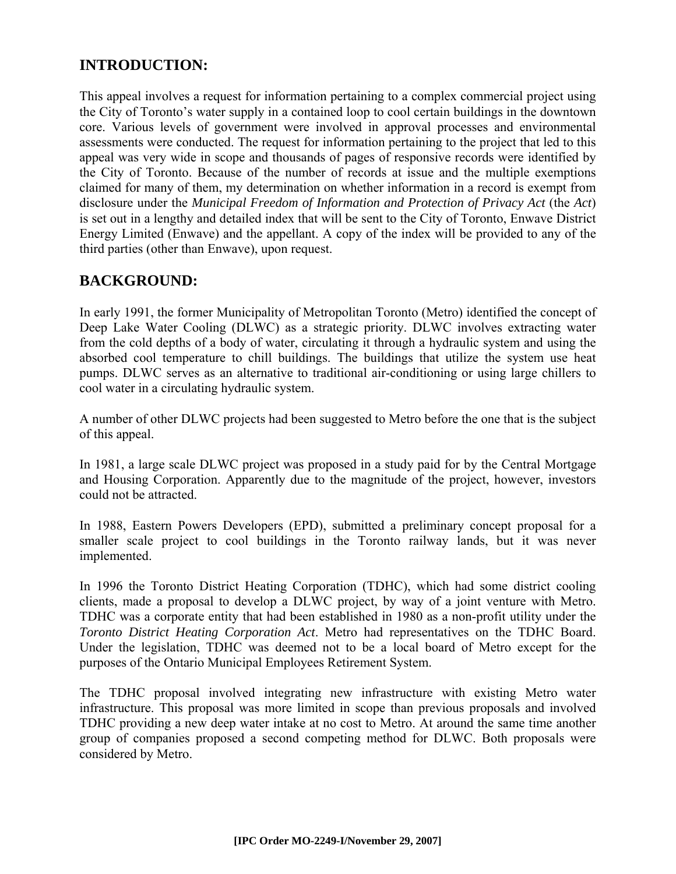# **INTRODUCTION:**

This appeal involves a request for information pertaining to a complex commercial project using the City of Toronto's water supply in a contained loop to cool certain buildings in the downtown core. Various levels of government were involved in approval processes and environmental assessments were conducted. The request for information pertaining to the project that led to this appeal was very wide in scope and thousands of pages of responsive records were identified by the City of Toronto. Because of the number of records at issue and the multiple exemptions claimed for many of them, my determination on whether information in a record is exempt from disclosure under the *Municipal Freedom of Information and Protection of Privacy Act* (the *Act*) is set out in a lengthy and detailed index that will be sent to the City of Toronto, Enwave District Energy Limited (Enwave) and the appellant. A copy of the index will be provided to any of the third parties (other than Enwave), upon request.

## **BACKGROUND:**

In early 1991, the former Municipality of Metropolitan Toronto (Metro) identified the concept of Deep Lake Water Cooling (DLWC) as a strategic priority. DLWC involves extracting water from the cold depths of a body of water, circulating it through a hydraulic system and using the absorbed cool temperature to chill buildings. The buildings that utilize the system use heat pumps. DLWC serves as an alternative to traditional air-conditioning or using large chillers to cool water in a circulating hydraulic system.

A number of other DLWC projects had been suggested to Metro before the one that is the subject of this appeal.

In 1981, a large scale DLWC project was proposed in a study paid for by the Central Mortgage and Housing Corporation. Apparently due to the magnitude of the project, however, investors could not be attracted.

In 1988, Eastern Powers Developers (EPD), submitted a preliminary concept proposal for a smaller scale project to cool buildings in the Toronto railway lands, but it was never implemented.

In 1996 the Toronto District Heating Corporation (TDHC), which had some district cooling clients, made a proposal to develop a DLWC project, by way of a joint venture with Metro. TDHC was a corporate entity that had been established in 1980 as a non-profit utility under the *Toronto District Heating Corporation Act*. Metro had representatives on the TDHC Board. Under the legislation, TDHC was deemed not to be a local board of Metro except for the purposes of the Ontario Municipal Employees Retirement System.

The TDHC proposal involved integrating new infrastructure with existing Metro water infrastructure. This proposal was more limited in scope than previous proposals and involved TDHC providing a new deep water intake at no cost to Metro. At around the same time another group of companies proposed a second competing method for DLWC. Both proposals were considered by Metro.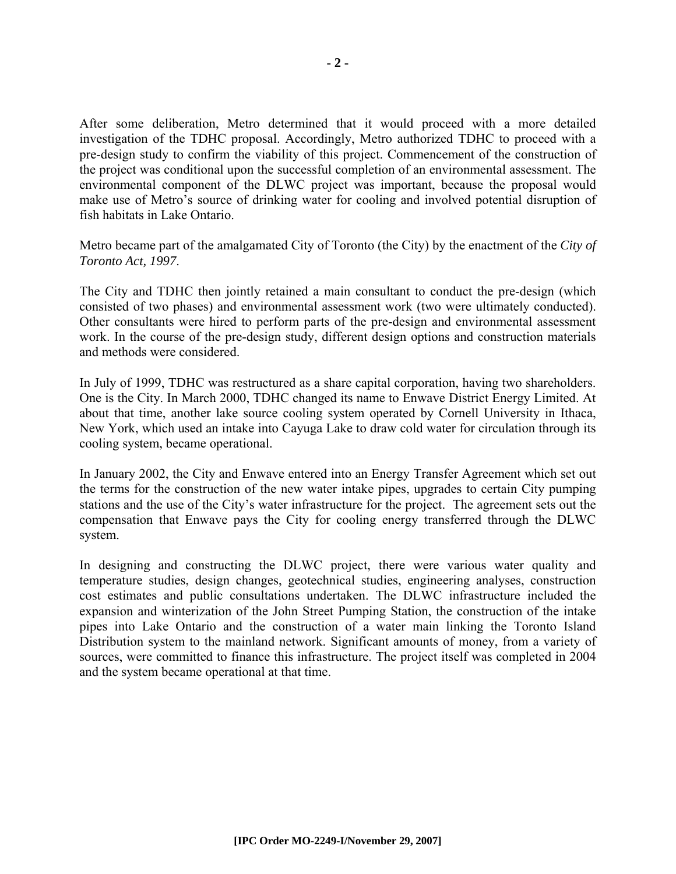After some deliberation, Metro determined that it would proceed with a more detailed investigation of the TDHC proposal. Accordingly, Metro authorized TDHC to proceed with a pre-design study to confirm the viability of this project. Commencement of the construction of the project was conditional upon the successful completion of an environmental assessment. The environmental component of the DLWC project was important, because the proposal would make use of Metro's source of drinking water for cooling and involved potential disruption of fish habitats in Lake Ontario.

Metro became part of the amalgamated City of Toronto (the City) by the enactment of the *City of Toronto Act, 1997*.

The City and TDHC then jointly retained a main consultant to conduct the pre-design (which consisted of two phases) and environmental assessment work (two were ultimately conducted). Other consultants were hired to perform parts of the pre-design and environmental assessment work. In the course of the pre-design study, different design options and construction materials and methods were considered.

In July of 1999, TDHC was restructured as a share capital corporation, having two shareholders. One is the City. In March 2000, TDHC changed its name to Enwave District Energy Limited. At about that time, another lake source cooling system operated by Cornell University in Ithaca, New York, which used an intake into Cayuga Lake to draw cold water for circulation through its cooling system, became operational.

In January 2002, the City and Enwave entered into an Energy Transfer Agreement which set out the terms for the construction of the new water intake pipes, upgrades to certain City pumping stations and the use of the City's water infrastructure for the project. The agreement sets out the compensation that Enwave pays the City for cooling energy transferred through the DLWC system.

In designing and constructing the DLWC project, there were various water quality and temperature studies, design changes, geotechnical studies, engineering analyses, construction cost estimates and public consultations undertaken. The DLWC infrastructure included the expansion and winterization of the John Street Pumping Station, the construction of the intake pipes into Lake Ontario and the construction of a water main linking the Toronto Island Distribution system to the mainland network. Significant amounts of money, from a variety of sources, were committed to finance this infrastructure. The project itself was completed in 2004 and the system became operational at that time.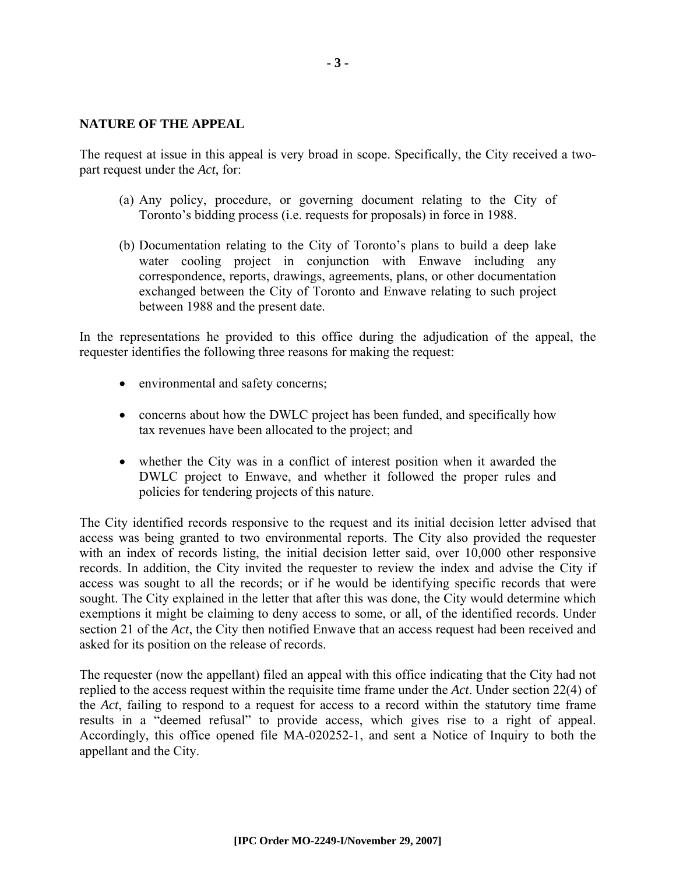#### **NATURE OF THE APPEAL**

The request at issue in this appeal is very broad in scope. Specifically, the City received a twopart request under the *Act*, for:

- (a) Any policy, procedure, or governing document relating to the City of Toronto's bidding process (i.e. requests for proposals) in force in 1988.
- (b) Documentation relating to the City of Toronto's plans to build a deep lake water cooling project in conjunction with Enwave including any correspondence, reports, drawings, agreements, plans, or other documentation exchanged between the City of Toronto and Enwave relating to such project between 1988 and the present date.

In the representations he provided to this office during the adjudication of the appeal, the requester identifies the following three reasons for making the request:

- environmental and safety concerns;
- concerns about how the DWLC project has been funded, and specifically how tax revenues have been allocated to the project; and
- whether the City was in a conflict of interest position when it awarded the DWLC project to Enwave, and whether it followed the proper rules and policies for tendering projects of this nature.

The City identified records responsive to the request and its initial decision letter advised that access was being granted to two environmental reports. The City also provided the requester with an index of records listing, the initial decision letter said, over 10,000 other responsive records. In addition, the City invited the requester to review the index and advise the City if access was sought to all the records; or if he would be identifying specific records that were sought. The City explained in the letter that after this was done, the City would determine which exemptions it might be claiming to deny access to some, or all, of the identified records. Under section 21 of the *Act*, the City then notified Enwave that an access request had been received and asked for its position on the release of records.

The requester (now the appellant) filed an appeal with this office indicating that the City had not replied to the access request within the requisite time frame under the *Act*. Under section 22(4) of the *Act*, failing to respond to a request for access to a record within the statutory time frame results in a "deemed refusal" to provide access, which gives rise to a right of appeal. Accordingly, this office opened file MA-020252-1, and sent a Notice of Inquiry to both the appellant and the City.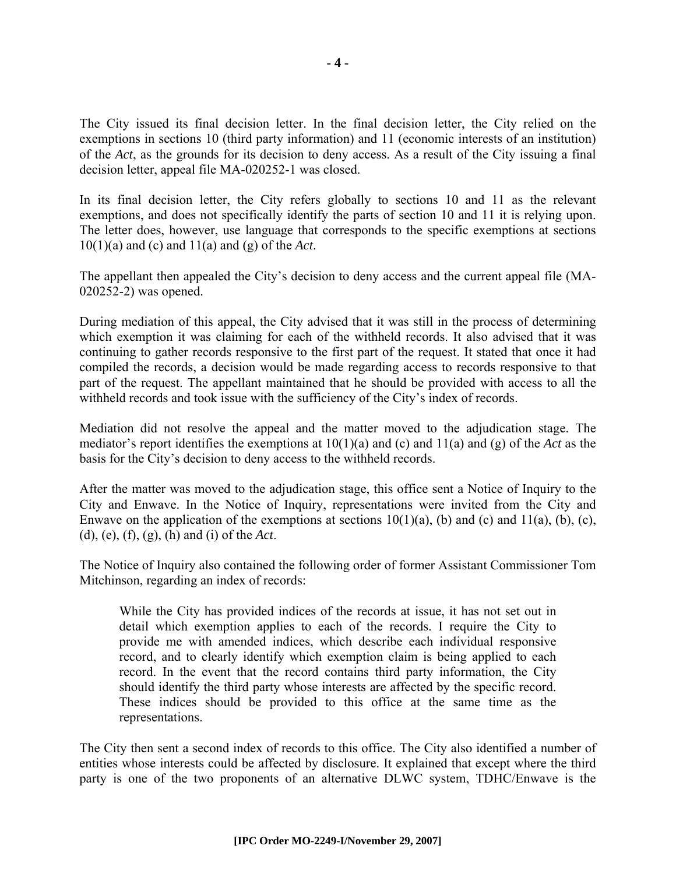The City issued its final decision letter. In the final decision letter, the City relied on the exemptions in sections 10 (third party information) and 11 (economic interests of an institution) of the *Act*, as the grounds for its decision to deny access. As a result of the City issuing a final decision letter, appeal file MA-020252-1 was closed.

In its final decision letter, the City refers globally to sections 10 and 11 as the relevant exemptions, and does not specifically identify the parts of section 10 and 11 it is relying upon. The letter does, however, use language that corresponds to the specific exemptions at sections 10(1)(a) and (c) and 11(a) and (g) of the *Act*.

The appellant then appealed the City's decision to deny access and the current appeal file (MA-020252-2) was opened.

During mediation of this appeal, the City advised that it was still in the process of determining which exemption it was claiming for each of the withheld records. It also advised that it was continuing to gather records responsive to the first part of the request. It stated that once it had compiled the records, a decision would be made regarding access to records responsive to that part of the request. The appellant maintained that he should be provided with access to all the withheld records and took issue with the sufficiency of the City's index of records.

Mediation did not resolve the appeal and the matter moved to the adjudication stage. The mediator's report identifies the exemptions at 10(1)(a) and (c) and 11(a) and (g) of the *Act* as the basis for the City's decision to deny access to the withheld records.

After the matter was moved to the adjudication stage, this office sent a Notice of Inquiry to the City and Enwave. In the Notice of Inquiry, representations were invited from the City and Enwave on the application of the exemptions at sections  $10(1)(a)$ , (b) and (c) and  $11(a)$ , (b), (c), (d), (e), (f), (g), (h) and (i) of the *Act*.

The Notice of Inquiry also contained the following order of former Assistant Commissioner Tom Mitchinson, regarding an index of records:

While the City has provided indices of the records at issue, it has not set out in detail which exemption applies to each of the records. I require the City to provide me with amended indices, which describe each individual responsive record, and to clearly identify which exemption claim is being applied to each record. In the event that the record contains third party information, the City should identify the third party whose interests are affected by the specific record. These indices should be provided to this office at the same time as the representations.

The City then sent a second index of records to this office. The City also identified a number of entities whose interests could be affected by disclosure. It explained that except where the third party is one of the two proponents of an alternative DLWC system, TDHC/Enwave is the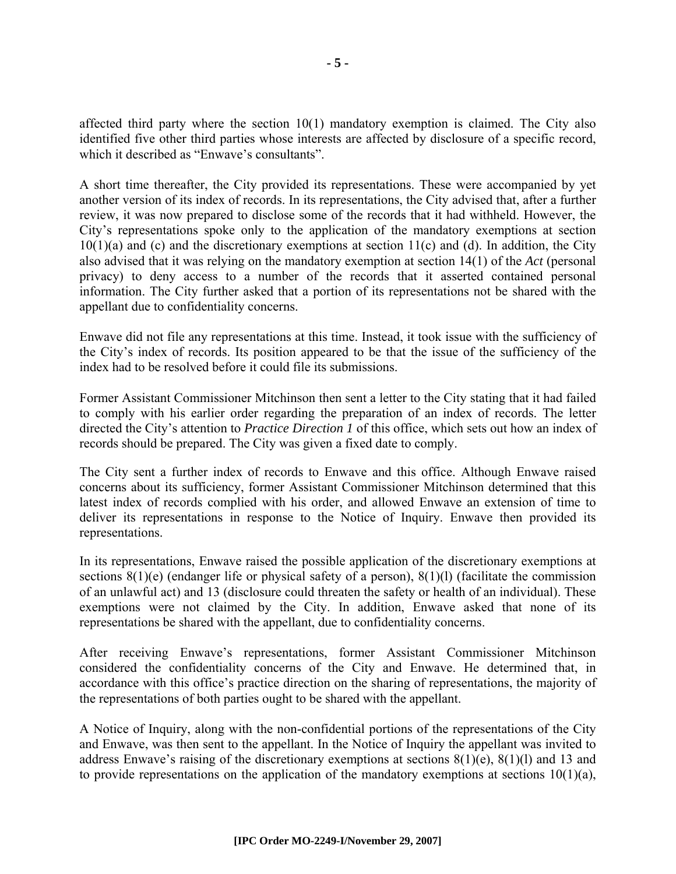affected third party where the section  $10(1)$  mandatory exemption is claimed. The City also identified five other third parties whose interests are affected by disclosure of a specific record, which it described as "Enwave's consultants".

A short time thereafter, the City provided its representations. These were accompanied by yet another version of its index of records. In its representations, the City advised that, after a further review, it was now prepared to disclose some of the records that it had withheld. However, the City's representations spoke only to the application of the mandatory exemptions at section  $10(1)(a)$  and (c) and the discretionary exemptions at section  $11(c)$  and (d). In addition, the City also advised that it was relying on the mandatory exemption at section 14(1) of the *Act* (personal privacy) to deny access to a number of the records that it asserted contained personal information. The City further asked that a portion of its representations not be shared with the appellant due to confidentiality concerns.

Enwave did not file any representations at this time. Instead, it took issue with the sufficiency of the City's index of records. Its position appeared to be that the issue of the sufficiency of the index had to be resolved before it could file its submissions.

Former Assistant Commissioner Mitchinson then sent a letter to the City stating that it had failed to comply with his earlier order regarding the preparation of an index of records. The letter directed the City's attention to *Practice Direction 1* of this office, which sets out how an index of records should be prepared. The City was given a fixed date to comply.

The City sent a further index of records to Enwave and this office. Although Enwave raised concerns about its sufficiency, former Assistant Commissioner Mitchinson determined that this latest index of records complied with his order, and allowed Enwave an extension of time to deliver its representations in response to the Notice of Inquiry. Enwave then provided its representations.

In its representations, Enwave raised the possible application of the discretionary exemptions at sections 8(1)(e) (endanger life or physical safety of a person), 8(1)(1) (facilitate the commission of an unlawful act) and 13 (disclosure could threaten the safety or health of an individual). These exemptions were not claimed by the City. In addition, Enwave asked that none of its representations be shared with the appellant, due to confidentiality concerns.

After receiving Enwave's representations, former Assistant Commissioner Mitchinson considered the confidentiality concerns of the City and Enwave. He determined that, in accordance with this office's practice direction on the sharing of representations, the majority of the representations of both parties ought to be shared with the appellant.

A Notice of Inquiry, along with the non-confidential portions of the representations of the City and Enwave, was then sent to the appellant. In the Notice of Inquiry the appellant was invited to address Enwave's raising of the discretionary exemptions at sections 8(1)(e), 8(1)(l) and 13 and to provide representations on the application of the mandatory exemptions at sections  $10(1)(a)$ ,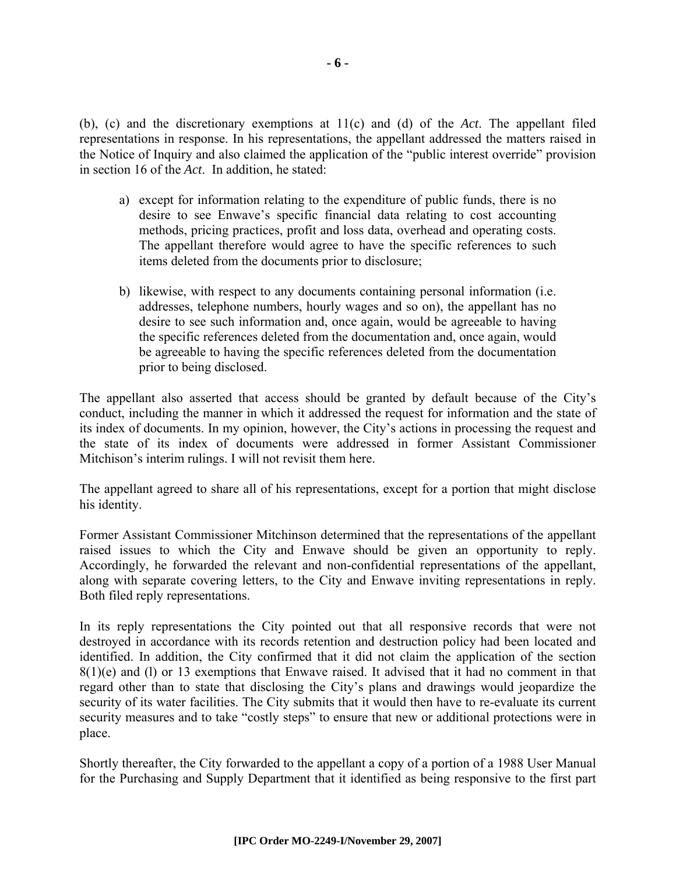(b), (c) and the discretionary exemptions at 11(c) and (d) of the *Act*. The appellant filed representations in response. In his representations, the appellant addressed the matters raised in the Notice of Inquiry and also claimed the application of the "public interest override" provision in section 16 of the *Act*. In addition, he stated:

- a) except for information relating to the expenditure of public funds, there is no desire to see Enwave's specific financial data relating to cost accounting methods, pricing practices, profit and loss data, overhead and operating costs. The appellant therefore would agree to have the specific references to such items deleted from the documents prior to disclosure;
- b) likewise, with respect to any documents containing personal information (i.e. addresses, telephone numbers, hourly wages and so on), the appellant has no desire to see such information and, once again, would be agreeable to having the specific references deleted from the documentation and, once again, would be agreeable to having the specific references deleted from the documentation prior to being disclosed.

The appellant also asserted that access should be granted by default because of the City's conduct, including the manner in which it addressed the request for information and the state of its index of documents. In my opinion, however, the City's actions in processing the request and the state of its index of documents were addressed in former Assistant Commissioner Mitchison's interim rulings. I will not revisit them here.

The appellant agreed to share all of his representations, except for a portion that might disclose his identity.

Former Assistant Commissioner Mitchinson determined that the representations of the appellant raised issues to which the City and Enwave should be given an opportunity to reply. Accordingly, he forwarded the relevant and non-confidential representations of the appellant, along with separate covering letters, to the City and Enwave inviting representations in reply. Both filed reply representations.

In its reply representations the City pointed out that all responsive records that were not destroyed in accordance with its records retention and destruction policy had been located and identified. In addition, the City confirmed that it did not claim the application of the section 8(1)(e) and (l) or 13 exemptions that Enwave raised. It advised that it had no comment in that regard other than to state that disclosing the City's plans and drawings would jeopardize the security of its water facilities. The City submits that it would then have to re-evaluate its current security measures and to take "costly steps" to ensure that new or additional protections were in place.

Shortly thereafter, the City forwarded to the appellant a copy of a portion of a 1988 User Manual for the Purchasing and Supply Department that it identified as being responsive to the first part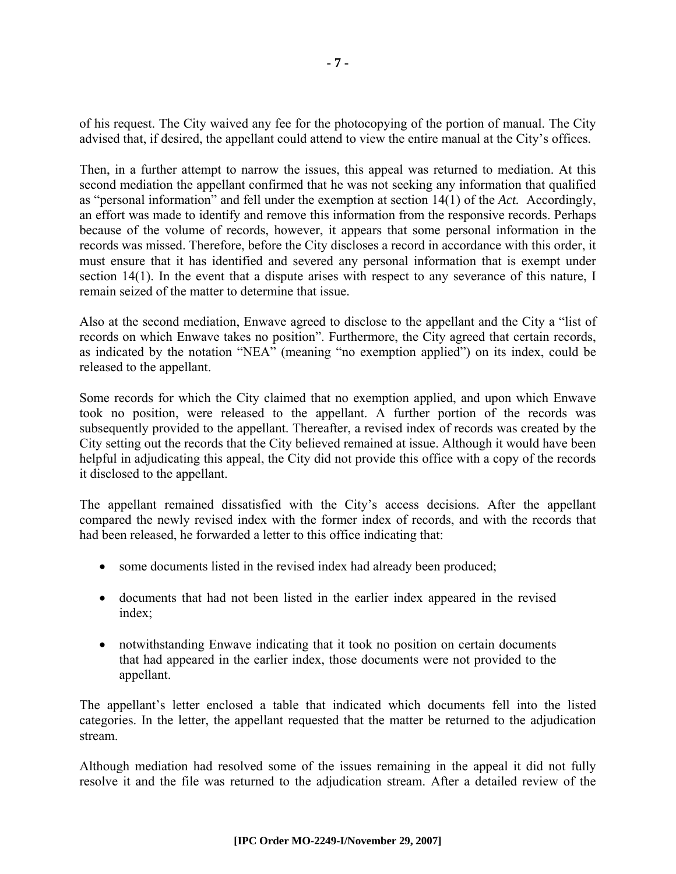of his request. The City waived any fee for the photocopying of the portion of manual. The City advised that, if desired, the appellant could attend to view the entire manual at the City's offices.

Then, in a further attempt to narrow the issues, this appeal was returned to mediation. At this second mediation the appellant confirmed that he was not seeking any information that qualified as "personal information" and fell under the exemption at section 14(1) of the *Act.* Accordingly, an effort was made to identify and remove this information from the responsive records. Perhaps because of the volume of records, however, it appears that some personal information in the records was missed. Therefore, before the City discloses a record in accordance with this order, it must ensure that it has identified and severed any personal information that is exempt under section 14(1). In the event that a dispute arises with respect to any severance of this nature, I remain seized of the matter to determine that issue.

Also at the second mediation, Enwave agreed to disclose to the appellant and the City a "list of records on which Enwave takes no position". Furthermore, the City agreed that certain records, as indicated by the notation "NEA" (meaning "no exemption applied") on its index, could be released to the appellant.

Some records for which the City claimed that no exemption applied, and upon which Enwave took no position, were released to the appellant. A further portion of the records was subsequently provided to the appellant. Thereafter, a revised index of records was created by the City setting out the records that the City believed remained at issue. Although it would have been helpful in adjudicating this appeal, the City did not provide this office with a copy of the records it disclosed to the appellant.

The appellant remained dissatisfied with the City's access decisions. After the appellant compared the newly revised index with the former index of records, and with the records that had been released, he forwarded a letter to this office indicating that:

- some documents listed in the revised index had already been produced;
- documents that had not been listed in the earlier index appeared in the revised index;
- notwithstanding Enwave indicating that it took no position on certain documents that had appeared in the earlier index, those documents were not provided to the appellant.

The appellant's letter enclosed a table that indicated which documents fell into the listed categories. In the letter, the appellant requested that the matter be returned to the adjudication stream.

Although mediation had resolved some of the issues remaining in the appeal it did not fully resolve it and the file was returned to the adjudication stream. After a detailed review of the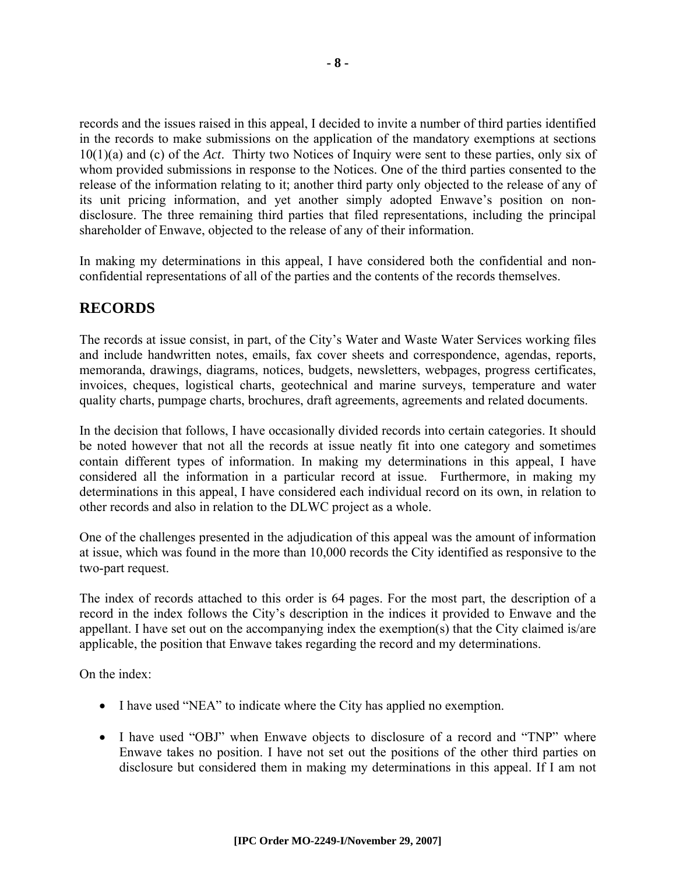records and the issues raised in this appeal, I decided to invite a number of third parties identified in the records to make submissions on the application of the mandatory exemptions at sections 10(1)(a) and (c) of the *Act*. Thirty two Notices of Inquiry were sent to these parties, only six of whom provided submissions in response to the Notices. One of the third parties consented to the release of the information relating to it; another third party only objected to the release of any of its unit pricing information, and yet another simply adopted Enwave's position on nondisclosure. The three remaining third parties that filed representations, including the principal shareholder of Enwave, objected to the release of any of their information.

In making my determinations in this appeal, I have considered both the confidential and nonconfidential representations of all of the parties and the contents of the records themselves.

### **RECORDS**

The records at issue consist, in part, of the City's Water and Waste Water Services working files and include handwritten notes, emails, fax cover sheets and correspondence, agendas, reports, memoranda, drawings, diagrams, notices, budgets, newsletters, webpages, progress certificates, invoices, cheques, logistical charts, geotechnical and marine surveys, temperature and water quality charts, pumpage charts, brochures, draft agreements, agreements and related documents.

In the decision that follows, I have occasionally divided records into certain categories. It should be noted however that not all the records at issue neatly fit into one category and sometimes contain different types of information. In making my determinations in this appeal, I have considered all the information in a particular record at issue. Furthermore, in making my determinations in this appeal, I have considered each individual record on its own, in relation to other records and also in relation to the DLWC project as a whole.

One of the challenges presented in the adjudication of this appeal was the amount of information at issue, which was found in the more than 10,000 records the City identified as responsive to the two-part request.

The index of records attached to this order is 64 pages. For the most part, the description of a record in the index follows the City's description in the indices it provided to Enwave and the appellant. I have set out on the accompanying index the exemption(s) that the City claimed is/are applicable, the position that Enwave takes regarding the record and my determinations.

On the index:

- I have used "NEA" to indicate where the City has applied no exemption.
- I have used "OBJ" when Enwave objects to disclosure of a record and "TNP" where Enwave takes no position. I have not set out the positions of the other third parties on disclosure but considered them in making my determinations in this appeal. If I am not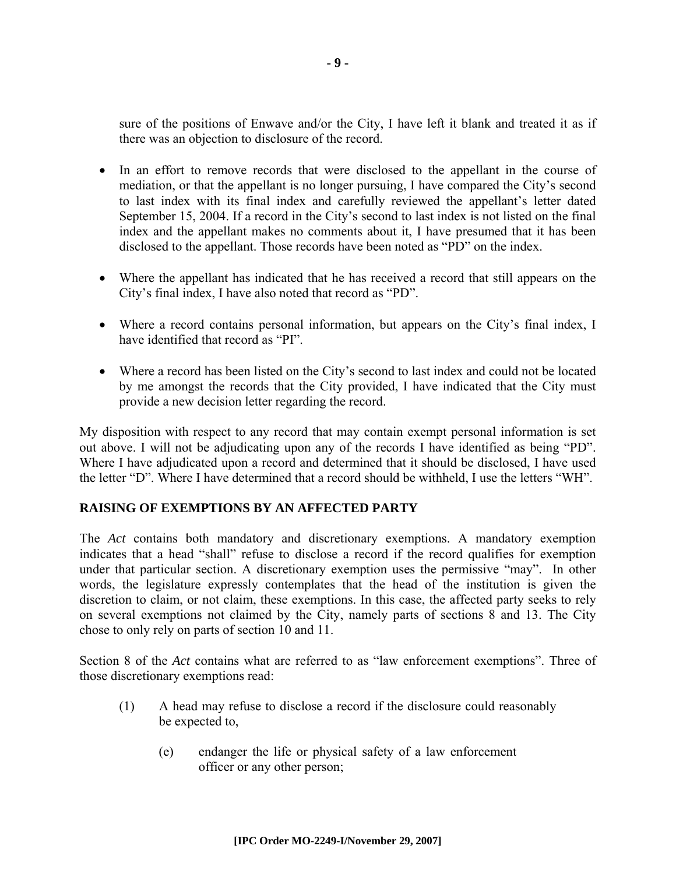sure of the positions of Enwave and/or the City, I have left it blank and treated it as if there was an objection to disclosure of the record.

- In an effort to remove records that were disclosed to the appellant in the course of mediation, or that the appellant is no longer pursuing, I have compared the City's second to last index with its final index and carefully reviewed the appellant's letter dated September 15, 2004. If a record in the City's second to last index is not listed on the final index and the appellant makes no comments about it, I have presumed that it has been disclosed to the appellant. Those records have been noted as "PD" on the index.
- Where the appellant has indicated that he has received a record that still appears on the City's final index, I have also noted that record as "PD".
- Where a record contains personal information, but appears on the City's final index, I have identified that record as "PI".
- Where a record has been listed on the City's second to last index and could not be located by me amongst the records that the City provided, I have indicated that the City must provide a new decision letter regarding the record.

My disposition with respect to any record that may contain exempt personal information is set out above. I will not be adjudicating upon any of the records I have identified as being "PD". Where I have adjudicated upon a record and determined that it should be disclosed, I have used the letter "D". Where I have determined that a record should be withheld, I use the letters "WH".

#### **RAISING OF EXEMPTIONS BY AN AFFECTED PARTY**

The *Act* contains both mandatory and discretionary exemptions. A mandatory exemption indicates that a head "shall" refuse to disclose a record if the record qualifies for exemption under that particular section. A discretionary exemption uses the permissive "may". In other words, the legislature expressly contemplates that the head of the institution is given the discretion to claim, or not claim, these exemptions. In this case, the affected party seeks to rely on several exemptions not claimed by the City, namely parts of sections 8 and 13. The City chose to only rely on parts of section 10 and 11.

Section 8 of the *Act* contains what are referred to as "law enforcement exemptions". Three of those discretionary exemptions read:

- (1) A head may refuse to disclose a record if the disclosure could reasonably be expected to,
	- (e) endanger the life or physical safety of a law enforcement officer or any other person;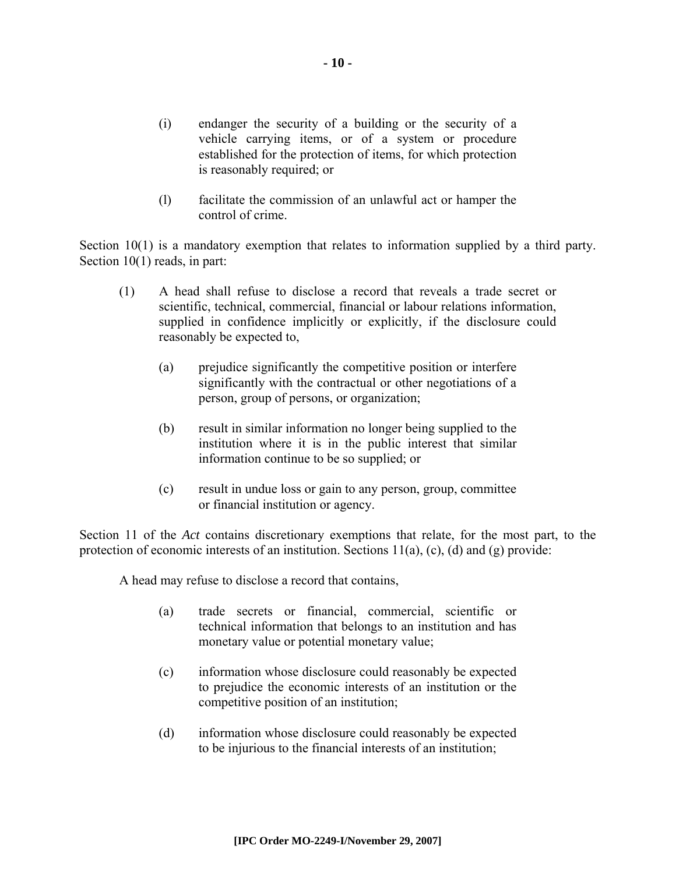- (i) endanger the security of a building or the security of a vehicle carrying items, or of a system or procedure established for the protection of items, for which protection is reasonably required; or
- (l) facilitate the commission of an unlawful act or hamper the control of crime.

Section 10(1) is a mandatory exemption that relates to information supplied by a third party. Section 10(1) reads, in part:

- (1) A head shall refuse to disclose a record that reveals a trade secret or scientific, technical, commercial, financial or labour relations information, supplied in confidence implicitly or explicitly, if the disclosure could reasonably be expected to,
	- (a) prejudice significantly the competitive position or interfere significantly with the contractual or other negotiations of a person, group of persons, or organization;
	- (b) result in similar information no longer being supplied to the institution where it is in the public interest that similar information continue to be so supplied; or
	- (c) result in undue loss or gain to any person, group, committee or financial institution or agency.

Section 11 of the *Act* contains discretionary exemptions that relate, for the most part, to the protection of economic interests of an institution. Sections 11(a), (c), (d) and (g) provide:

A head may refuse to disclose a record that contains,

- (a) trade secrets or financial, commercial, scientific or technical information that belongs to an institution and has monetary value or potential monetary value;
- (c) information whose disclosure could reasonably be expected to prejudice the economic interests of an institution or the competitive position of an institution;
- (d) information whose disclosure could reasonably be expected to be injurious to the financial interests of an institution;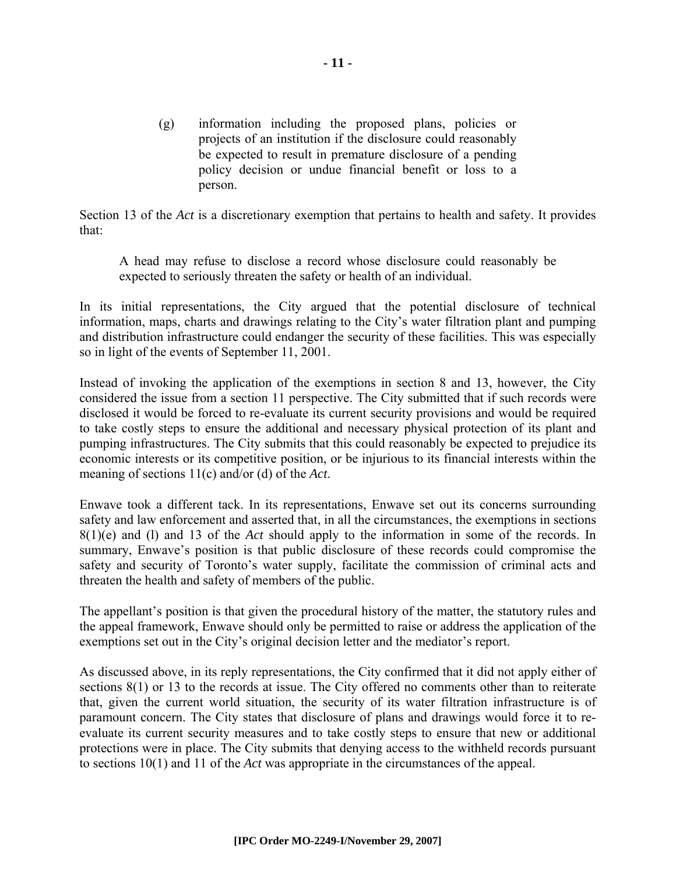(g) information including the proposed plans, policies or projects of an institution if the disclosure could reasonably be expected to result in premature disclosure of a pending policy decision or undue financial benefit or loss to a person.

Section 13 of the *Act* is a discretionary exemption that pertains to health and safety. It provides that:

A head may refuse to disclose a record whose disclosure could reasonably be expected to seriously threaten the safety or health of an individual.

In its initial representations, the City argued that the potential disclosure of technical information, maps, charts and drawings relating to the City's water filtration plant and pumping and distribution infrastructure could endanger the security of these facilities. This was especially so in light of the events of September 11, 2001.

Instead of invoking the application of the exemptions in section 8 and 13, however, the City considered the issue from a section 11 perspective. The City submitted that if such records were disclosed it would be forced to re-evaluate its current security provisions and would be required to take costly steps to ensure the additional and necessary physical protection of its plant and pumping infrastructures. The City submits that this could reasonably be expected to prejudice its economic interests or its competitive position, or be injurious to its financial interests within the meaning of sections 11(c) and/or (d) of the *Act*.

Enwave took a different tack. In its representations, Enwave set out its concerns surrounding safety and law enforcement and asserted that, in all the circumstances, the exemptions in sections 8(1)(e) and (l) and 13 of the *Act* should apply to the information in some of the records. In summary, Enwave's position is that public disclosure of these records could compromise the safety and security of Toronto's water supply, facilitate the commission of criminal acts and threaten the health and safety of members of the public.

The appellant's position is that given the procedural history of the matter, the statutory rules and the appeal framework, Enwave should only be permitted to raise or address the application of the exemptions set out in the City's original decision letter and the mediator's report.

As discussed above, in its reply representations, the City confirmed that it did not apply either of sections 8(1) or 13 to the records at issue. The City offered no comments other than to reiterate that, given the current world situation, the security of its water filtration infrastructure is of paramount concern. The City states that disclosure of plans and drawings would force it to reevaluate its current security measures and to take costly steps to ensure that new or additional protections were in place. The City submits that denying access to the withheld records pursuant to sections 10(1) and 11 of the *Act* was appropriate in the circumstances of the appeal.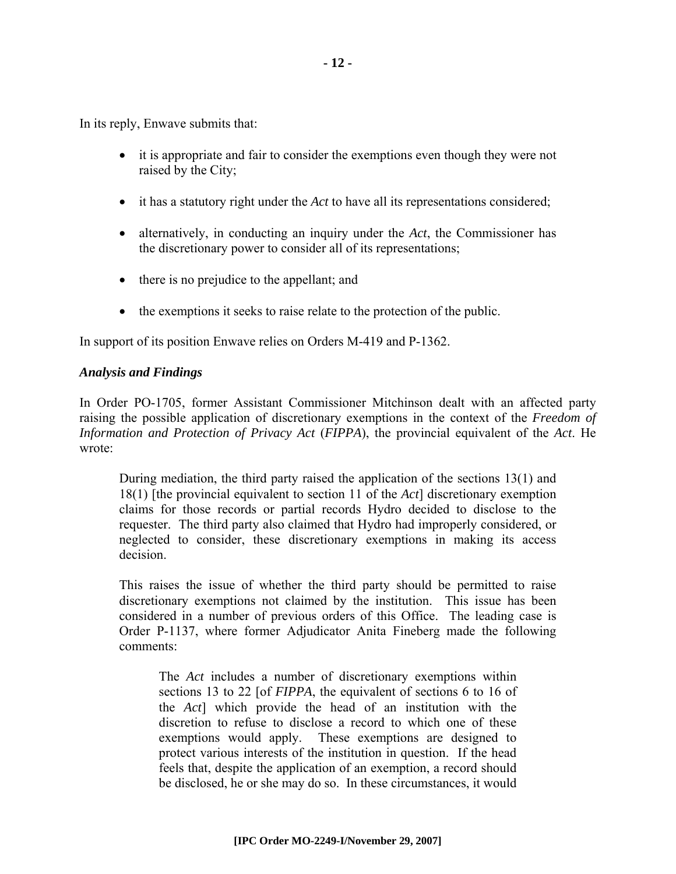In its reply, Enwave submits that:

- it is appropriate and fair to consider the exemptions even though they were not raised by the City;
- it has a statutory right under the *Act* to have all its representations considered;
- alternatively, in conducting an inquiry under the *Act*, the Commissioner has the discretionary power to consider all of its representations;
- there is no prejudice to the appellant; and
- the exemptions it seeks to raise relate to the protection of the public.

In support of its position Enwave relies on Orders M-419 and P-1362.

#### *Analysis and Findings*

In Order PO-1705, former Assistant Commissioner Mitchinson dealt with an affected party raising the possible application of discretionary exemptions in the context of the *Freedom of Information and Protection of Privacy Act* (*FIPPA*), the provincial equivalent of the *Act*. He wrote:

During mediation, the third party raised the application of the sections 13(1) and 18(1) [the provincial equivalent to section 11 of the *Act*] discretionary exemption claims for those records or partial records Hydro decided to disclose to the requester. The third party also claimed that Hydro had improperly considered, or neglected to consider, these discretionary exemptions in making its access decision.

This raises the issue of whether the third party should be permitted to raise discretionary exemptions not claimed by the institution. This issue has been considered in a number of previous orders of this Office. The leading case is Order P-1137, where former Adjudicator Anita Fineberg made the following comments:

The *Act* includes a number of discretionary exemptions within sections 13 to 22 [of *FIPPA*, the equivalent of sections 6 to 16 of the *Act*] which provide the head of an institution with the discretion to refuse to disclose a record to which one of these exemptions would apply. These exemptions are designed to protect various interests of the institution in question. If the head feels that, despite the application of an exemption, a record should be disclosed, he or she may do so. In these circumstances, it would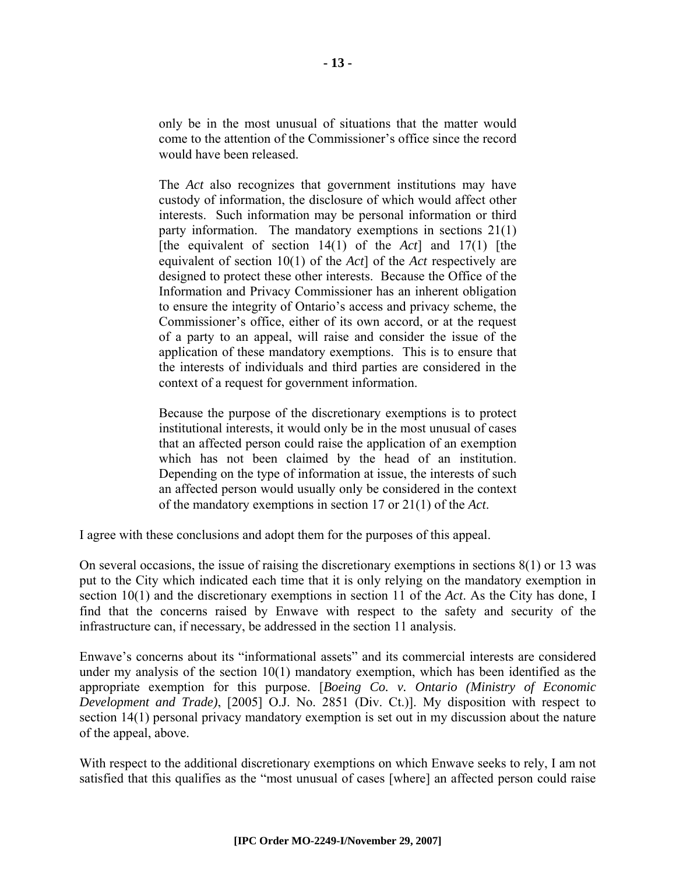only be in the most unusual of situations that the matter would come to the attention of the Commissioner's office since the record would have been released.

The *Act* also recognizes that government institutions may have custody of information, the disclosure of which would affect other interests. Such information may be personal information or third party information. The mandatory exemptions in sections 21(1) [the equivalent of section 14(1) of the *Act*] and 17(1) [the equivalent of section 10(1) of the *Act*] of the *Act* respectively are designed to protect these other interests. Because the Office of the Information and Privacy Commissioner has an inherent obligation to ensure the integrity of Ontario's access and privacy scheme, the Commissioner's office, either of its own accord, or at the request of a party to an appeal, will raise and consider the issue of the application of these mandatory exemptions. This is to ensure that the interests of individuals and third parties are considered in the context of a request for government information.

Because the purpose of the discretionary exemptions is to protect institutional interests, it would only be in the most unusual of cases that an affected person could raise the application of an exemption which has not been claimed by the head of an institution. Depending on the type of information at issue, the interests of such an affected person would usually only be considered in the context of the mandatory exemptions in section 17 or 21(1) of the *Act*.

I agree with these conclusions and adopt them for the purposes of this appeal.

On several occasions, the issue of raising the discretionary exemptions in sections 8(1) or 13 was put to the City which indicated each time that it is only relying on the mandatory exemption in section 10(1) and the discretionary exemptions in section 11 of the *Act*. As the City has done, I find that the concerns raised by Enwave with respect to the safety and security of the infrastructure can, if necessary, be addressed in the section 11 analysis.

Enwave's concerns about its "informational assets" and its commercial interests are considered under my analysis of the section  $10(1)$  mandatory exemption, which has been identified as the appropriate exemption for this purpose. [*Boeing Co. v. Ontario (Ministry of Economic Development and Trade)*, [2005] O.J. No. 2851 (Div. Ct.)]. My disposition with respect to section 14(1) personal privacy mandatory exemption is set out in my discussion about the nature of the appeal, above.

With respect to the additional discretionary exemptions on which Enwave seeks to rely, I am not satisfied that this qualifies as the "most unusual of cases [where] an affected person could raise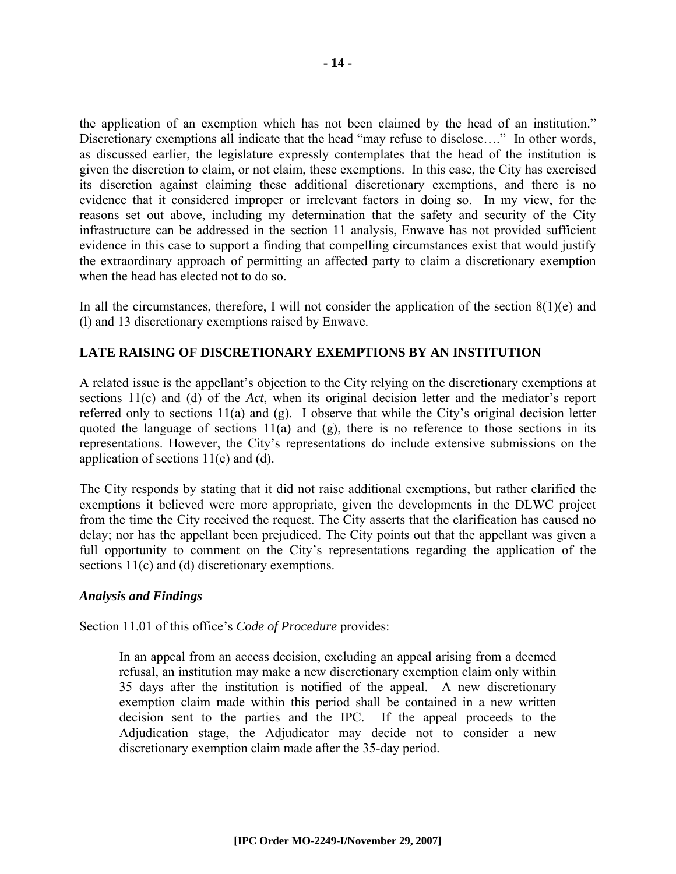the application of an exemption which has not been claimed by the head of an institution." Discretionary exemptions all indicate that the head "may refuse to disclose…." In other words, as discussed earlier, the legislature expressly contemplates that the head of the institution is given the discretion to claim, or not claim, these exemptions. In this case, the City has exercised its discretion against claiming these additional discretionary exemptions, and there is no evidence that it considered improper or irrelevant factors in doing so. In my view, for the reasons set out above, including my determination that the safety and security of the City infrastructure can be addressed in the section 11 analysis, Enwave has not provided sufficient evidence in this case to support a finding that compelling circumstances exist that would justify the extraordinary approach of permitting an affected party to claim a discretionary exemption when the head has elected not to do so.

In all the circumstances, therefore, I will not consider the application of the section  $8(1)(e)$  and (l) and 13 discretionary exemptions raised by Enwave.

#### **LATE RAISING OF DISCRETIONARY EXEMPTIONS BY AN INSTITUTION**

A related issue is the appellant's objection to the City relying on the discretionary exemptions at sections 11(c) and (d) of the *Act*, when its original decision letter and the mediator's report referred only to sections 11(a) and (g). I observe that while the City's original decision letter quoted the language of sections  $11(a)$  and (g), there is no reference to those sections in its representations. However, the City's representations do include extensive submissions on the application of sections 11(c) and (d).

The City responds by stating that it did not raise additional exemptions, but rather clarified the exemptions it believed were more appropriate, given the developments in the DLWC project from the time the City received the request. The City asserts that the clarification has caused no delay; nor has the appellant been prejudiced. The City points out that the appellant was given a full opportunity to comment on the City's representations regarding the application of the sections 11(c) and (d) discretionary exemptions.

#### *Analysis and Findings*

Section 11.01 of this office's *Code of Procedure* provides:

In an appeal from an access decision, excluding an appeal arising from a deemed refusal, an institution may make a new discretionary exemption claim only within 35 days after the institution is notified of the appeal. A new discretionary exemption claim made within this period shall be contained in a new written decision sent to the parties and the IPC. If the appeal proceeds to the Adjudication stage, the Adjudicator may decide not to consider a new discretionary exemption claim made after the 35-day period.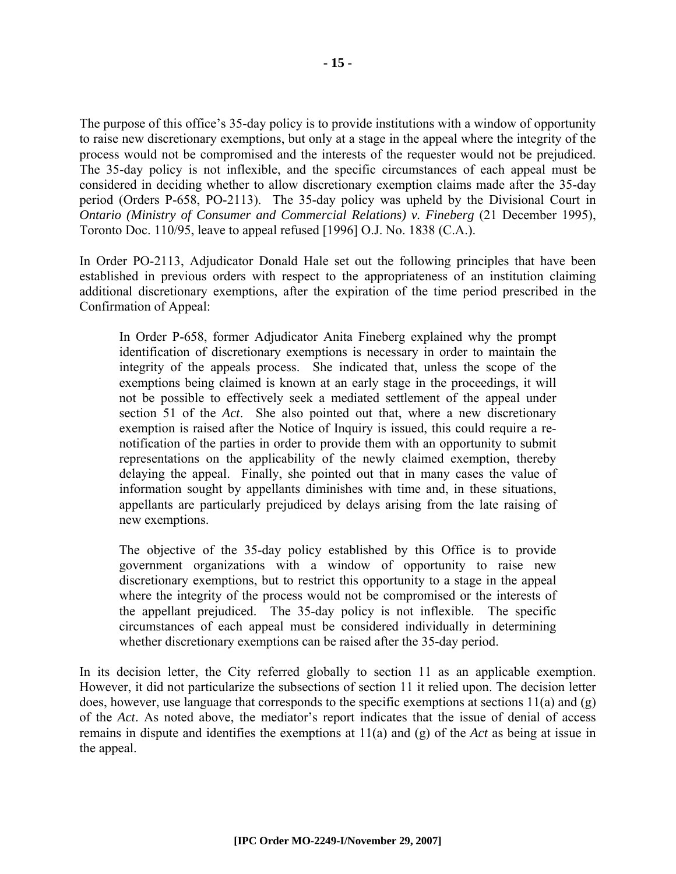The purpose of this office's 35-day policy is to provide institutions with a window of opportunity to raise new discretionary exemptions, but only at a stage in the appeal where the integrity of the process would not be compromised and the interests of the requester would not be prejudiced. The 35-day policy is not inflexible, and the specific circumstances of each appeal must be considered in deciding whether to allow discretionary exemption claims made after the 35-day period (Orders P-658, PO-2113). The 35-day policy was upheld by the Divisional Court in *Ontario (Ministry of Consumer and Commercial Relations) v. Fineberg* (21 December 1995), Toronto Doc. 110/95, leave to appeal refused [1996] O.J. No. 1838 (C.A.).

In Order PO-2113, Adjudicator Donald Hale set out the following principles that have been established in previous orders with respect to the appropriateness of an institution claiming additional discretionary exemptions, after the expiration of the time period prescribed in the Confirmation of Appeal:

In Order P-658, former Adjudicator Anita Fineberg explained why the prompt identification of discretionary exemptions is necessary in order to maintain the integrity of the appeals process. She indicated that, unless the scope of the exemptions being claimed is known at an early stage in the proceedings, it will not be possible to effectively seek a mediated settlement of the appeal under section 51 of the *Act*. She also pointed out that, where a new discretionary exemption is raised after the Notice of Inquiry is issued, this could require a renotification of the parties in order to provide them with an opportunity to submit representations on the applicability of the newly claimed exemption, thereby delaying the appeal. Finally, she pointed out that in many cases the value of information sought by appellants diminishes with time and, in these situations, appellants are particularly prejudiced by delays arising from the late raising of new exemptions.

The objective of the 35-day policy established by this Office is to provide government organizations with a window of opportunity to raise new discretionary exemptions, but to restrict this opportunity to a stage in the appeal where the integrity of the process would not be compromised or the interests of the appellant prejudiced. The 35-day policy is not inflexible. The specific circumstances of each appeal must be considered individually in determining whether discretionary exemptions can be raised after the 35-day period.

In its decision letter, the City referred globally to section 11 as an applicable exemption. However, it did not particularize the subsections of section 11 it relied upon. The decision letter does, however, use language that corresponds to the specific exemptions at sections  $11(a)$  and  $(g)$ of the *Act*. As noted above, the mediator's report indicates that the issue of denial of access remains in dispute and identifies the exemptions at 11(a) and (g) of the *Act* as being at issue in the appeal.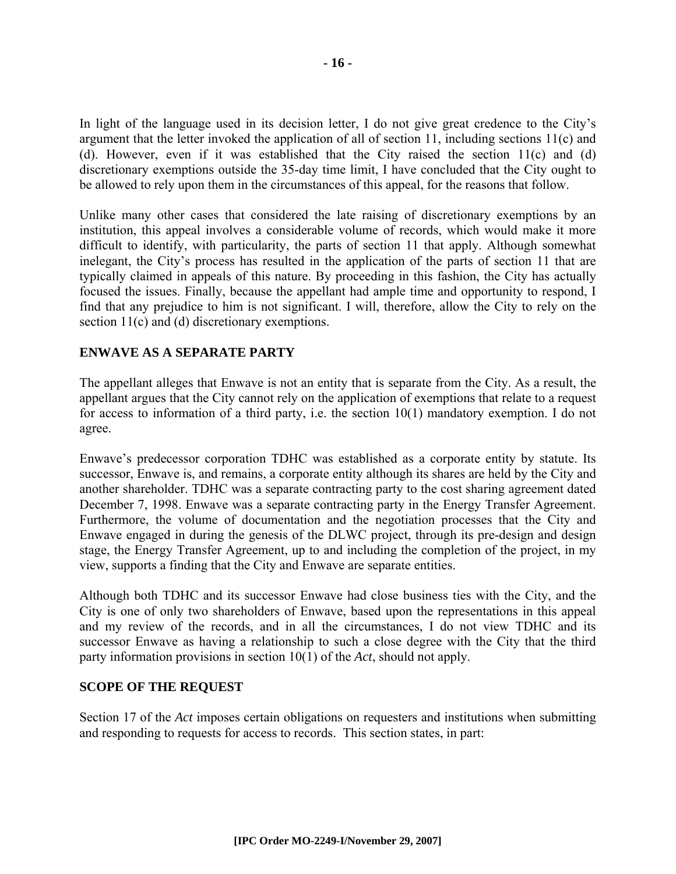In light of the language used in its decision letter, I do not give great credence to the City's argument that the letter invoked the application of all of section 11, including sections 11(c) and (d). However, even if it was established that the City raised the section 11(c) and (d) discretionary exemptions outside the 35-day time limit, I have concluded that the City ought to be allowed to rely upon them in the circumstances of this appeal, for the reasons that follow.

Unlike many other cases that considered the late raising of discretionary exemptions by an institution, this appeal involves a considerable volume of records, which would make it more difficult to identify, with particularity, the parts of section 11 that apply. Although somewhat inelegant, the City's process has resulted in the application of the parts of section 11 that are typically claimed in appeals of this nature. By proceeding in this fashion, the City has actually focused the issues. Finally, because the appellant had ample time and opportunity to respond, I find that any prejudice to him is not significant. I will, therefore, allow the City to rely on the section 11(c) and (d) discretionary exemptions.

#### **ENWAVE AS A SEPARATE PARTY**

The appellant alleges that Enwave is not an entity that is separate from the City. As a result, the appellant argues that the City cannot rely on the application of exemptions that relate to a request for access to information of a third party, i.e. the section 10(1) mandatory exemption. I do not agree.

Enwave's predecessor corporation TDHC was established as a corporate entity by statute. Its successor, Enwave is, and remains, a corporate entity although its shares are held by the City and another shareholder. TDHC was a separate contracting party to the cost sharing agreement dated December 7, 1998. Enwave was a separate contracting party in the Energy Transfer Agreement. Furthermore, the volume of documentation and the negotiation processes that the City and Enwave engaged in during the genesis of the DLWC project, through its pre-design and design stage, the Energy Transfer Agreement, up to and including the completion of the project, in my view, supports a finding that the City and Enwave are separate entities.

Although both TDHC and its successor Enwave had close business ties with the City, and the City is one of only two shareholders of Enwave, based upon the representations in this appeal and my review of the records, and in all the circumstances, I do not view TDHC and its successor Enwave as having a relationship to such a close degree with the City that the third party information provisions in section 10(1) of the *Act*, should not apply.

#### **SCOPE OF THE REQUEST**

Section 17 of the *Act* imposes certain obligations on requesters and institutions when submitting and responding to requests for access to records. This section states, in part: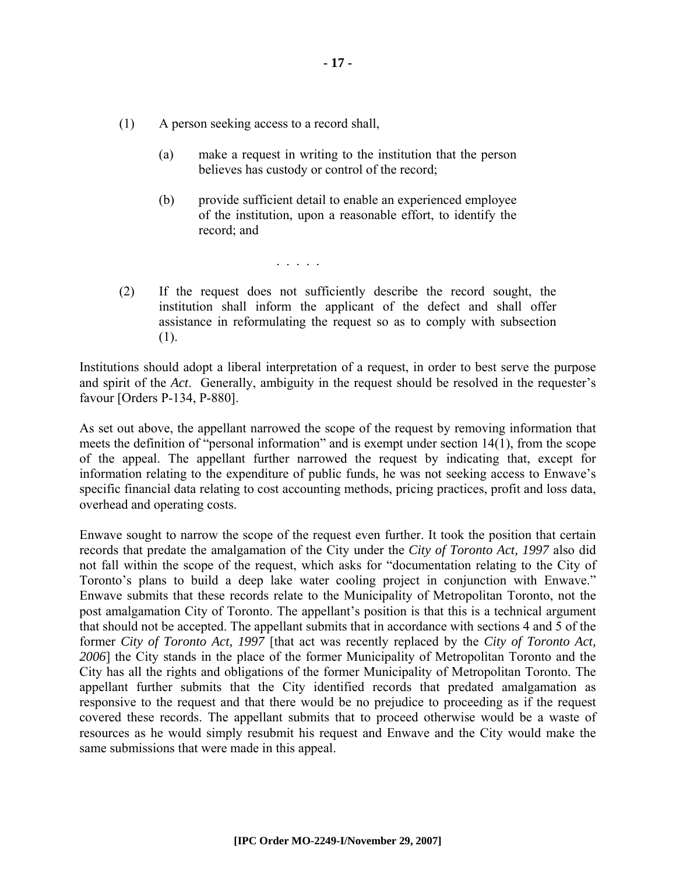- (1) A person seeking access to a record shall,
	- (a) make a request in writing to the institution that the person believes has custody or control of the record;
	- (b) provide sufficient detail to enable an experienced employee of the institution, upon a reasonable effort, to identify the record; and

. . . . .

(2) If the request does not sufficiently describe the record sought, the institution shall inform the applicant of the defect and shall offer assistance in reformulating the request so as to comply with subsection (1).

Institutions should adopt a liberal interpretation of a request, in order to best serve the purpose and spirit of the *Act*. Generally, ambiguity in the request should be resolved in the requester's favour [Orders P-134, P-880].

As set out above, the appellant narrowed the scope of the request by removing information that meets the definition of "personal information" and is exempt under section  $14(1)$ , from the scope of the appeal. The appellant further narrowed the request by indicating that, except for information relating to the expenditure of public funds, he was not seeking access to Enwave's specific financial data relating to cost accounting methods, pricing practices, profit and loss data, overhead and operating costs.

Enwave sought to narrow the scope of the request even further. It took the position that certain records that predate the amalgamation of the City under the *City of Toronto Act, 1997* also did not fall within the scope of the request, which asks for "documentation relating to the City of Toronto's plans to build a deep lake water cooling project in conjunction with Enwave." Enwave submits that these records relate to the Municipality of Metropolitan Toronto, not the post amalgamation City of Toronto. The appellant's position is that this is a technical argument that should not be accepted. The appellant submits that in accordance with sections 4 and 5 of the former *City of Toronto Act, 1997* [that act was recently replaced by the *City of Toronto Act, 2006*] the City stands in the place of the former Municipality of Metropolitan Toronto and the City has all the rights and obligations of the former Municipality of Metropolitan Toronto. The appellant further submits that the City identified records that predated amalgamation as responsive to the request and that there would be no prejudice to proceeding as if the request covered these records. The appellant submits that to proceed otherwise would be a waste of resources as he would simply resubmit his request and Enwave and the City would make the same submissions that were made in this appeal.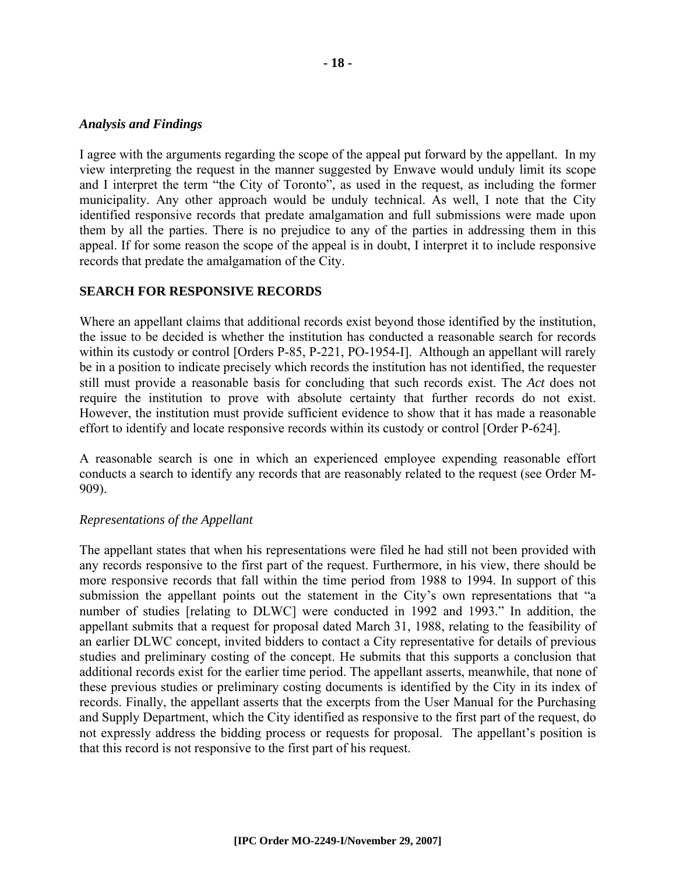#### *Analysis and Findings*

I agree with the arguments regarding the scope of the appeal put forward by the appellant. In my view interpreting the request in the manner suggested by Enwave would unduly limit its scope and I interpret the term "the City of Toronto", as used in the request, as including the former municipality. Any other approach would be unduly technical. As well, I note that the City identified responsive records that predate amalgamation and full submissions were made upon them by all the parties. There is no prejudice to any of the parties in addressing them in this appeal. If for some reason the scope of the appeal is in doubt, I interpret it to include responsive records that predate the amalgamation of the City.

#### **SEARCH FOR RESPONSIVE RECORDS**

Where an appellant claims that additional records exist beyond those identified by the institution, the issue to be decided is whether the institution has conducted a reasonable search for records within its custody or control [Orders P-85, P-221, PO-1954-I]. Although an appellant will rarely be in a position to indicate precisely which records the institution has not identified, the requester still must provide a reasonable basis for concluding that such records exist. The *Act* does not require the institution to prove with absolute certainty that further records do not exist. However, the institution must provide sufficient evidence to show that it has made a reasonable effort to identify and locate responsive records within its custody or control [Order P-624].

A reasonable search is one in which an experienced employee expending reasonable effort conducts a search to identify any records that are reasonably related to the request (see Order M-909).

#### *Representations of the Appellant*

The appellant states that when his representations were filed he had still not been provided with any records responsive to the first part of the request. Furthermore, in his view, there should be more responsive records that fall within the time period from 1988 to 1994. In support of this submission the appellant points out the statement in the City's own representations that "a number of studies [relating to DLWC] were conducted in 1992 and 1993." In addition, the appellant submits that a request for proposal dated March 31, 1988, relating to the feasibility of an earlier DLWC concept, invited bidders to contact a City representative for details of previous studies and preliminary costing of the concept. He submits that this supports a conclusion that additional records exist for the earlier time period. The appellant asserts, meanwhile, that none of these previous studies or preliminary costing documents is identified by the City in its index of records. Finally, the appellant asserts that the excerpts from the User Manual for the Purchasing and Supply Department, which the City identified as responsive to the first part of the request, do not expressly address the bidding process or requests for proposal. The appellant's position is that this record is not responsive to the first part of his request.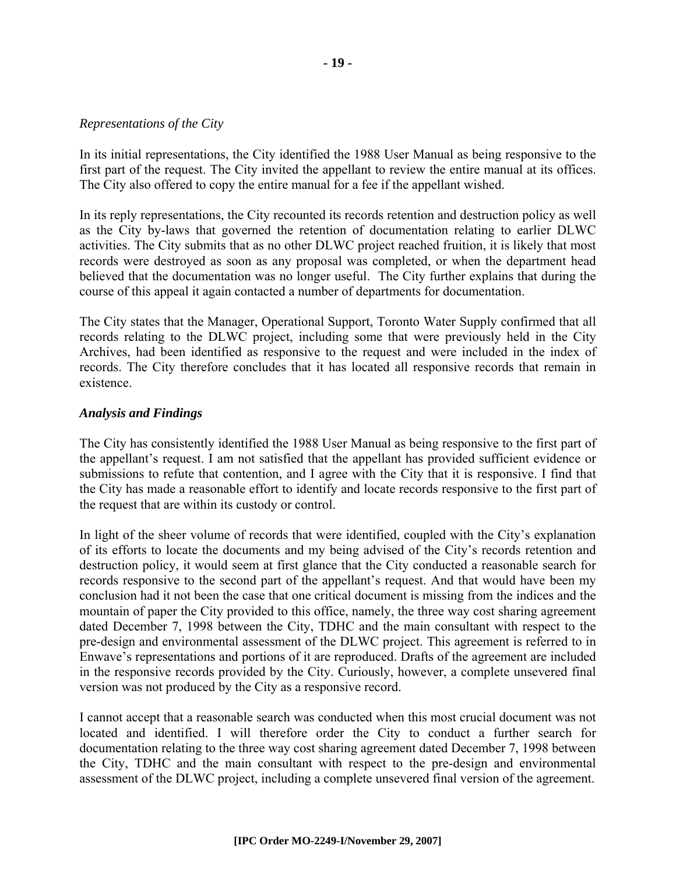#### *Representations of the City*

In its initial representations, the City identified the 1988 User Manual as being responsive to the first part of the request. The City invited the appellant to review the entire manual at its offices. The City also offered to copy the entire manual for a fee if the appellant wished.

In its reply representations, the City recounted its records retention and destruction policy as well as the City by-laws that governed the retention of documentation relating to earlier DLWC activities. The City submits that as no other DLWC project reached fruition, it is likely that most records were destroyed as soon as any proposal was completed, or when the department head believed that the documentation was no longer useful. The City further explains that during the course of this appeal it again contacted a number of departments for documentation.

The City states that the Manager, Operational Support, Toronto Water Supply confirmed that all records relating to the DLWC project, including some that were previously held in the City Archives, had been identified as responsive to the request and were included in the index of records. The City therefore concludes that it has located all responsive records that remain in existence.

#### *Analysis and Findings*

The City has consistently identified the 1988 User Manual as being responsive to the first part of the appellant's request. I am not satisfied that the appellant has provided sufficient evidence or submissions to refute that contention, and I agree with the City that it is responsive. I find that the City has made a reasonable effort to identify and locate records responsive to the first part of the request that are within its custody or control.

In light of the sheer volume of records that were identified, coupled with the City's explanation of its efforts to locate the documents and my being advised of the City's records retention and destruction policy, it would seem at first glance that the City conducted a reasonable search for records responsive to the second part of the appellant's request. And that would have been my conclusion had it not been the case that one critical document is missing from the indices and the mountain of paper the City provided to this office, namely, the three way cost sharing agreement dated December 7, 1998 between the City, TDHC and the main consultant with respect to the pre-design and environmental assessment of the DLWC project. This agreement is referred to in Enwave's representations and portions of it are reproduced. Drafts of the agreement are included in the responsive records provided by the City. Curiously, however, a complete unsevered final version was not produced by the City as a responsive record.

I cannot accept that a reasonable search was conducted when this most crucial document was not located and identified. I will therefore order the City to conduct a further search for documentation relating to the three way cost sharing agreement dated December 7, 1998 between the City, TDHC and the main consultant with respect to the pre-design and environmental assessment of the DLWC project, including a complete unsevered final version of the agreement.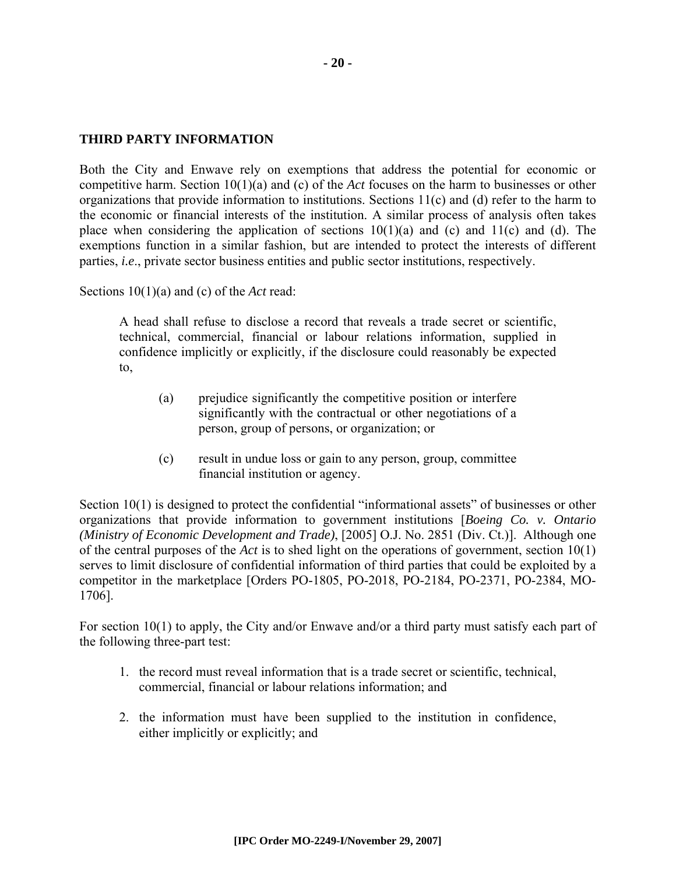#### **THIRD PARTY INFORMATION**

Both the City and Enwave rely on exemptions that address the potential for economic or competitive harm. Section 10(1)(a) and (c) of the *Act* focuses on the harm to businesses or other organizations that provide information to institutions. Sections 11(c) and (d) refer to the harm to the economic or financial interests of the institution. A similar process of analysis often takes place when considering the application of sections  $10(1)(a)$  and  $(c)$  and  $11(c)$  and  $(d)$ . The exemptions function in a similar fashion, but are intended to protect the interests of different parties, *i.e*., private sector business entities and public sector institutions, respectively.

Sections 10(1)(a) and (c) of the *Act* read:

A head shall refuse to disclose a record that reveals a trade secret or scientific, technical, commercial, financial or labour relations information, supplied in confidence implicitly or explicitly, if the disclosure could reasonably be expected to,

- (a) prejudice significantly the competitive position or interfere significantly with the contractual or other negotiations of a person, group of persons, or organization; or
- (c) result in undue loss or gain to any person, group, committee financial institution or agency.

Section 10(1) is designed to protect the confidential "informational assets" of businesses or other organizations that provide information to government institutions [*Boeing Co. v. Ontario (Ministry of Economic Development and Trade)*, [2005] O.J. No. 2851 (Div. Ct.)]. Although one of the central purposes of the *Act* is to shed light on the operations of government, section 10(1) serves to limit disclosure of confidential information of third parties that could be exploited by a competitor in the marketplace [Orders PO-1805, PO-2018, PO-2184, PO-2371, PO-2384, MO-1706].

For section 10(1) to apply, the City and/or Enwave and/or a third party must satisfy each part of the following three-part test:

- 1. the record must reveal information that is a trade secret or scientific, technical, commercial, financial or labour relations information; and
- 2. the information must have been supplied to the institution in confidence, either implicitly or explicitly; and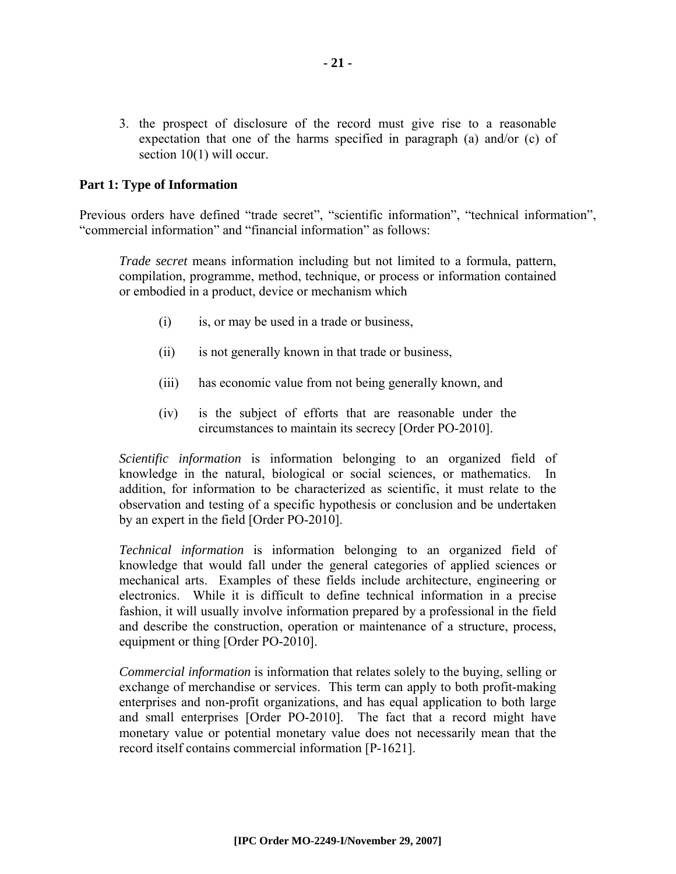3. the prospect of disclosure of the record must give rise to a reasonable expectation that one of the harms specified in paragraph (a) and/or (c) of section 10(1) will occur.

#### **Part 1: Type of Information**

Previous orders have defined "trade secret", "scientific information", "technical information", "commercial information" and "financial information" as follows:

*Trade secret* means information including but not limited to a formula, pattern, compilation, programme, method, technique, or process or information contained or embodied in a product, device or mechanism which

- (i) is, or may be used in a trade or business,
- (ii) is not generally known in that trade or business,
- (iii) has economic value from not being generally known, and
- (iv) is the subject of efforts that are reasonable under the circumstances to maintain its secrecy [Order PO-2010].

*Scientific information* is information belonging to an organized field of knowledge in the natural, biological or social sciences, or mathematics. In addition, for information to be characterized as scientific, it must relate to the observation and testing of a specific hypothesis or conclusion and be undertaken by an expert in the field [Order PO-2010].

*Technical information* is information belonging to an organized field of knowledge that would fall under the general categories of applied sciences or mechanical arts. Examples of these fields include architecture, engineering or electronics. While it is difficult to define technical information in a precise fashion, it will usually involve information prepared by a professional in the field and describe the construction, operation or maintenance of a structure, process, equipment or thing [Order PO-2010].

*Commercial information* is information that relates solely to the buying, selling or exchange of merchandise or services. This term can apply to both profit-making enterprises and non-profit organizations, and has equal application to both large and small enterprises [Order PO-2010]. The fact that a record might have monetary value or potential monetary value does not necessarily mean that the record itself contains commercial information [P-1621].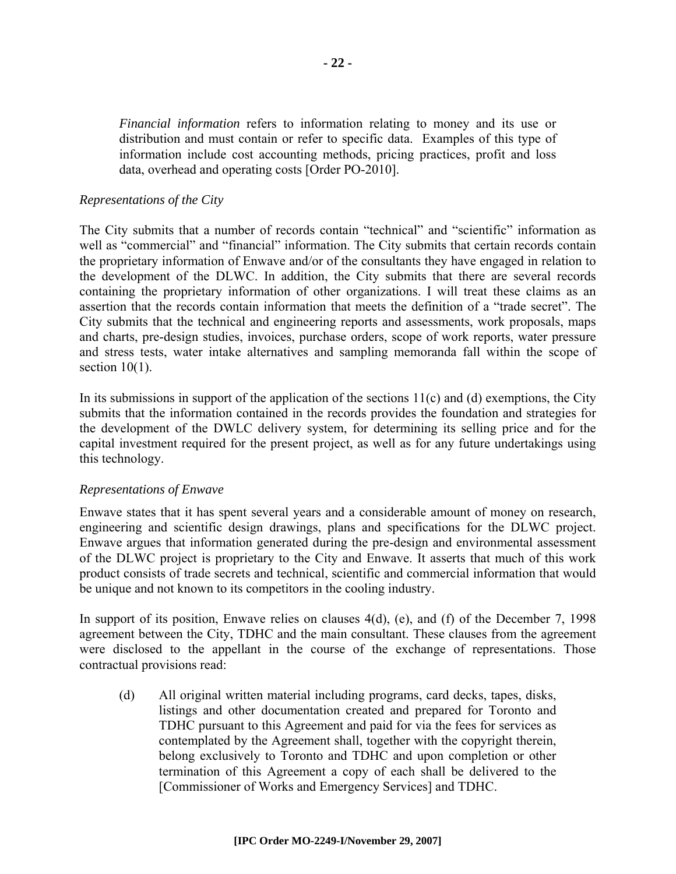*Financial information* refers to information relating to money and its use or distribution and must contain or refer to specific data. Examples of this type of information include cost accounting methods, pricing practices, profit and loss data, overhead and operating costs [Order PO-2010].

#### *Representations of the City*

The City submits that a number of records contain "technical" and "scientific" information as well as "commercial" and "financial" information. The City submits that certain records contain the proprietary information of Enwave and/or of the consultants they have engaged in relation to the development of the DLWC. In addition, the City submits that there are several records containing the proprietary information of other organizations. I will treat these claims as an assertion that the records contain information that meets the definition of a "trade secret". The City submits that the technical and engineering reports and assessments, work proposals, maps and charts, pre-design studies, invoices, purchase orders, scope of work reports, water pressure and stress tests, water intake alternatives and sampling memoranda fall within the scope of section  $10(1)$ .

In its submissions in support of the application of the sections  $11(c)$  and (d) exemptions, the City submits that the information contained in the records provides the foundation and strategies for the development of the DWLC delivery system, for determining its selling price and for the capital investment required for the present project, as well as for any future undertakings using this technology.

#### *Representations of Enwave*

Enwave states that it has spent several years and a considerable amount of money on research, engineering and scientific design drawings, plans and specifications for the DLWC project. Enwave argues that information generated during the pre-design and environmental assessment of the DLWC project is proprietary to the City and Enwave. It asserts that much of this work product consists of trade secrets and technical, scientific and commercial information that would be unique and not known to its competitors in the cooling industry.

In support of its position, Enwave relies on clauses 4(d), (e), and (f) of the December 7, 1998 agreement between the City, TDHC and the main consultant. These clauses from the agreement were disclosed to the appellant in the course of the exchange of representations. Those contractual provisions read:

(d) All original written material including programs, card decks, tapes, disks, listings and other documentation created and prepared for Toronto and TDHC pursuant to this Agreement and paid for via the fees for services as contemplated by the Agreement shall, together with the copyright therein, belong exclusively to Toronto and TDHC and upon completion or other termination of this Agreement a copy of each shall be delivered to the [Commissioner of Works and Emergency Services] and TDHC.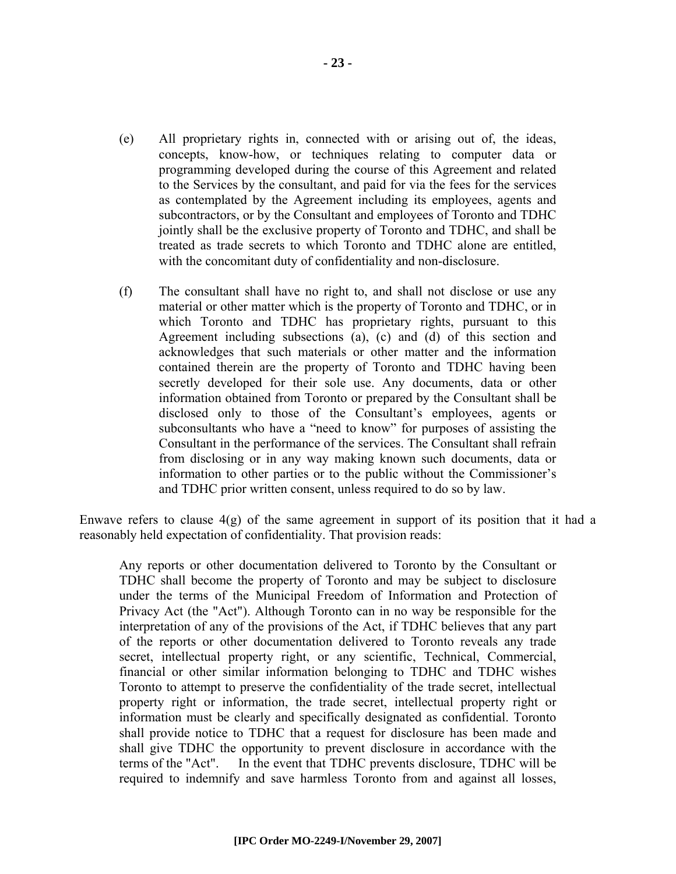- (e) All proprietary rights in, connected with or arising out of, the ideas, concepts, know-how, or techniques relating to computer data or programming developed during the course of this Agreement and related to the Services by the consultant, and paid for via the fees for the services as contemplated by the Agreement including its employees, agents and subcontractors, or by the Consultant and employees of Toronto and TDHC jointly shall be the exclusive property of Toronto and TDHC, and shall be treated as trade secrets to which Toronto and TDHC alone are entitled, with the concomitant duty of confidentiality and non-disclosure.
- (f) The consultant shall have no right to, and shall not disclose or use any material or other matter which is the property of Toronto and TDHC, or in which Toronto and TDHC has proprietary rights, pursuant to this Agreement including subsections (a), (c) and (d) of this section and acknowledges that such materials or other matter and the information contained therein are the property of Toronto and TDHC having been secretly developed for their sole use. Any documents, data or other information obtained from Toronto or prepared by the Consultant shall be disclosed only to those of the Consultant's employees, agents or subconsultants who have a "need to know" for purposes of assisting the Consultant in the performance of the services. The Consultant shall refrain from disclosing or in any way making known such documents, data or information to other parties or to the public without the Commissioner's and TDHC prior written consent, unless required to do so by law.

Enwave refers to clause  $4(g)$  of the same agreement in support of its position that it had a reasonably held expectation of confidentiality. That provision reads:

Any reports or other documentation delivered to Toronto by the Consultant or TDHC shall become the property of Toronto and may be subject to disclosure under the terms of the Municipal Freedom of Information and Protection of Privacy Act (the "Act"). Although Toronto can in no way be responsible for the interpretation of any of the provisions of the Act, if TDHC believes that any part of the reports or other documentation delivered to Toronto reveals any trade secret, intellectual property right, or any scientific, Technical, Commercial, financial or other similar information belonging to TDHC and TDHC wishes Toronto to attempt to preserve the confidentiality of the trade secret, intellectual property right or information, the trade secret, intellectual property right or information must be clearly and specifically designated as confidential. Toronto shall provide notice to TDHC that a request for disclosure has been made and shall give TDHC the opportunity to prevent disclosure in accordance with the terms of the "Act". In the event that TDHC prevents disclosure, TDHC will be required to indemnify and save harmless Toronto from and against all losses,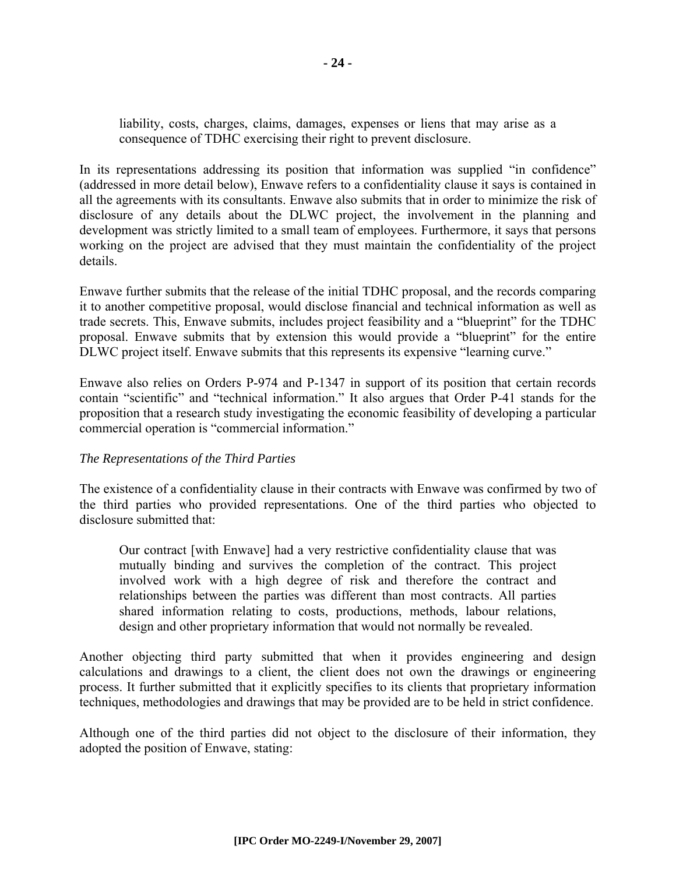liability, costs, charges, claims, damages, expenses or liens that may arise as a consequence of TDHC exercising their right to prevent disclosure.

In its representations addressing its position that information was supplied "in confidence" (addressed in more detail below), Enwave refers to a confidentiality clause it says is contained in all the agreements with its consultants. Enwave also submits that in order to minimize the risk of disclosure of any details about the DLWC project, the involvement in the planning and development was strictly limited to a small team of employees. Furthermore, it says that persons working on the project are advised that they must maintain the confidentiality of the project details.

Enwave further submits that the release of the initial TDHC proposal, and the records comparing it to another competitive proposal, would disclose financial and technical information as well as trade secrets. This, Enwave submits, includes project feasibility and a "blueprint" for the TDHC proposal. Enwave submits that by extension this would provide a "blueprint" for the entire DLWC project itself. Enwave submits that this represents its expensive "learning curve."

Enwave also relies on Orders P-974 and P-1347 in support of its position that certain records contain "scientific" and "technical information." It also argues that Order P-41 stands for the proposition that a research study investigating the economic feasibility of developing a particular commercial operation is "commercial information."

#### *The Representations of the Third Parties*

The existence of a confidentiality clause in their contracts with Enwave was confirmed by two of the third parties who provided representations. One of the third parties who objected to disclosure submitted that:

Our contract [with Enwave] had a very restrictive confidentiality clause that was mutually binding and survives the completion of the contract. This project involved work with a high degree of risk and therefore the contract and relationships between the parties was different than most contracts. All parties shared information relating to costs, productions, methods, labour relations, design and other proprietary information that would not normally be revealed.

Another objecting third party submitted that when it provides engineering and design calculations and drawings to a client, the client does not own the drawings or engineering process. It further submitted that it explicitly specifies to its clients that proprietary information techniques, methodologies and drawings that may be provided are to be held in strict confidence.

Although one of the third parties did not object to the disclosure of their information, they adopted the position of Enwave, stating: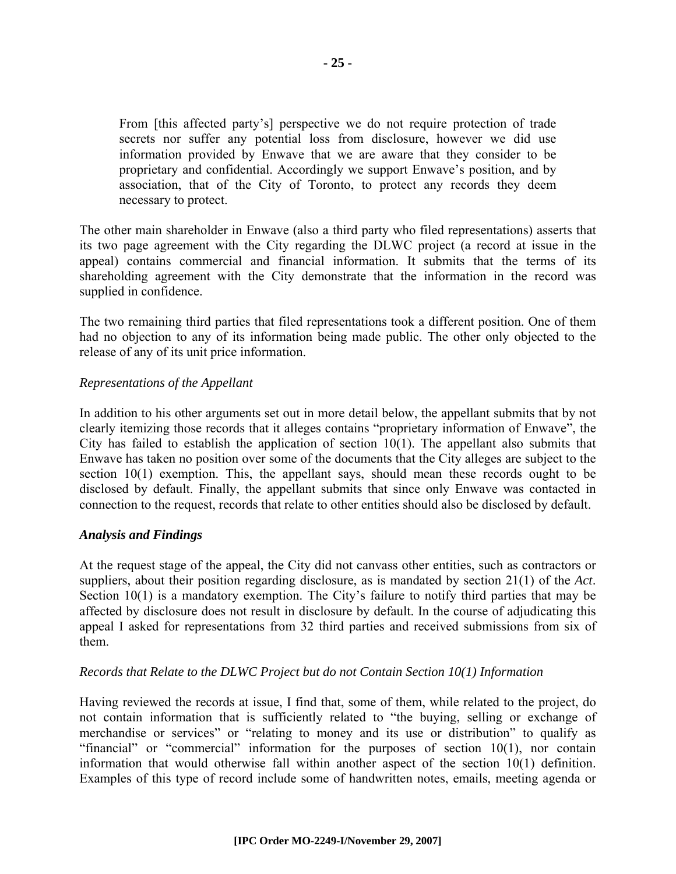From [this affected party's] perspective we do not require protection of trade secrets nor suffer any potential loss from disclosure, however we did use information provided by Enwave that we are aware that they consider to be proprietary and confidential. Accordingly we support Enwave's position, and by association, that of the City of Toronto, to protect any records they deem necessary to protect.

The other main shareholder in Enwave (also a third party who filed representations) asserts that its two page agreement with the City regarding the DLWC project (a record at issue in the appeal) contains commercial and financial information. It submits that the terms of its shareholding agreement with the City demonstrate that the information in the record was supplied in confidence.

The two remaining third parties that filed representations took a different position. One of them had no objection to any of its information being made public. The other only objected to the release of any of its unit price information.

#### *Representations of the Appellant*

In addition to his other arguments set out in more detail below, the appellant submits that by not clearly itemizing those records that it alleges contains "proprietary information of Enwave", the City has failed to establish the application of section  $10(1)$ . The appellant also submits that Enwave has taken no position over some of the documents that the City alleges are subject to the section 10(1) exemption. This, the appellant says, should mean these records ought to be disclosed by default. Finally, the appellant submits that since only Enwave was contacted in connection to the request, records that relate to other entities should also be disclosed by default.

#### *Analysis and Findings*

At the request stage of the appeal, the City did not canvass other entities, such as contractors or suppliers, about their position regarding disclosure, as is mandated by section 21(1) of the *Act*. Section 10(1) is a mandatory exemption. The City's failure to notify third parties that may be affected by disclosure does not result in disclosure by default. In the course of adjudicating this appeal I asked for representations from 32 third parties and received submissions from six of them.

#### *Records that Relate to the DLWC Project but do not Contain Section 10(1) Information*

Having reviewed the records at issue, I find that, some of them, while related to the project, do not contain information that is sufficiently related to "the buying, selling or exchange of merchandise or services" or "relating to money and its use or distribution" to qualify as "financial" or "commercial" information for the purposes of section 10(1), nor contain information that would otherwise fall within another aspect of the section 10(1) definition. Examples of this type of record include some of handwritten notes, emails, meeting agenda or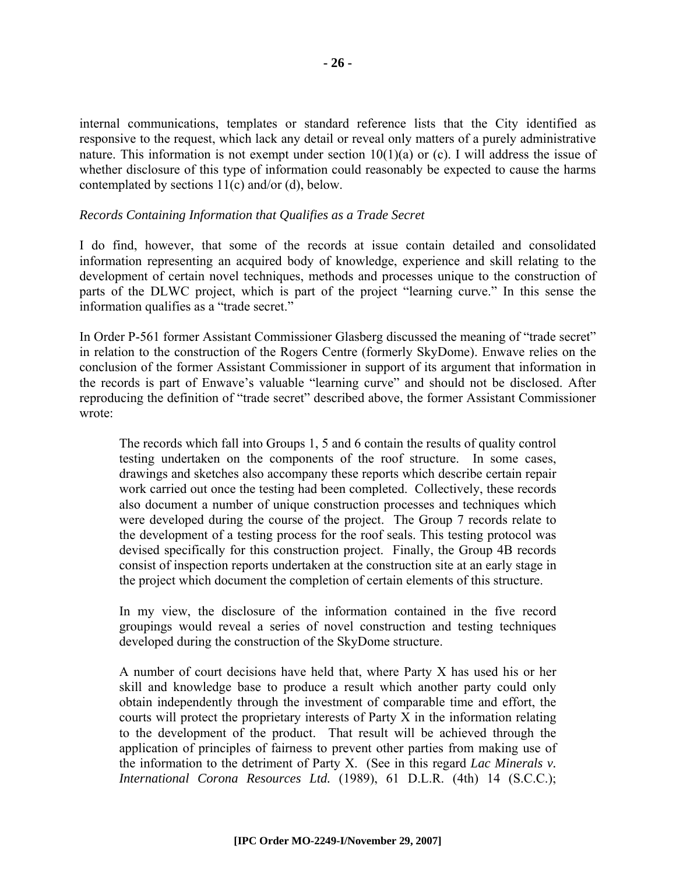internal communications, templates or standard reference lists that the City identified as responsive to the request, which lack any detail or reveal only matters of a purely administrative nature. This information is not exempt under section 10(1)(a) or (c). I will address the issue of whether disclosure of this type of information could reasonably be expected to cause the harms contemplated by sections 11(c) and/or (d), below.

#### *Records Containing Information that Qualifies as a Trade Secret*

I do find, however, that some of the records at issue contain detailed and consolidated information representing an acquired body of knowledge, experience and skill relating to the development of certain novel techniques, methods and processes unique to the construction of parts of the DLWC project, which is part of the project "learning curve." In this sense the information qualifies as a "trade secret."

In Order P-561 former Assistant Commissioner Glasberg discussed the meaning of "trade secret" in relation to the construction of the Rogers Centre (formerly SkyDome). Enwave relies on the conclusion of the former Assistant Commissioner in support of its argument that information in the records is part of Enwave's valuable "learning curve" and should not be disclosed. After reproducing the definition of "trade secret" described above, the former Assistant Commissioner wrote:

The records which fall into Groups 1, 5 and 6 contain the results of quality control testing undertaken on the components of the roof structure. In some cases, drawings and sketches also accompany these reports which describe certain repair work carried out once the testing had been completed. Collectively, these records also document a number of unique construction processes and techniques which were developed during the course of the project. The Group 7 records relate to the development of a testing process for the roof seals. This testing protocol was devised specifically for this construction project. Finally, the Group 4B records consist of inspection reports undertaken at the construction site at an early stage in the project which document the completion of certain elements of this structure.

In my view, the disclosure of the information contained in the five record groupings would reveal a series of novel construction and testing techniques developed during the construction of the SkyDome structure.

A number of court decisions have held that, where Party X has used his or her skill and knowledge base to produce a result which another party could only obtain independently through the investment of comparable time and effort, the courts will protect the proprietary interests of Party X in the information relating to the development of the product. That result will be achieved through the application of principles of fairness to prevent other parties from making use of the information to the detriment of Party X. (See in this regard *Lac Minerals v. International Corona Resources Ltd.* (1989), 61 D.L.R. (4th) 14 (S.C.C.);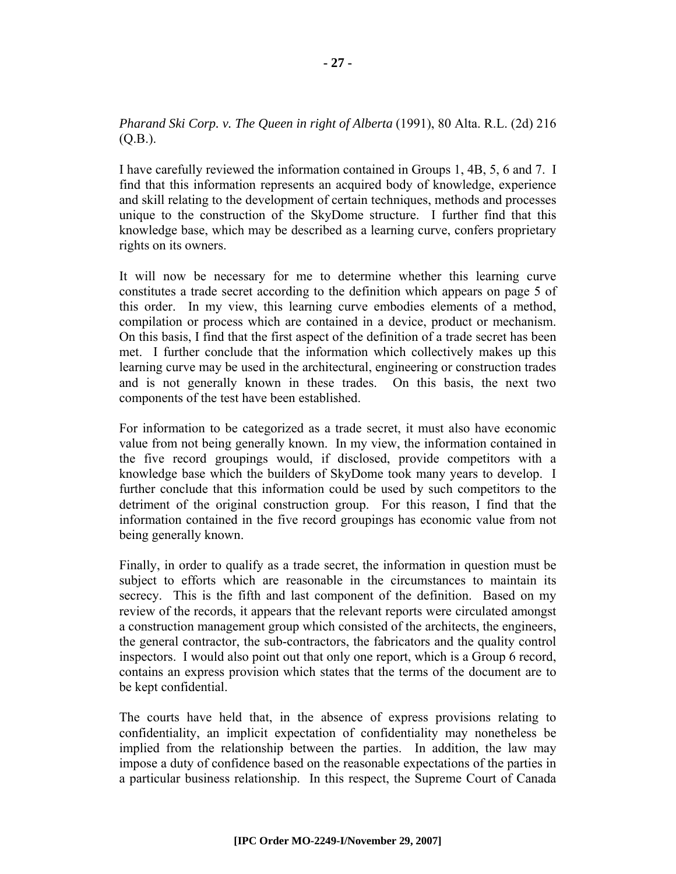#### *Pharand Ski Corp. v. The Queen in right of Alberta* (1991), 80 Alta. R.L. (2d) 216 (Q.B.).

I have carefully reviewed the information contained in Groups 1, 4B, 5, 6 and 7. I find that this information represents an acquired body of knowledge, experience and skill relating to the development of certain techniques, methods and processes unique to the construction of the SkyDome structure. I further find that this knowledge base, which may be described as a learning curve, confers proprietary rights on its owners.

It will now be necessary for me to determine whether this learning curve constitutes a trade secret according to the definition which appears on page 5 of this order. In my view, this learning curve embodies elements of a method, compilation or process which are contained in a device, product or mechanism. On this basis, I find that the first aspect of the definition of a trade secret has been met. I further conclude that the information which collectively makes up this learning curve may be used in the architectural, engineering or construction trades and is not generally known in these trades. On this basis, the next two components of the test have been established.

For information to be categorized as a trade secret, it must also have economic value from not being generally known. In my view, the information contained in the five record groupings would, if disclosed, provide competitors with a knowledge base which the builders of SkyDome took many years to develop. I further conclude that this information could be used by such competitors to the detriment of the original construction group. For this reason, I find that the information contained in the five record groupings has economic value from not being generally known.

Finally, in order to qualify as a trade secret, the information in question must be subject to efforts which are reasonable in the circumstances to maintain its secrecy. This is the fifth and last component of the definition. Based on my review of the records, it appears that the relevant reports were circulated amongst a construction management group which consisted of the architects, the engineers, the general contractor, the sub-contractors, the fabricators and the quality control inspectors. I would also point out that only one report, which is a Group 6 record, contains an express provision which states that the terms of the document are to be kept confidential.

The courts have held that, in the absence of express provisions relating to confidentiality, an implicit expectation of confidentiality may nonetheless be implied from the relationship between the parties. In addition, the law may impose a duty of confidence based on the reasonable expectations of the parties in a particular business relationship. In this respect, the Supreme Court of Canada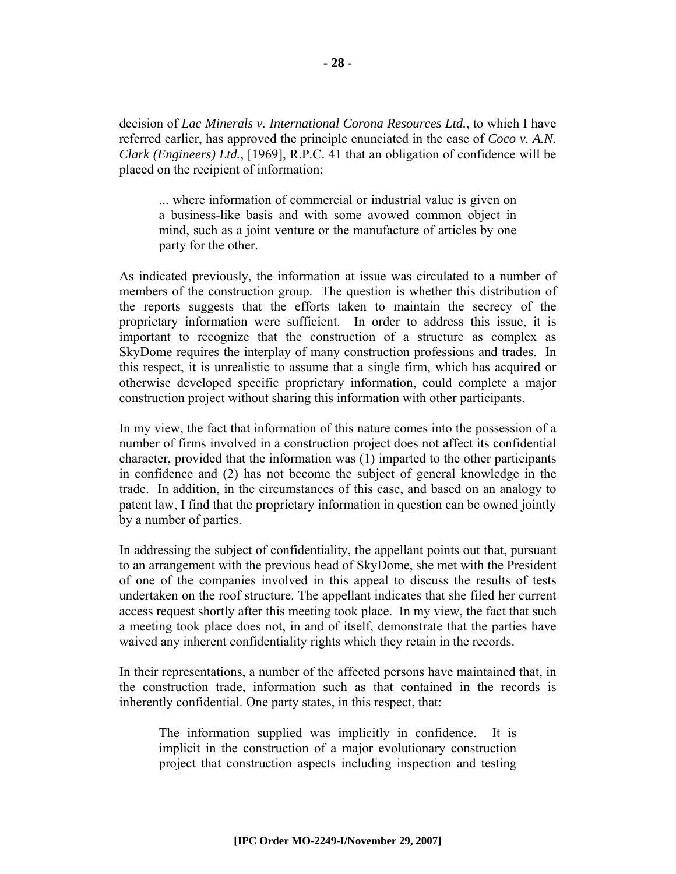decision of *Lac Minerals v. International Corona Resources Ltd.*, to which I have referred earlier, has approved the principle enunciated in the case of *Coco v. A.N. Clark (Engineers) Ltd.*, [1969], R.P.C. 41 that an obligation of confidence will be placed on the recipient of information:

... where information of commercial or industrial value is given on a business-like basis and with some avowed common object in mind, such as a joint venture or the manufacture of articles by one party for the other.

As indicated previously, the information at issue was circulated to a number of members of the construction group. The question is whether this distribution of the reports suggests that the efforts taken to maintain the secrecy of the proprietary information were sufficient. In order to address this issue, it is important to recognize that the construction of a structure as complex as SkyDome requires the interplay of many construction professions and trades. In this respect, it is unrealistic to assume that a single firm, which has acquired or otherwise developed specific proprietary information, could complete a major construction project without sharing this information with other participants.

In my view, the fact that information of this nature comes into the possession of a number of firms involved in a construction project does not affect its confidential character, provided that the information was (1) imparted to the other participants in confidence and (2) has not become the subject of general knowledge in the trade. In addition, in the circumstances of this case, and based on an analogy to patent law, I find that the proprietary information in question can be owned jointly by a number of parties.

In addressing the subject of confidentiality, the appellant points out that, pursuant to an arrangement with the previous head of SkyDome, she met with the President of one of the companies involved in this appeal to discuss the results of tests undertaken on the roof structure. The appellant indicates that she filed her current access request shortly after this meeting took place. In my view, the fact that such a meeting took place does not, in and of itself, demonstrate that the parties have waived any inherent confidentiality rights which they retain in the records.

In their representations, a number of the affected persons have maintained that, in the construction trade, information such as that contained in the records is inherently confidential. One party states, in this respect, that:

The information supplied was implicitly in confidence. It is implicit in the construction of a major evolutionary construction project that construction aspects including inspection and testing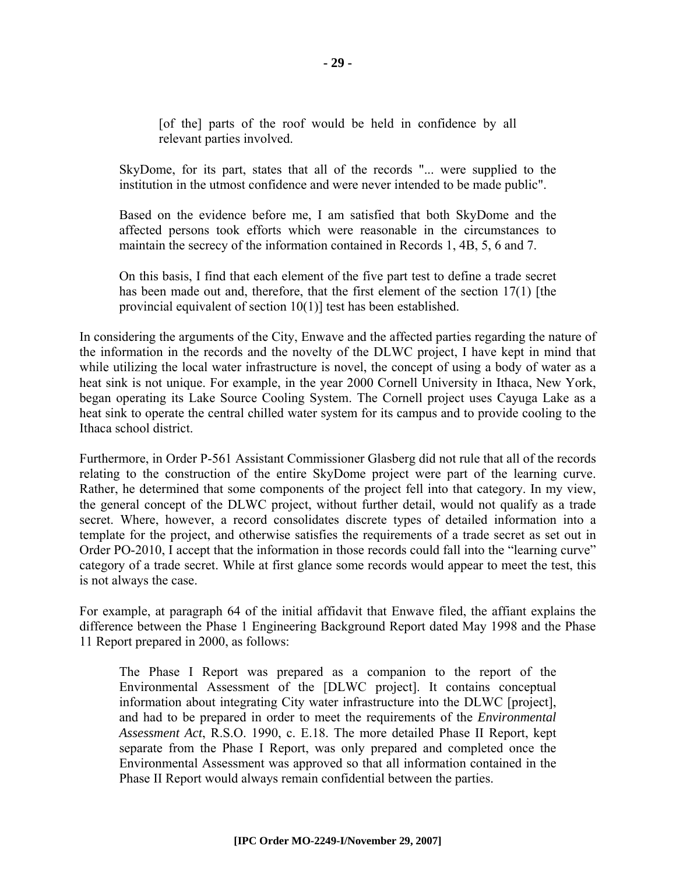[of the] parts of the roof would be held in confidence by all relevant parties involved.

SkyDome, for its part, states that all of the records "... were supplied to the institution in the utmost confidence and were never intended to be made public".

Based on the evidence before me, I am satisfied that both SkyDome and the affected persons took efforts which were reasonable in the circumstances to maintain the secrecy of the information contained in Records 1, 4B, 5, 6 and 7.

On this basis, I find that each element of the five part test to define a trade secret has been made out and, therefore, that the first element of the section 17(1) [the provincial equivalent of section 10(1)] test has been established.

In considering the arguments of the City, Enwave and the affected parties regarding the nature of the information in the records and the novelty of the DLWC project, I have kept in mind that while utilizing the local water infrastructure is novel, the concept of using a body of water as a heat sink is not unique. For example, in the year 2000 Cornell University in Ithaca, New York, began operating its Lake Source Cooling System. The Cornell project uses Cayuga Lake as a heat sink to operate the central chilled water system for its campus and to provide cooling to the Ithaca school district.

Furthermore, in Order P-561 Assistant Commissioner Glasberg did not rule that all of the records relating to the construction of the entire SkyDome project were part of the learning curve. Rather, he determined that some components of the project fell into that category. In my view, the general concept of the DLWC project, without further detail, would not qualify as a trade secret. Where, however, a record consolidates discrete types of detailed information into a template for the project, and otherwise satisfies the requirements of a trade secret as set out in Order PO-2010, I accept that the information in those records could fall into the "learning curve" category of a trade secret. While at first glance some records would appear to meet the test, this is not always the case.

For example, at paragraph 64 of the initial affidavit that Enwave filed, the affiant explains the difference between the Phase 1 Engineering Background Report dated May 1998 and the Phase 11 Report prepared in 2000, as follows:

The Phase I Report was prepared as a companion to the report of the Environmental Assessment of the [DLWC project]. It contains conceptual information about integrating City water infrastructure into the DLWC [project], and had to be prepared in order to meet the requirements of the *Environmental Assessment Act*, R.S.O. 1990, c. E.18. The more detailed Phase II Report, kept separate from the Phase I Report, was only prepared and completed once the Environmental Assessment was approved so that all information contained in the Phase II Report would always remain confidential between the parties.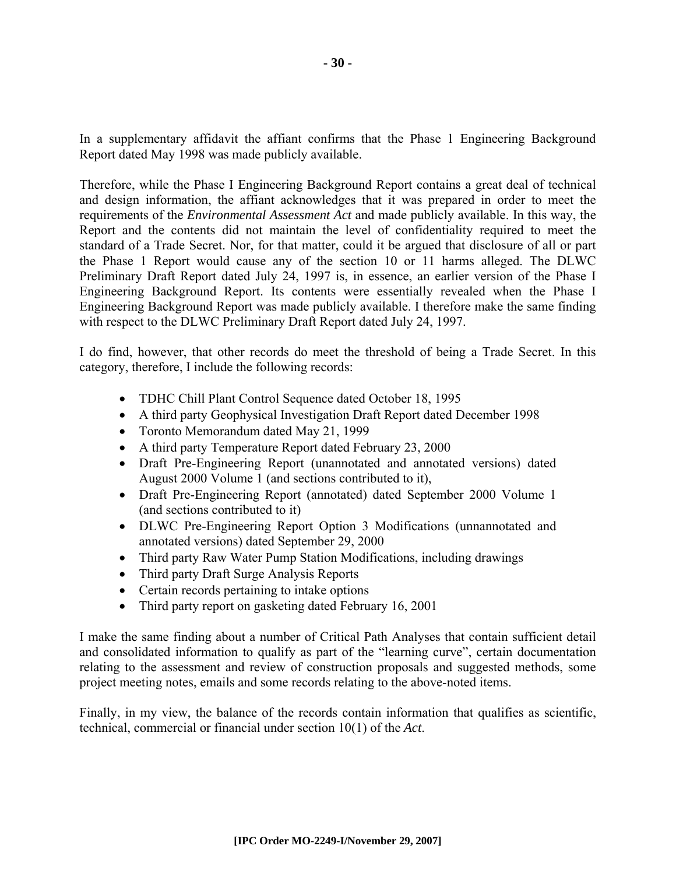In a supplementary affidavit the affiant confirms that the Phase 1 Engineering Background Report dated May 1998 was made publicly available.

Therefore, while the Phase I Engineering Background Report contains a great deal of technical and design information, the affiant acknowledges that it was prepared in order to meet the requirements of the *Environmental Assessment Act* and made publicly available. In this way, the Report and the contents did not maintain the level of confidentiality required to meet the standard of a Trade Secret. Nor, for that matter, could it be argued that disclosure of all or part the Phase 1 Report would cause any of the section 10 or 11 harms alleged. The DLWC Preliminary Draft Report dated July 24, 1997 is, in essence, an earlier version of the Phase I Engineering Background Report. Its contents were essentially revealed when the Phase I Engineering Background Report was made publicly available. I therefore make the same finding with respect to the DLWC Preliminary Draft Report dated July 24, 1997.

I do find, however, that other records do meet the threshold of being a Trade Secret. In this category, therefore, I include the following records:

- TDHC Chill Plant Control Sequence dated October 18, 1995
- A third party Geophysical Investigation Draft Report dated December 1998
- Toronto Memorandum dated May 21, 1999
- A third party Temperature Report dated February 23, 2000
- Draft Pre-Engineering Report (unannotated and annotated versions) dated August 2000 Volume 1 (and sections contributed to it),
- Draft Pre-Engineering Report (annotated) dated September 2000 Volume 1 (and sections contributed to it)
- DLWC Pre-Engineering Report Option 3 Modifications (unnannotated and annotated versions) dated September 29, 2000
- Third party Raw Water Pump Station Modifications, including drawings
- Third party Draft Surge Analysis Reports
- Certain records pertaining to intake options
- Third party report on gasketing dated February 16, 2001

I make the same finding about a number of Critical Path Analyses that contain sufficient detail and consolidated information to qualify as part of the "learning curve", certain documentation relating to the assessment and review of construction proposals and suggested methods, some project meeting notes, emails and some records relating to the above-noted items.

Finally, in my view, the balance of the records contain information that qualifies as scientific, technical, commercial or financial under section 10(1) of the *Act*.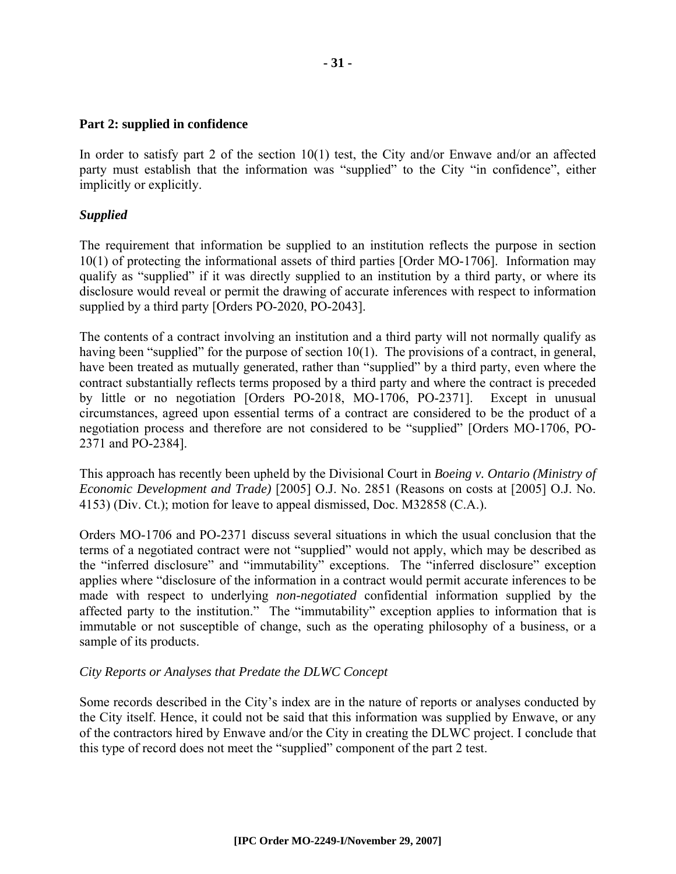#### **Part 2: supplied in confidence**

In order to satisfy part 2 of the section 10(1) test, the City and/or Enwave and/or an affected party must establish that the information was "supplied" to the City "in confidence", either implicitly or explicitly.

#### *Supplied*

The requirement that information be supplied to an institution reflects the purpose in section 10(1) of protecting the informational assets of third parties [Order MO-1706]. Information may qualify as "supplied" if it was directly supplied to an institution by a third party, or where its disclosure would reveal or permit the drawing of accurate inferences with respect to information supplied by a third party [Orders PO-2020, PO-2043].

The contents of a contract involving an institution and a third party will not normally qualify as having been "supplied" for the purpose of section 10(1). The provisions of a contract, in general, have been treated as mutually generated, rather than "supplied" by a third party, even where the contract substantially reflects terms proposed by a third party and where the contract is preceded by little or no negotiation [Orders PO-2018, MO-1706, PO-2371]. Except in unusual circumstances, agreed upon essential terms of a contract are considered to be the product of a negotiation process and therefore are not considered to be "supplied" [Orders MO-1706, PO-2371 and PO-2384].

This approach has recently been upheld by the Divisional Court in *Boeing v. Ontario (Ministry of Economic Development and Trade)* [2005] O.J. No. 2851 (Reasons on costs at [2005] O.J. No. 4153) (Div. Ct.); motion for leave to appeal dismissed, Doc. M32858 (C.A.).

Orders MO-1706 and PO-2371 discuss several situations in which the usual conclusion that the terms of a negotiated contract were not "supplied" would not apply, which may be described as the "inferred disclosure" and "immutability" exceptions. The "inferred disclosure" exception applies where "disclosure of the information in a contract would permit accurate inferences to be made with respect to underlying *non-negotiated* confidential information supplied by the affected party to the institution." The "immutability" exception applies to information that is immutable or not susceptible of change, such as the operating philosophy of a business, or a sample of its products.

#### *City Reports or Analyses that Predate the DLWC Concept*

Some records described in the City's index are in the nature of reports or analyses conducted by the City itself. Hence, it could not be said that this information was supplied by Enwave, or any of the contractors hired by Enwave and/or the City in creating the DLWC project. I conclude that this type of record does not meet the "supplied" component of the part 2 test.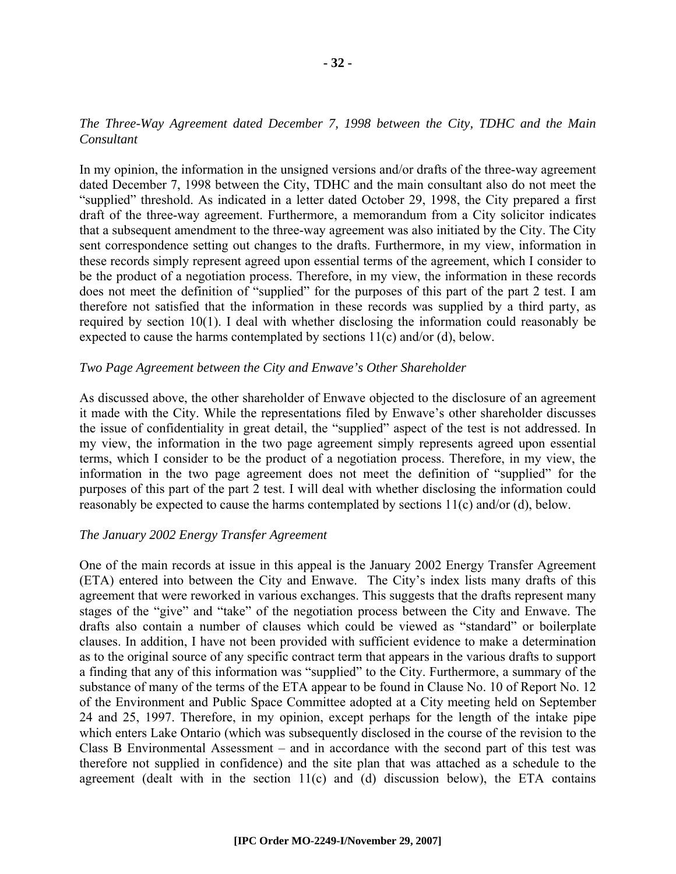#### *The Three-Way Agreement dated December 7, 1998 between the City, TDHC and the Main Consultant*

In my opinion, the information in the unsigned versions and/or drafts of the three-way agreement dated December 7, 1998 between the City, TDHC and the main consultant also do not meet the "supplied" threshold. As indicated in a letter dated October 29, 1998, the City prepared a first draft of the three-way agreement. Furthermore, a memorandum from a City solicitor indicates that a subsequent amendment to the three-way agreement was also initiated by the City. The City sent correspondence setting out changes to the drafts. Furthermore, in my view, information in these records simply represent agreed upon essential terms of the agreement, which I consider to be the product of a negotiation process. Therefore, in my view, the information in these records does not meet the definition of "supplied" for the purposes of this part of the part 2 test. I am therefore not satisfied that the information in these records was supplied by a third party, as required by section 10(1). I deal with whether disclosing the information could reasonably be expected to cause the harms contemplated by sections 11(c) and/or (d), below.

#### *Two Page Agreement between the City and Enwave's Other Shareholder*

As discussed above, the other shareholder of Enwave objected to the disclosure of an agreement it made with the City. While the representations filed by Enwave's other shareholder discusses the issue of confidentiality in great detail, the "supplied" aspect of the test is not addressed. In my view, the information in the two page agreement simply represents agreed upon essential terms, which I consider to be the product of a negotiation process. Therefore, in my view, the information in the two page agreement does not meet the definition of "supplied" for the purposes of this part of the part 2 test. I will deal with whether disclosing the information could reasonably be expected to cause the harms contemplated by sections 11(c) and/or (d), below.

#### *The January 2002 Energy Transfer Agreement*

One of the main records at issue in this appeal is the January 2002 Energy Transfer Agreement (ETA) entered into between the City and Enwave. The City's index lists many drafts of this agreement that were reworked in various exchanges. This suggests that the drafts represent many stages of the "give" and "take" of the negotiation process between the City and Enwave. The drafts also contain a number of clauses which could be viewed as "standard" or boilerplate clauses. In addition, I have not been provided with sufficient evidence to make a determination as to the original source of any specific contract term that appears in the various drafts to support a finding that any of this information was "supplied" to the City. Furthermore, a summary of the substance of many of the terms of the ETA appear to be found in Clause No. 10 of Report No. 12 of the Environment and Public Space Committee adopted at a City meeting held on September 24 and 25, 1997. Therefore, in my opinion, except perhaps for the length of the intake pipe which enters Lake Ontario (which was subsequently disclosed in the course of the revision to the Class B Environmental Assessment – and in accordance with the second part of this test was therefore not supplied in confidence) and the site plan that was attached as a schedule to the agreement (dealt with in the section  $11(c)$  and (d) discussion below), the ETA contains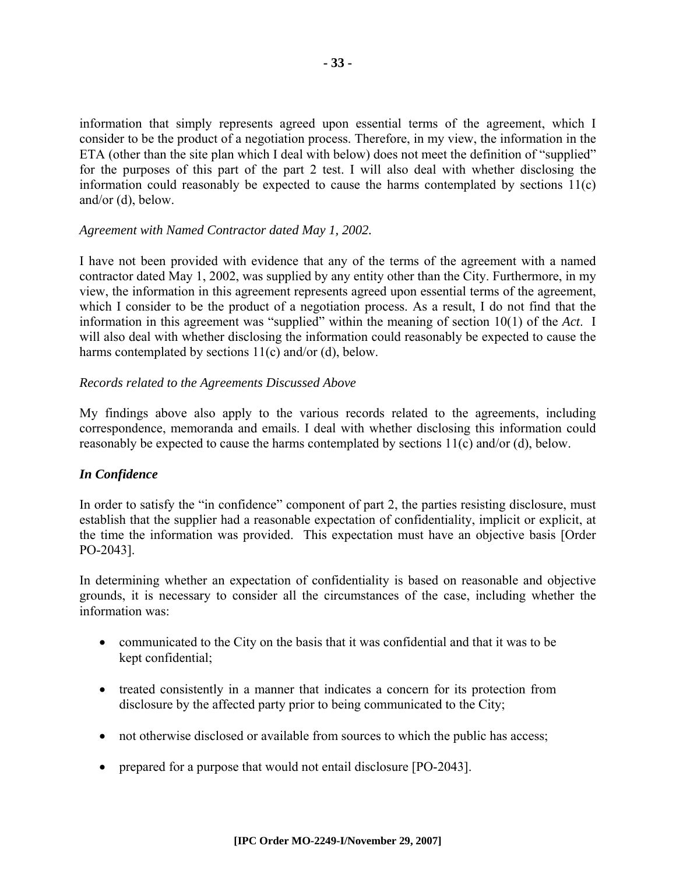information that simply represents agreed upon essential terms of the agreement, which I consider to be the product of a negotiation process. Therefore, in my view, the information in the ETA (other than the site plan which I deal with below) does not meet the definition of "supplied" for the purposes of this part of the part 2 test. I will also deal with whether disclosing the information could reasonably be expected to cause the harms contemplated by sections 11(c) and/or (d), below.

#### *Agreement with Named Contractor dated May 1, 2002.*

I have not been provided with evidence that any of the terms of the agreement with a named contractor dated May 1, 2002, was supplied by any entity other than the City. Furthermore, in my view, the information in this agreement represents agreed upon essential terms of the agreement, which I consider to be the product of a negotiation process. As a result, I do not find that the information in this agreement was "supplied" within the meaning of section 10(1) of the *Act*. I will also deal with whether disclosing the information could reasonably be expected to cause the harms contemplated by sections 11(c) and/or (d), below.

#### *Records related to the Agreements Discussed Above*

My findings above also apply to the various records related to the agreements, including correspondence, memoranda and emails. I deal with whether disclosing this information could reasonably be expected to cause the harms contemplated by sections 11(c) and/or (d), below.

#### *In Confidence*

In order to satisfy the "in confidence" component of part 2, the parties resisting disclosure, must establish that the supplier had a reasonable expectation of confidentiality, implicit or explicit, at the time the information was provided. This expectation must have an objective basis [Order PO-2043].

In determining whether an expectation of confidentiality is based on reasonable and objective grounds, it is necessary to consider all the circumstances of the case, including whether the information was:

- communicated to the City on the basis that it was confidential and that it was to be kept confidential;
- treated consistently in a manner that indicates a concern for its protection from disclosure by the affected party prior to being communicated to the City;
- not otherwise disclosed or available from sources to which the public has access;
- prepared for a purpose that would not entail disclosure [PO-2043].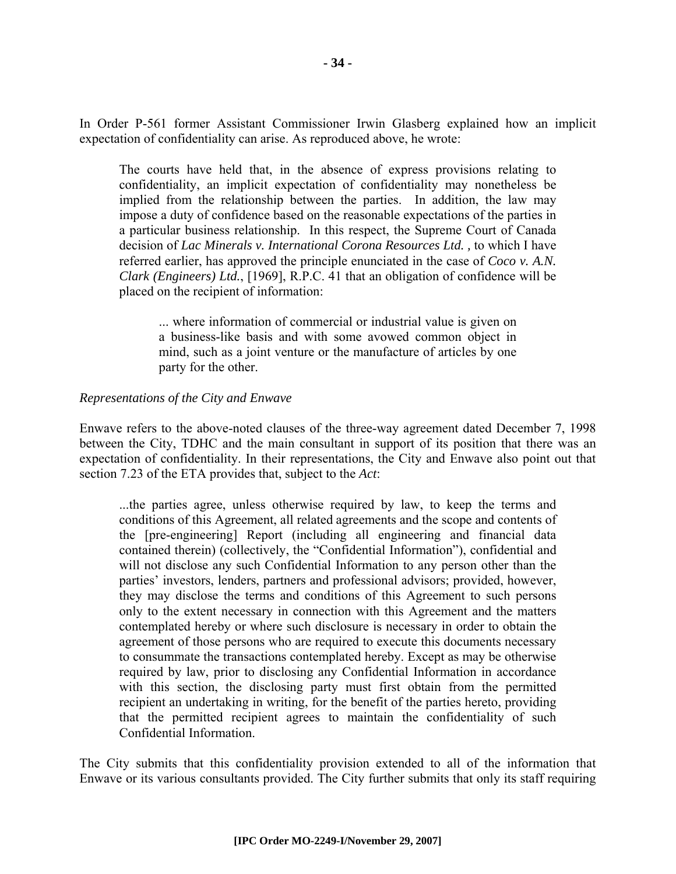In Order P-561 former Assistant Commissioner Irwin Glasberg explained how an implicit expectation of confidentiality can arise. As reproduced above, he wrote:

The courts have held that, in the absence of express provisions relating to confidentiality, an implicit expectation of confidentiality may nonetheless be implied from the relationship between the parties. In addition, the law may impose a duty of confidence based on the reasonable expectations of the parties in a particular business relationship. In this respect, the Supreme Court of Canada decision of *Lac Minerals v. International Corona Resources Ltd. ,* to which I have referred earlier, has approved the principle enunciated in the case of *Coco v. A.N. Clark (Engineers) Ltd.*, [1969], R.P.C. 41 that an obligation of confidence will be placed on the recipient of information:

... where information of commercial or industrial value is given on a business-like basis and with some avowed common object in mind, such as a joint venture or the manufacture of articles by one party for the other.

#### *Representations of the City and Enwave*

Enwave refers to the above-noted clauses of the three-way agreement dated December 7, 1998 between the City, TDHC and the main consultant in support of its position that there was an expectation of confidentiality. In their representations, the City and Enwave also point out that section 7.23 of the ETA provides that, subject to the *Act*:

...the parties agree, unless otherwise required by law, to keep the terms and conditions of this Agreement, all related agreements and the scope and contents of the [pre-engineering] Report (including all engineering and financial data contained therein) (collectively, the "Confidential Information"), confidential and will not disclose any such Confidential Information to any person other than the parties' investors, lenders, partners and professional advisors; provided, however, they may disclose the terms and conditions of this Agreement to such persons only to the extent necessary in connection with this Agreement and the matters contemplated hereby or where such disclosure is necessary in order to obtain the agreement of those persons who are required to execute this documents necessary to consummate the transactions contemplated hereby. Except as may be otherwise required by law, prior to disclosing any Confidential Information in accordance with this section, the disclosing party must first obtain from the permitted recipient an undertaking in writing, for the benefit of the parties hereto, providing that the permitted recipient agrees to maintain the confidentiality of such Confidential Information.

The City submits that this confidentiality provision extended to all of the information that Enwave or its various consultants provided. The City further submits that only its staff requiring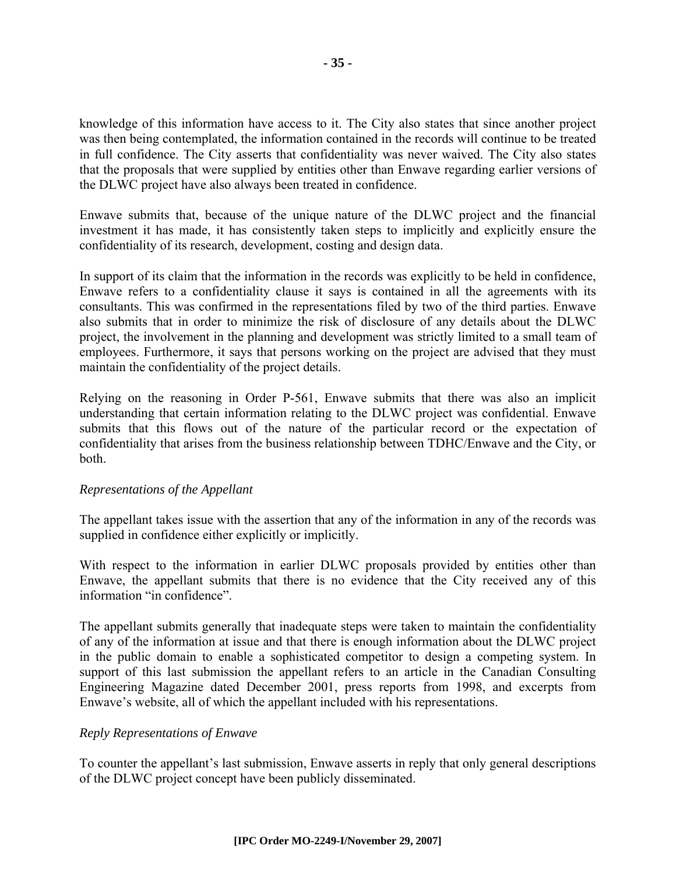knowledge of this information have access to it. The City also states that since another project was then being contemplated, the information contained in the records will continue to be treated in full confidence. The City asserts that confidentiality was never waived. The City also states that the proposals that were supplied by entities other than Enwave regarding earlier versions of the DLWC project have also always been treated in confidence.

Enwave submits that, because of the unique nature of the DLWC project and the financial investment it has made, it has consistently taken steps to implicitly and explicitly ensure the confidentiality of its research, development, costing and design data.

In support of its claim that the information in the records was explicitly to be held in confidence, Enwave refers to a confidentiality clause it says is contained in all the agreements with its consultants. This was confirmed in the representations filed by two of the third parties. Enwave also submits that in order to minimize the risk of disclosure of any details about the DLWC project, the involvement in the planning and development was strictly limited to a small team of employees. Furthermore, it says that persons working on the project are advised that they must maintain the confidentiality of the project details.

Relying on the reasoning in Order P-561, Enwave submits that there was also an implicit understanding that certain information relating to the DLWC project was confidential. Enwave submits that this flows out of the nature of the particular record or the expectation of confidentiality that arises from the business relationship between TDHC/Enwave and the City, or both.

#### *Representations of the Appellant*

The appellant takes issue with the assertion that any of the information in any of the records was supplied in confidence either explicitly or implicitly.

With respect to the information in earlier DLWC proposals provided by entities other than Enwave, the appellant submits that there is no evidence that the City received any of this information "in confidence".

The appellant submits generally that inadequate steps were taken to maintain the confidentiality of any of the information at issue and that there is enough information about the DLWC project in the public domain to enable a sophisticated competitor to design a competing system. In support of this last submission the appellant refers to an article in the Canadian Consulting Engineering Magazine dated December 2001, press reports from 1998, and excerpts from Enwave's website, all of which the appellant included with his representations.

#### *Reply Representations of Enwave*

To counter the appellant's last submission, Enwave asserts in reply that only general descriptions of the DLWC project concept have been publicly disseminated.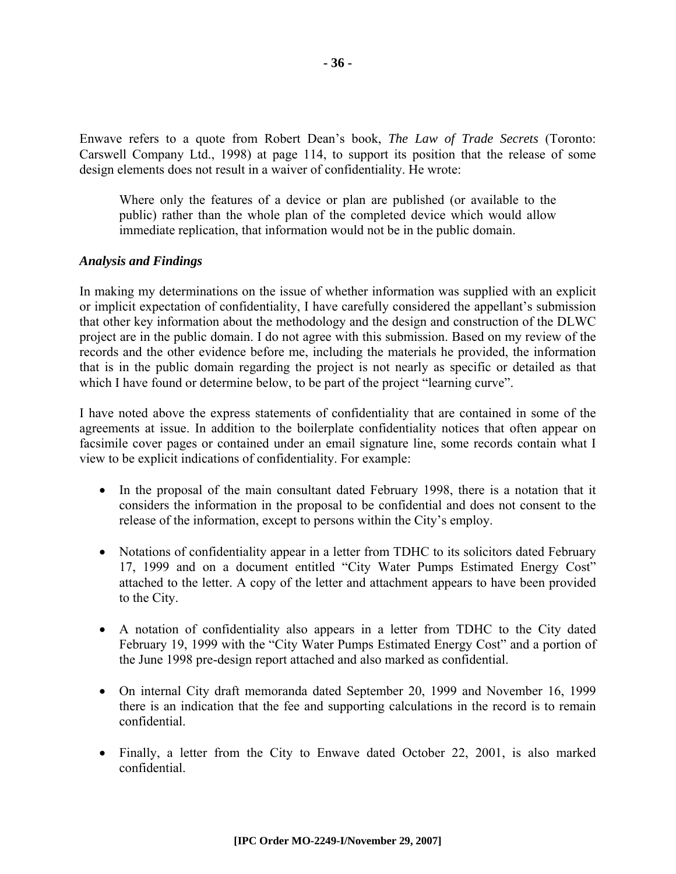Enwave refers to a quote from Robert Dean's book, *The Law of Trade Secrets* (Toronto: Carswell Company Ltd., 1998) at page 114, to support its position that the release of some design elements does not result in a waiver of confidentiality. He wrote:

Where only the features of a device or plan are published (or available to the public) rather than the whole plan of the completed device which would allow immediate replication, that information would not be in the public domain.

#### *Analysis and Findings*

In making my determinations on the issue of whether information was supplied with an explicit or implicit expectation of confidentiality, I have carefully considered the appellant's submission that other key information about the methodology and the design and construction of the DLWC project are in the public domain. I do not agree with this submission. Based on my review of the records and the other evidence before me, including the materials he provided, the information that is in the public domain regarding the project is not nearly as specific or detailed as that which I have found or determine below, to be part of the project "learning curve".

I have noted above the express statements of confidentiality that are contained in some of the agreements at issue. In addition to the boilerplate confidentiality notices that often appear on facsimile cover pages or contained under an email signature line, some records contain what I view to be explicit indications of confidentiality. For example:

- In the proposal of the main consultant dated February 1998, there is a notation that it considers the information in the proposal to be confidential and does not consent to the release of the information, except to persons within the City's employ.
- Notations of confidentiality appear in a letter from TDHC to its solicitors dated February 17, 1999 and on a document entitled "City Water Pumps Estimated Energy Cost" attached to the letter. A copy of the letter and attachment appears to have been provided to the City.
- A notation of confidentiality also appears in a letter from TDHC to the City dated February 19, 1999 with the "City Water Pumps Estimated Energy Cost" and a portion of the June 1998 pre-design report attached and also marked as confidential.
- On internal City draft memoranda dated September 20, 1999 and November 16, 1999 there is an indication that the fee and supporting calculations in the record is to remain confidential.
- Finally, a letter from the City to Enwave dated October 22, 2001, is also marked confidential.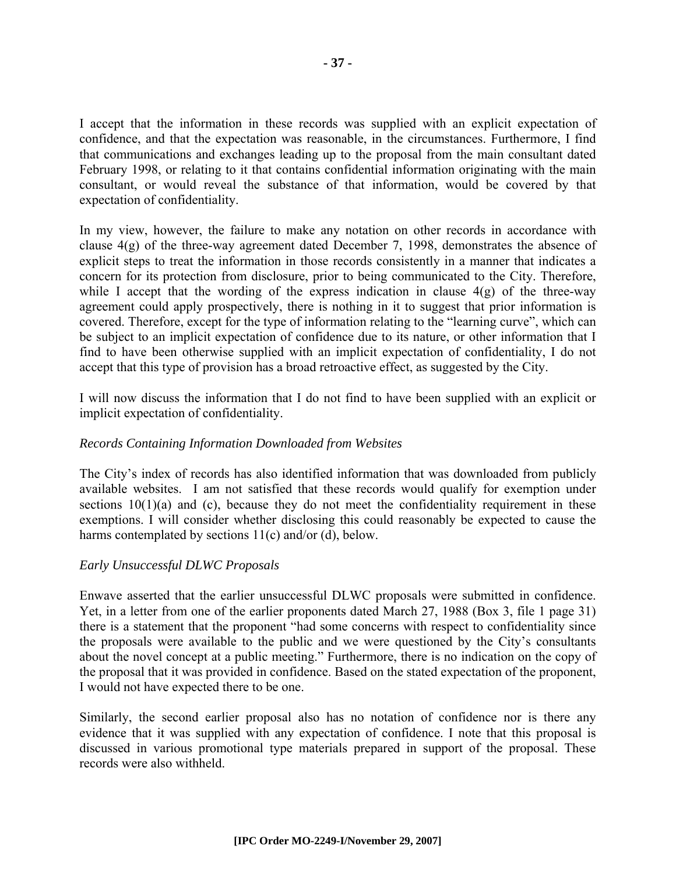I accept that the information in these records was supplied with an explicit expectation of confidence, and that the expectation was reasonable, in the circumstances. Furthermore, I find that communications and exchanges leading up to the proposal from the main consultant dated February 1998, or relating to it that contains confidential information originating with the main consultant, or would reveal the substance of that information, would be covered by that expectation of confidentiality.

In my view, however, the failure to make any notation on other records in accordance with clause 4(g) of the three-way agreement dated December 7, 1998, demonstrates the absence of explicit steps to treat the information in those records consistently in a manner that indicates a concern for its protection from disclosure, prior to being communicated to the City. Therefore, while I accept that the wording of the express indication in clause  $4(g)$  of the three-way agreement could apply prospectively, there is nothing in it to suggest that prior information is covered. Therefore, except for the type of information relating to the "learning curve", which can be subject to an implicit expectation of confidence due to its nature, or other information that I find to have been otherwise supplied with an implicit expectation of confidentiality, I do not accept that this type of provision has a broad retroactive effect, as suggested by the City.

I will now discuss the information that I do not find to have been supplied with an explicit or implicit expectation of confidentiality.

#### *Records Containing Information Downloaded from Websites*

The City's index of records has also identified information that was downloaded from publicly available websites. I am not satisfied that these records would qualify for exemption under sections  $10(1)(a)$  and (c), because they do not meet the confidentiality requirement in these exemptions. I will consider whether disclosing this could reasonably be expected to cause the harms contemplated by sections 11(c) and/or (d), below.

#### *Early Unsuccessful DLWC Proposals*

Enwave asserted that the earlier unsuccessful DLWC proposals were submitted in confidence. Yet, in a letter from one of the earlier proponents dated March 27, 1988 (Box 3, file 1 page 31) there is a statement that the proponent "had some concerns with respect to confidentiality since the proposals were available to the public and we were questioned by the City's consultants about the novel concept at a public meeting." Furthermore, there is no indication on the copy of the proposal that it was provided in confidence. Based on the stated expectation of the proponent, I would not have expected there to be one.

Similarly, the second earlier proposal also has no notation of confidence nor is there any evidence that it was supplied with any expectation of confidence. I note that this proposal is discussed in various promotional type materials prepared in support of the proposal. These records were also withheld.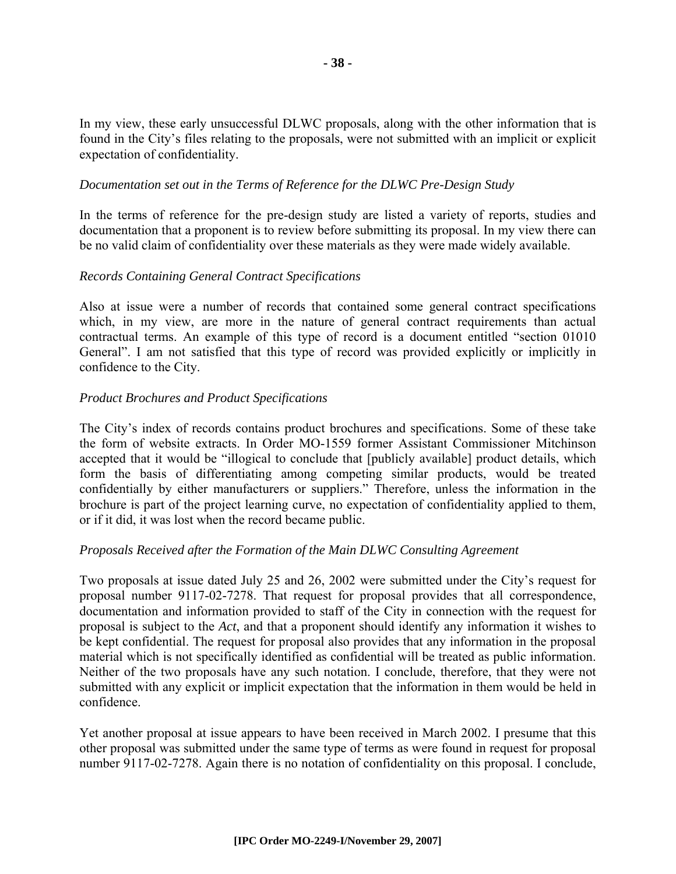In my view, these early unsuccessful DLWC proposals, along with the other information that is found in the City's files relating to the proposals, were not submitted with an implicit or explicit expectation of confidentiality.

#### *Documentation set out in the Terms of Reference for the DLWC Pre-Design Study*

In the terms of reference for the pre-design study are listed a variety of reports, studies and documentation that a proponent is to review before submitting its proposal. In my view there can be no valid claim of confidentiality over these materials as they were made widely available.

#### *Records Containing General Contract Specifications*

Also at issue were a number of records that contained some general contract specifications which, in my view, are more in the nature of general contract requirements than actual contractual terms. An example of this type of record is a document entitled "section 01010 General". I am not satisfied that this type of record was provided explicitly or implicitly in confidence to the City.

#### *Product Brochures and Product Specifications*

The City's index of records contains product brochures and specifications. Some of these take the form of website extracts. In Order MO-1559 former Assistant Commissioner Mitchinson accepted that it would be "illogical to conclude that [publicly available] product details, which form the basis of differentiating among competing similar products, would be treated confidentially by either manufacturers or suppliers." Therefore, unless the information in the brochure is part of the project learning curve, no expectation of confidentiality applied to them, or if it did, it was lost when the record became public.

#### *Proposals Received after the Formation of the Main DLWC Consulting Agreement*

Two proposals at issue dated July 25 and 26, 2002 were submitted under the City's request for proposal number 9117-02-7278. That request for proposal provides that all correspondence, documentation and information provided to staff of the City in connection with the request for proposal is subject to the *Act*, and that a proponent should identify any information it wishes to be kept confidential. The request for proposal also provides that any information in the proposal material which is not specifically identified as confidential will be treated as public information. Neither of the two proposals have any such notation. I conclude, therefore, that they were not submitted with any explicit or implicit expectation that the information in them would be held in confidence.

Yet another proposal at issue appears to have been received in March 2002. I presume that this other proposal was submitted under the same type of terms as were found in request for proposal number 9117-02-7278. Again there is no notation of confidentiality on this proposal. I conclude,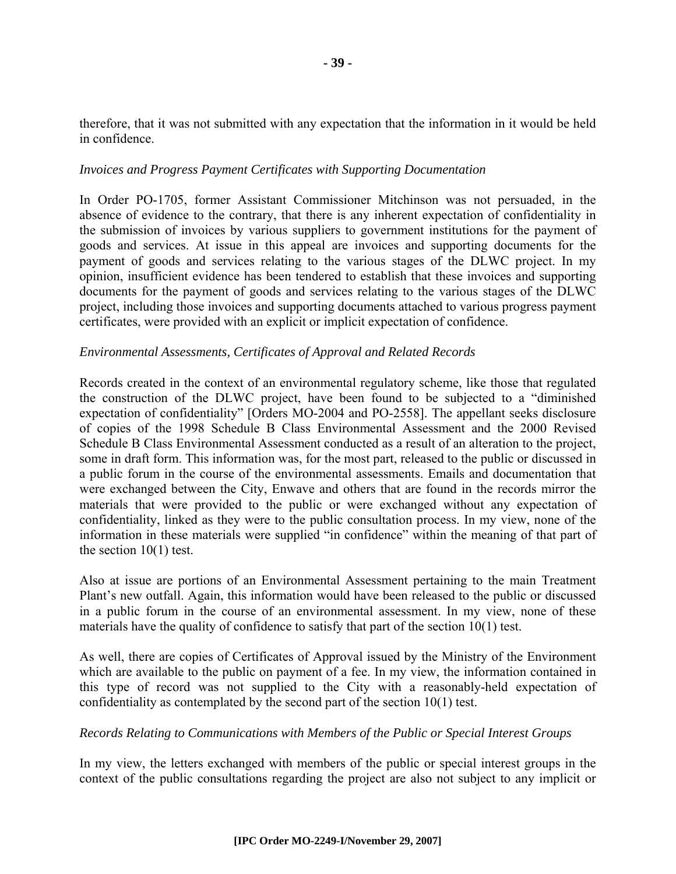therefore, that it was not submitted with any expectation that the information in it would be held in confidence.

#### *Invoices and Progress Payment Certificates with Supporting Documentation*

In Order PO-1705, former Assistant Commissioner Mitchinson was not persuaded, in the absence of evidence to the contrary, that there is any inherent expectation of confidentiality in the submission of invoices by various suppliers to government institutions for the payment of goods and services. At issue in this appeal are invoices and supporting documents for the payment of goods and services relating to the various stages of the DLWC project. In my opinion, insufficient evidence has been tendered to establish that these invoices and supporting documents for the payment of goods and services relating to the various stages of the DLWC project, including those invoices and supporting documents attached to various progress payment certificates, were provided with an explicit or implicit expectation of confidence.

#### *Environmental Assessments, Certificates of Approval and Related Records*

Records created in the context of an environmental regulatory scheme, like those that regulated the construction of the DLWC project, have been found to be subjected to a "diminished expectation of confidentiality" [Orders MO-2004 and PO-2558]. The appellant seeks disclosure of copies of the 1998 Schedule B Class Environmental Assessment and the 2000 Revised Schedule B Class Environmental Assessment conducted as a result of an alteration to the project, some in draft form. This information was, for the most part, released to the public or discussed in a public forum in the course of the environmental assessments. Emails and documentation that were exchanged between the City, Enwave and others that are found in the records mirror the materials that were provided to the public or were exchanged without any expectation of confidentiality, linked as they were to the public consultation process. In my view, none of the information in these materials were supplied "in confidence" within the meaning of that part of the section  $10(1)$  test.

Also at issue are portions of an Environmental Assessment pertaining to the main Treatment Plant's new outfall. Again, this information would have been released to the public or discussed in a public forum in the course of an environmental assessment. In my view, none of these materials have the quality of confidence to satisfy that part of the section 10(1) test.

As well, there are copies of Certificates of Approval issued by the Ministry of the Environment which are available to the public on payment of a fee. In my view, the information contained in this type of record was not supplied to the City with a reasonably-held expectation of confidentiality as contemplated by the second part of the section 10(1) test.

#### *Records Relating to Communications with Members of the Public or Special Interest Groups*

In my view, the letters exchanged with members of the public or special interest groups in the context of the public consultations regarding the project are also not subject to any implicit or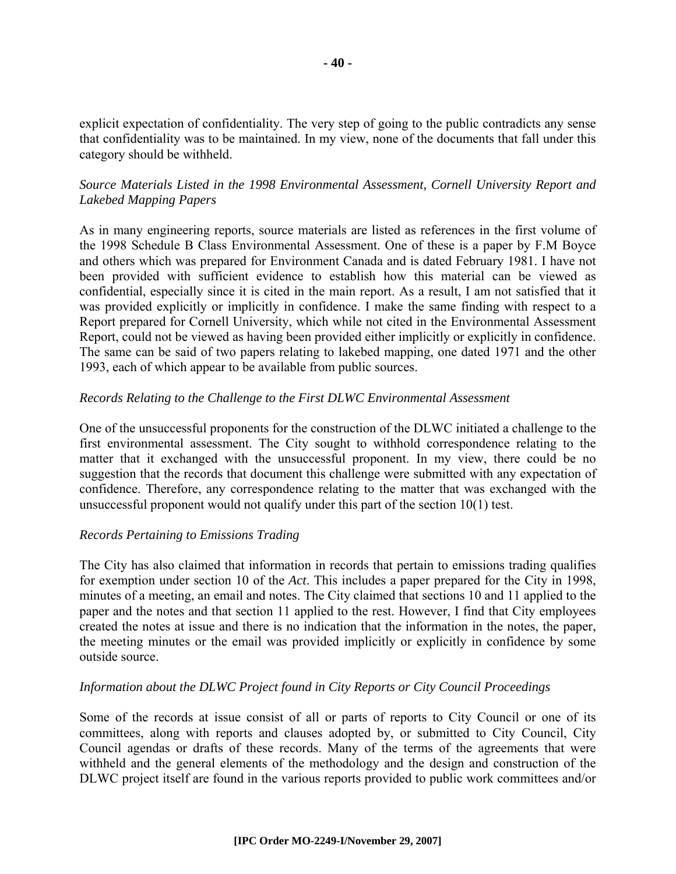explicit expectation of confidentiality. The very step of going to the public contradicts any sense that confidentiality was to be maintained. In my view, none of the documents that fall under this category should be withheld.

#### *Source Materials Listed in the 1998 Environmental Assessment, Cornell University Report and Lakebed Mapping Papers*

As in many engineering reports, source materials are listed as references in the first volume of the 1998 Schedule B Class Environmental Assessment. One of these is a paper by F.M Boyce and others which was prepared for Environment Canada and is dated February 1981. I have not been provided with sufficient evidence to establish how this material can be viewed as confidential, especially since it is cited in the main report. As a result, I am not satisfied that it was provided explicitly or implicitly in confidence. I make the same finding with respect to a Report prepared for Cornell University, which while not cited in the Environmental Assessment Report, could not be viewed as having been provided either implicitly or explicitly in confidence. The same can be said of two papers relating to lakebed mapping, one dated 1971 and the other 1993, each of which appear to be available from public sources.

#### *Records Relating to the Challenge to the First DLWC Environmental Assessment*

One of the unsuccessful proponents for the construction of the DLWC initiated a challenge to the first environmental assessment. The City sought to withhold correspondence relating to the matter that it exchanged with the unsuccessful proponent. In my view, there could be no suggestion that the records that document this challenge were submitted with any expectation of confidence. Therefore, any correspondence relating to the matter that was exchanged with the unsuccessful proponent would not qualify under this part of the section 10(1) test.

#### *Records Pertaining to Emissions Trading*

The City has also claimed that information in records that pertain to emissions trading qualifies for exemption under section 10 of the *Act*. This includes a paper prepared for the City in 1998, minutes of a meeting, an email and notes. The City claimed that sections 10 and 11 applied to the paper and the notes and that section 11 applied to the rest. However, I find that City employees created the notes at issue and there is no indication that the information in the notes, the paper, the meeting minutes or the email was provided implicitly or explicitly in confidence by some outside source.

#### *Information about the DLWC Project found in City Reports or City Council Proceedings*

Some of the records at issue consist of all or parts of reports to City Council or one of its committees, along with reports and clauses adopted by, or submitted to City Council, City Council agendas or drafts of these records. Many of the terms of the agreements that were withheld and the general elements of the methodology and the design and construction of the DLWC project itself are found in the various reports provided to public work committees and/or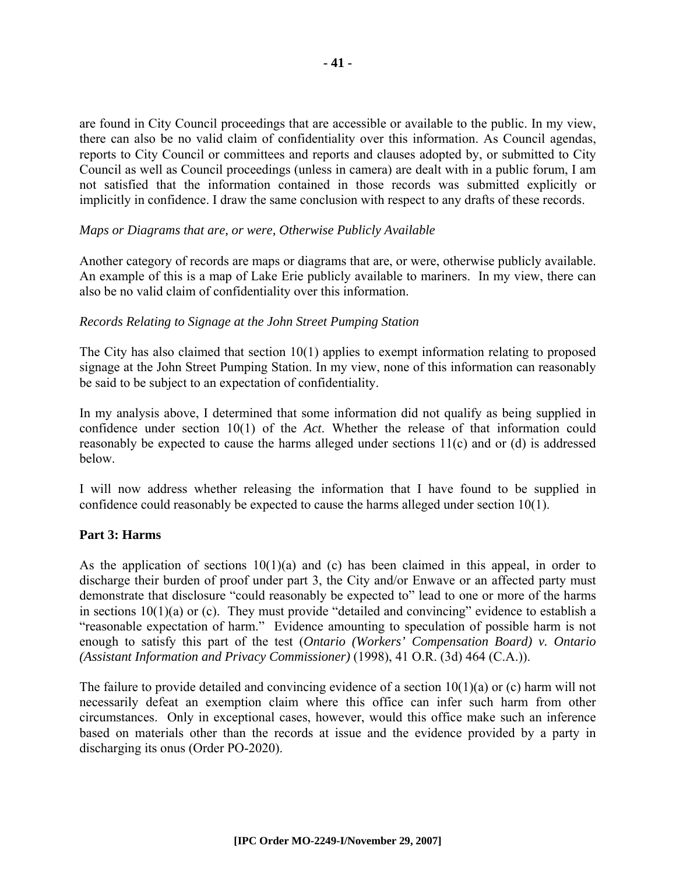are found in City Council proceedings that are accessible or available to the public. In my view, there can also be no valid claim of confidentiality over this information. As Council agendas, reports to City Council or committees and reports and clauses adopted by, or submitted to City Council as well as Council proceedings (unless in camera) are dealt with in a public forum, I am not satisfied that the information contained in those records was submitted explicitly or implicitly in confidence. I draw the same conclusion with respect to any drafts of these records.

#### *Maps or Diagrams that are, or were, Otherwise Publicly Available*

Another category of records are maps or diagrams that are, or were, otherwise publicly available. An example of this is a map of Lake Erie publicly available to mariners. In my view, there can also be no valid claim of confidentiality over this information.

#### *Records Relating to Signage at the John Street Pumping Station*

The City has also claimed that section 10(1) applies to exempt information relating to proposed signage at the John Street Pumping Station. In my view, none of this information can reasonably be said to be subject to an expectation of confidentiality.

In my analysis above, I determined that some information did not qualify as being supplied in confidence under section 10(1) of the *Act*. Whether the release of that information could reasonably be expected to cause the harms alleged under sections 11(c) and or (d) is addressed below.

I will now address whether releasing the information that I have found to be supplied in confidence could reasonably be expected to cause the harms alleged under section 10(1).

#### **Part 3: Harms**

As the application of sections  $10(1)(a)$  and (c) has been claimed in this appeal, in order to discharge their burden of proof under part 3, the City and/or Enwave or an affected party must demonstrate that disclosure "could reasonably be expected to" lead to one or more of the harms in sections 10(1)(a) or (c). They must provide "detailed and convincing" evidence to establish a "reasonable expectation of harm." Evidence amounting to speculation of possible harm is not enough to satisfy this part of the test (*Ontario (Workers' Compensation Board) v. Ontario (Assistant Information and Privacy Commissioner)* (1998), 41 O.R. (3d) 464 (C.A.)).

The failure to provide detailed and convincing evidence of a section  $10(1)(a)$  or (c) harm will not necessarily defeat an exemption claim where this office can infer such harm from other circumstances. Only in exceptional cases, however, would this office make such an inference based on materials other than the records at issue and the evidence provided by a party in discharging its onus (Order PO-2020).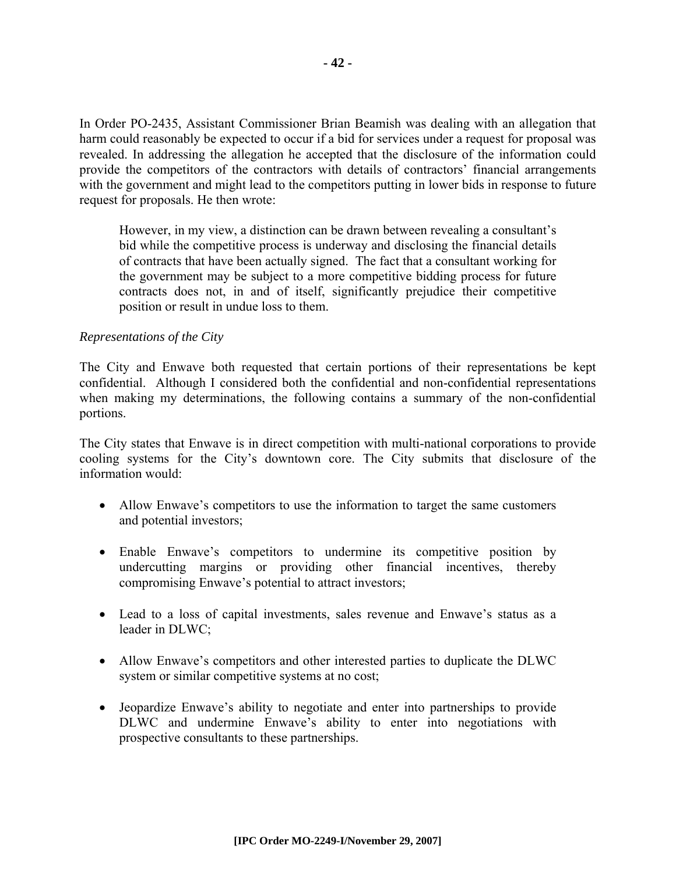In Order PO-2435, Assistant Commissioner Brian Beamish was dealing with an allegation that harm could reasonably be expected to occur if a bid for services under a request for proposal was revealed. In addressing the allegation he accepted that the disclosure of the information could provide the competitors of the contractors with details of contractors' financial arrangements with the government and might lead to the competitors putting in lower bids in response to future request for proposals. He then wrote:

However, in my view, a distinction can be drawn between revealing a consultant's bid while the competitive process is underway and disclosing the financial details of contracts that have been actually signed. The fact that a consultant working for the government may be subject to a more competitive bidding process for future contracts does not, in and of itself, significantly prejudice their competitive position or result in undue loss to them.

#### *Representations of the City*

The City and Enwave both requested that certain portions of their representations be kept confidential. Although I considered both the confidential and non-confidential representations when making my determinations, the following contains a summary of the non-confidential portions.

The City states that Enwave is in direct competition with multi-national corporations to provide cooling systems for the City's downtown core. The City submits that disclosure of the information would:

- Allow Enwave's competitors to use the information to target the same customers and potential investors;
- Enable Enwave's competitors to undermine its competitive position by undercutting margins or providing other financial incentives, thereby compromising Enwave's potential to attract investors;
- Lead to a loss of capital investments, sales revenue and Enwave's status as a leader in DLWC;
- Allow Enwave's competitors and other interested parties to duplicate the DLWC system or similar competitive systems at no cost;
- Jeopardize Enwave's ability to negotiate and enter into partnerships to provide DLWC and undermine Enwave's ability to enter into negotiations with prospective consultants to these partnerships.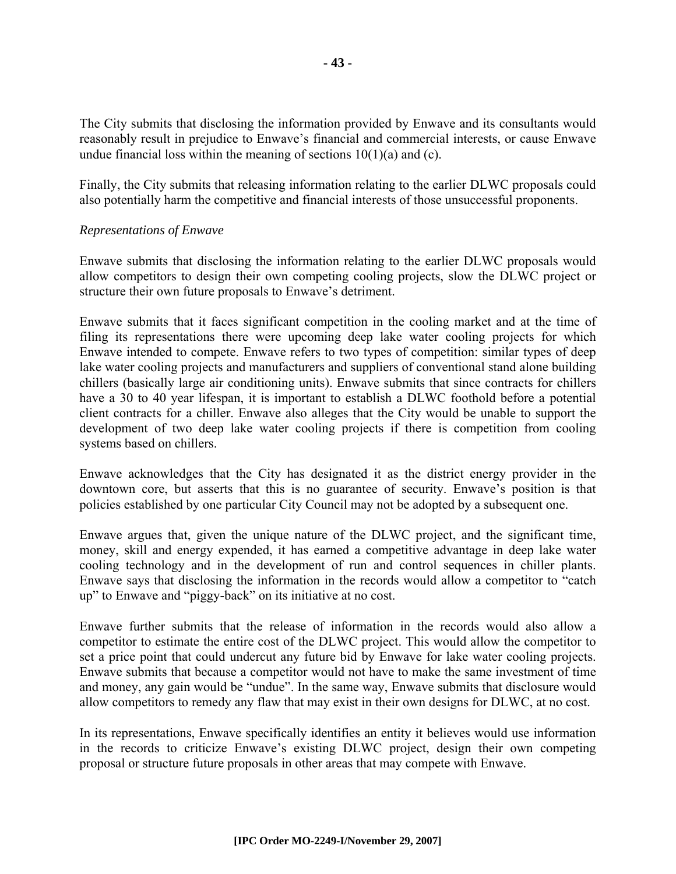The City submits that disclosing the information provided by Enwave and its consultants would reasonably result in prejudice to Enwave's financial and commercial interests, or cause Enwave undue financial loss within the meaning of sections  $10(1)(a)$  and (c).

Finally, the City submits that releasing information relating to the earlier DLWC proposals could also potentially harm the competitive and financial interests of those unsuccessful proponents.

#### *Representations of Enwave*

Enwave submits that disclosing the information relating to the earlier DLWC proposals would allow competitors to design their own competing cooling projects, slow the DLWC project or structure their own future proposals to Enwave's detriment.

Enwave submits that it faces significant competition in the cooling market and at the time of filing its representations there were upcoming deep lake water cooling projects for which Enwave intended to compete. Enwave refers to two types of competition: similar types of deep lake water cooling projects and manufacturers and suppliers of conventional stand alone building chillers (basically large air conditioning units). Enwave submits that since contracts for chillers have a 30 to 40 year lifespan, it is important to establish a DLWC foothold before a potential client contracts for a chiller. Enwave also alleges that the City would be unable to support the development of two deep lake water cooling projects if there is competition from cooling systems based on chillers.

Enwave acknowledges that the City has designated it as the district energy provider in the downtown core, but asserts that this is no guarantee of security. Enwave's position is that policies established by one particular City Council may not be adopted by a subsequent one.

Enwave argues that, given the unique nature of the DLWC project, and the significant time, money, skill and energy expended, it has earned a competitive advantage in deep lake water cooling technology and in the development of run and control sequences in chiller plants. Enwave says that disclosing the information in the records would allow a competitor to "catch up" to Enwave and "piggy-back" on its initiative at no cost.

Enwave further submits that the release of information in the records would also allow a competitor to estimate the entire cost of the DLWC project. This would allow the competitor to set a price point that could undercut any future bid by Enwave for lake water cooling projects. Enwave submits that because a competitor would not have to make the same investment of time and money, any gain would be "undue". In the same way, Enwave submits that disclosure would allow competitors to remedy any flaw that may exist in their own designs for DLWC, at no cost.

In its representations, Enwave specifically identifies an entity it believes would use information in the records to criticize Enwave's existing DLWC project, design their own competing proposal or structure future proposals in other areas that may compete with Enwave.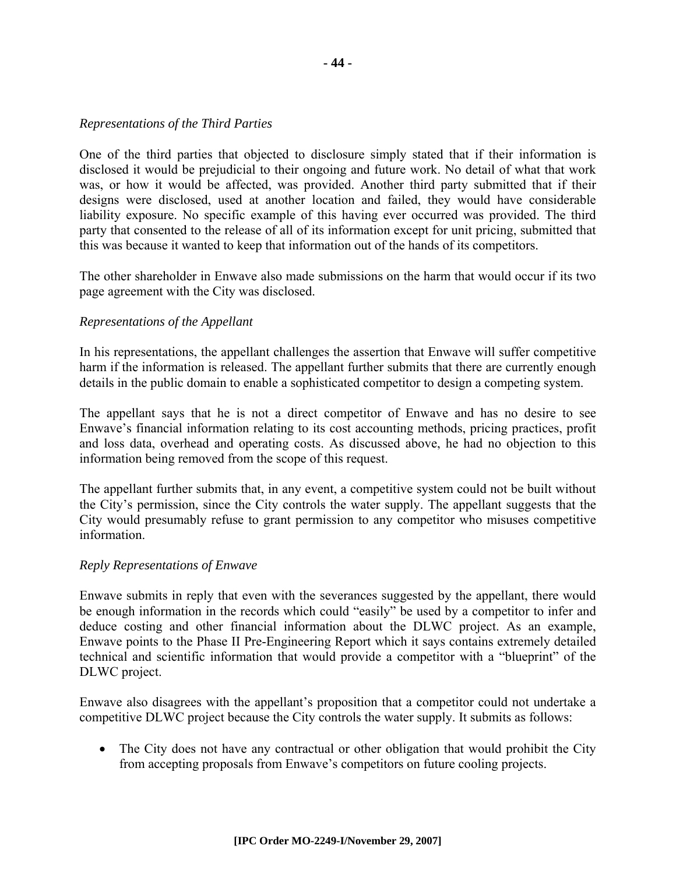#### *Representations of the Third Parties*

One of the third parties that objected to disclosure simply stated that if their information is disclosed it would be prejudicial to their ongoing and future work. No detail of what that work was, or how it would be affected, was provided. Another third party submitted that if their designs were disclosed, used at another location and failed, they would have considerable liability exposure. No specific example of this having ever occurred was provided. The third party that consented to the release of all of its information except for unit pricing, submitted that this was because it wanted to keep that information out of the hands of its competitors.

The other shareholder in Enwave also made submissions on the harm that would occur if its two page agreement with the City was disclosed.

#### *Representations of the Appellant*

In his representations, the appellant challenges the assertion that Enwave will suffer competitive harm if the information is released. The appellant further submits that there are currently enough details in the public domain to enable a sophisticated competitor to design a competing system.

The appellant says that he is not a direct competitor of Enwave and has no desire to see Enwave's financial information relating to its cost accounting methods, pricing practices, profit and loss data, overhead and operating costs. As discussed above, he had no objection to this information being removed from the scope of this request.

The appellant further submits that, in any event, a competitive system could not be built without the City's permission, since the City controls the water supply. The appellant suggests that the City would presumably refuse to grant permission to any competitor who misuses competitive information.

#### *Reply Representations of Enwave*

Enwave submits in reply that even with the severances suggested by the appellant, there would be enough information in the records which could "easily" be used by a competitor to infer and deduce costing and other financial information about the DLWC project. As an example, Enwave points to the Phase II Pre-Engineering Report which it says contains extremely detailed technical and scientific information that would provide a competitor with a "blueprint" of the DLWC project.

Enwave also disagrees with the appellant's proposition that a competitor could not undertake a competitive DLWC project because the City controls the water supply. It submits as follows:

• The City does not have any contractual or other obligation that would prohibit the City from accepting proposals from Enwave's competitors on future cooling projects.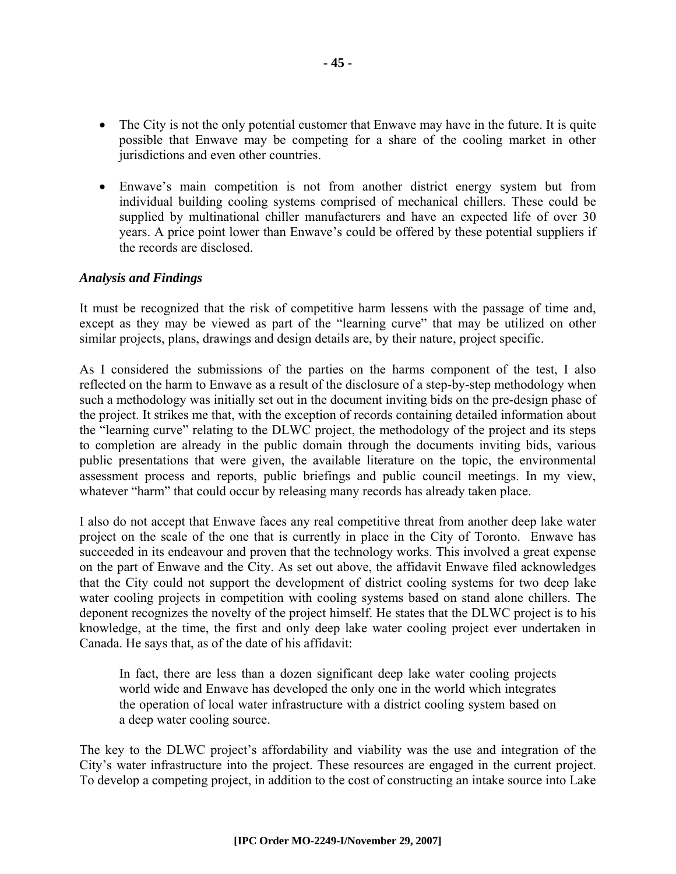- The City is not the only potential customer that Enwave may have in the future. It is quite possible that Enwave may be competing for a share of the cooling market in other jurisdictions and even other countries.
- Enwave's main competition is not from another district energy system but from individual building cooling systems comprised of mechanical chillers. These could be supplied by multinational chiller manufacturers and have an expected life of over 30 years. A price point lower than Enwave's could be offered by these potential suppliers if the records are disclosed.

#### *Analysis and Findings*

It must be recognized that the risk of competitive harm lessens with the passage of time and, except as they may be viewed as part of the "learning curve" that may be utilized on other similar projects, plans, drawings and design details are, by their nature, project specific.

As I considered the submissions of the parties on the harms component of the test, I also reflected on the harm to Enwave as a result of the disclosure of a step-by-step methodology when such a methodology was initially set out in the document inviting bids on the pre-design phase of the project. It strikes me that, with the exception of records containing detailed information about the "learning curve" relating to the DLWC project, the methodology of the project and its steps to completion are already in the public domain through the documents inviting bids, various public presentations that were given, the available literature on the topic, the environmental assessment process and reports, public briefings and public council meetings. In my view, whatever "harm" that could occur by releasing many records has already taken place.

I also do not accept that Enwave faces any real competitive threat from another deep lake water project on the scale of the one that is currently in place in the City of Toronto. Enwave has succeeded in its endeavour and proven that the technology works. This involved a great expense on the part of Enwave and the City. As set out above, the affidavit Enwave filed acknowledges that the City could not support the development of district cooling systems for two deep lake water cooling projects in competition with cooling systems based on stand alone chillers. The deponent recognizes the novelty of the project himself. He states that the DLWC project is to his knowledge, at the time, the first and only deep lake water cooling project ever undertaken in Canada. He says that, as of the date of his affidavit:

In fact, there are less than a dozen significant deep lake water cooling projects world wide and Enwave has developed the only one in the world which integrates the operation of local water infrastructure with a district cooling system based on a deep water cooling source.

The key to the DLWC project's affordability and viability was the use and integration of the City's water infrastructure into the project. These resources are engaged in the current project. To develop a competing project, in addition to the cost of constructing an intake source into Lake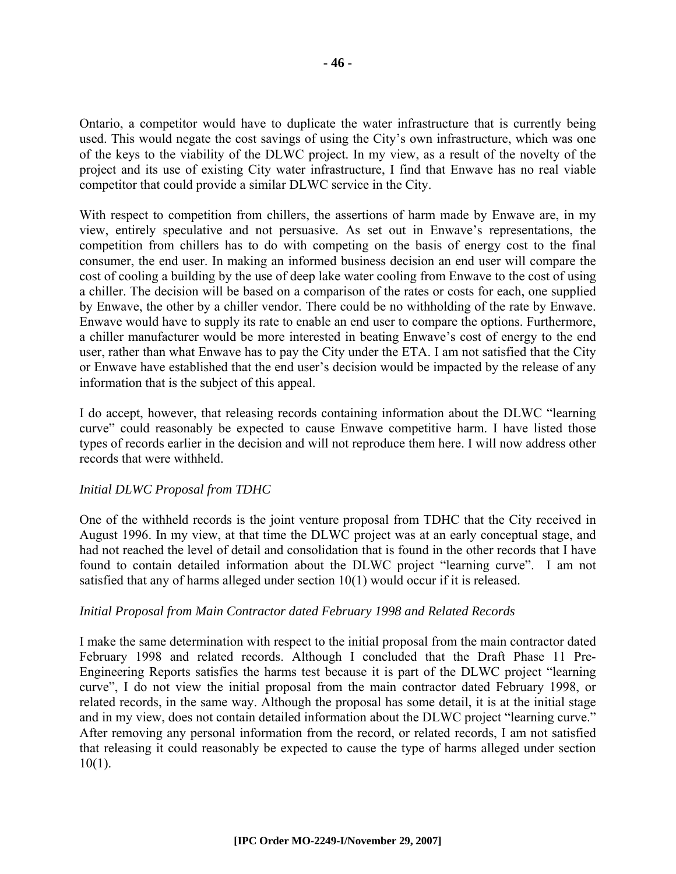Ontario, a competitor would have to duplicate the water infrastructure that is currently being used. This would negate the cost savings of using the City's own infrastructure, which was one of the keys to the viability of the DLWC project. In my view, as a result of the novelty of the project and its use of existing City water infrastructure, I find that Enwave has no real viable competitor that could provide a similar DLWC service in the City.

With respect to competition from chillers, the assertions of harm made by Enwave are, in my view, entirely speculative and not persuasive. As set out in Enwave's representations, the competition from chillers has to do with competing on the basis of energy cost to the final consumer, the end user. In making an informed business decision an end user will compare the cost of cooling a building by the use of deep lake water cooling from Enwave to the cost of using a chiller. The decision will be based on a comparison of the rates or costs for each, one supplied by Enwave, the other by a chiller vendor. There could be no withholding of the rate by Enwave. Enwave would have to supply its rate to enable an end user to compare the options. Furthermore, a chiller manufacturer would be more interested in beating Enwave's cost of energy to the end user, rather than what Enwave has to pay the City under the ETA. I am not satisfied that the City or Enwave have established that the end user's decision would be impacted by the release of any information that is the subject of this appeal.

I do accept, however, that releasing records containing information about the DLWC "learning curve" could reasonably be expected to cause Enwave competitive harm. I have listed those types of records earlier in the decision and will not reproduce them here. I will now address other records that were withheld.

#### *Initial DLWC Proposal from TDHC*

One of the withheld records is the joint venture proposal from TDHC that the City received in August 1996. In my view, at that time the DLWC project was at an early conceptual stage, and had not reached the level of detail and consolidation that is found in the other records that I have found to contain detailed information about the DLWC project "learning curve". I am not satisfied that any of harms alleged under section  $10(1)$  would occur if it is released.

#### *Initial Proposal from Main Contractor dated February 1998 and Related Records*

I make the same determination with respect to the initial proposal from the main contractor dated February 1998 and related records. Although I concluded that the Draft Phase 11 Pre-Engineering Reports satisfies the harms test because it is part of the DLWC project "learning curve", I do not view the initial proposal from the main contractor dated February 1998, or related records, in the same way. Although the proposal has some detail, it is at the initial stage and in my view, does not contain detailed information about the DLWC project "learning curve." After removing any personal information from the record, or related records, I am not satisfied that releasing it could reasonably be expected to cause the type of harms alleged under section  $10(1)$ .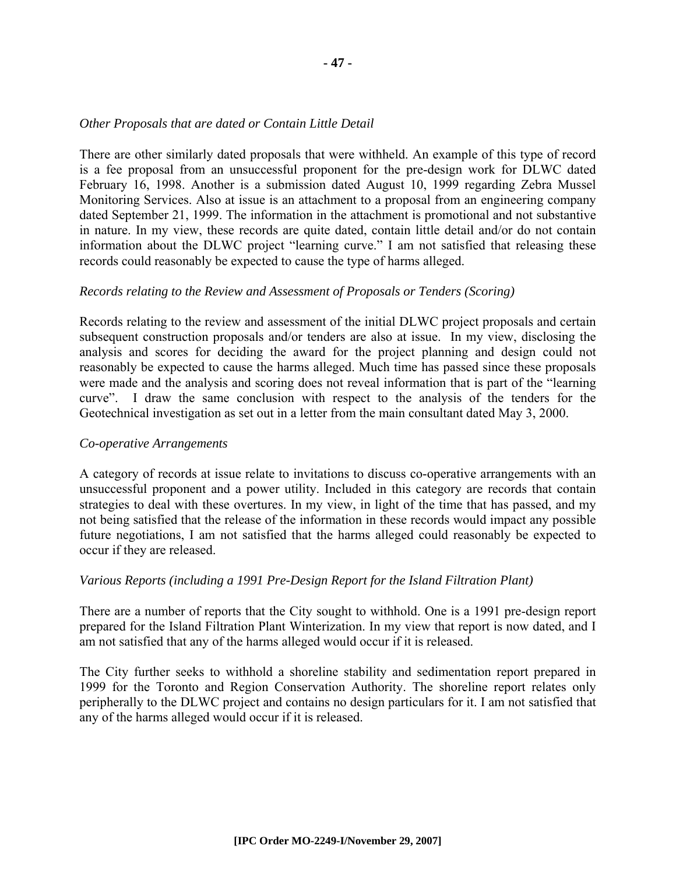#### *Other Proposals that are dated or Contain Little Detail*

There are other similarly dated proposals that were withheld. An example of this type of record is a fee proposal from an unsuccessful proponent for the pre-design work for DLWC dated February 16, 1998. Another is a submission dated August 10, 1999 regarding Zebra Mussel Monitoring Services. Also at issue is an attachment to a proposal from an engineering company dated September 21, 1999. The information in the attachment is promotional and not substantive in nature. In my view, these records are quite dated, contain little detail and/or do not contain information about the DLWC project "learning curve." I am not satisfied that releasing these records could reasonably be expected to cause the type of harms alleged.

#### *Records relating to the Review and Assessment of Proposals or Tenders (Scoring)*

Records relating to the review and assessment of the initial DLWC project proposals and certain subsequent construction proposals and/or tenders are also at issue. In my view, disclosing the analysis and scores for deciding the award for the project planning and design could not reasonably be expected to cause the harms alleged. Much time has passed since these proposals were made and the analysis and scoring does not reveal information that is part of the "learning curve". I draw the same conclusion with respect to the analysis of the tenders for the Geotechnical investigation as set out in a letter from the main consultant dated May 3, 2000.

#### *Co-operative Arrangements*

A category of records at issue relate to invitations to discuss co-operative arrangements with an unsuccessful proponent and a power utility. Included in this category are records that contain strategies to deal with these overtures. In my view, in light of the time that has passed, and my not being satisfied that the release of the information in these records would impact any possible future negotiations, I am not satisfied that the harms alleged could reasonably be expected to occur if they are released.

#### *Various Reports (including a 1991 Pre-Design Report for the Island Filtration Plant)*

There are a number of reports that the City sought to withhold. One is a 1991 pre-design report prepared for the Island Filtration Plant Winterization. In my view that report is now dated, and I am not satisfied that any of the harms alleged would occur if it is released.

The City further seeks to withhold a shoreline stability and sedimentation report prepared in 1999 for the Toronto and Region Conservation Authority. The shoreline report relates only peripherally to the DLWC project and contains no design particulars for it. I am not satisfied that any of the harms alleged would occur if it is released.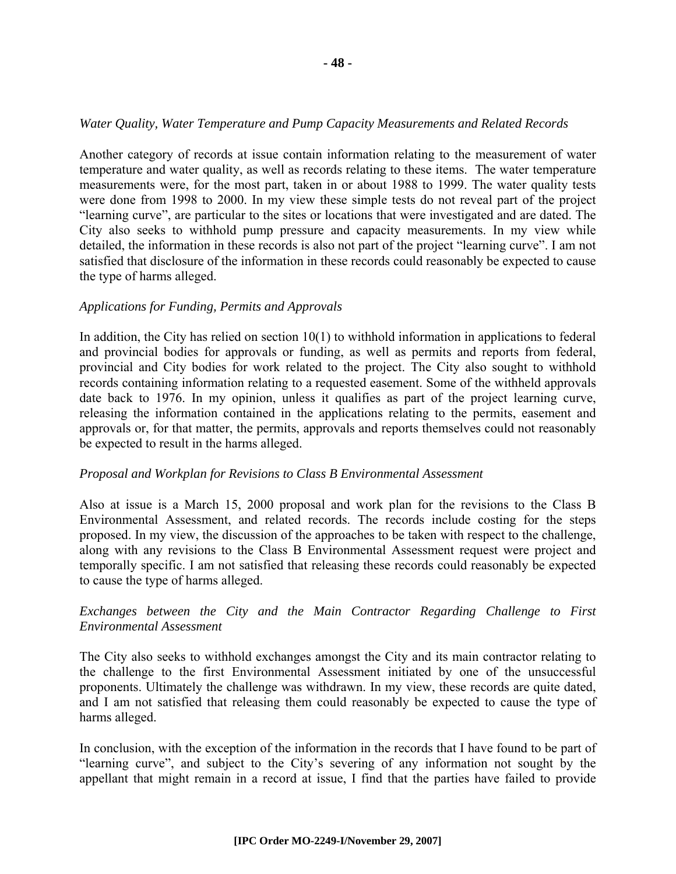#### *Water Quality, Water Temperature and Pump Capacity Measurements and Related Records*

Another category of records at issue contain information relating to the measurement of water temperature and water quality, as well as records relating to these items. The water temperature measurements were, for the most part, taken in or about 1988 to 1999. The water quality tests were done from 1998 to 2000. In my view these simple tests do not reveal part of the project "learning curve", are particular to the sites or locations that were investigated and are dated. The City also seeks to withhold pump pressure and capacity measurements. In my view while detailed, the information in these records is also not part of the project "learning curve". I am not satisfied that disclosure of the information in these records could reasonably be expected to cause the type of harms alleged.

#### *Applications for Funding, Permits and Approvals*

In addition, the City has relied on section 10(1) to withhold information in applications to federal and provincial bodies for approvals or funding, as well as permits and reports from federal, provincial and City bodies for work related to the project. The City also sought to withhold records containing information relating to a requested easement. Some of the withheld approvals date back to 1976. In my opinion, unless it qualifies as part of the project learning curve, releasing the information contained in the applications relating to the permits, easement and approvals or, for that matter, the permits, approvals and reports themselves could not reasonably be expected to result in the harms alleged.

#### *Proposal and Workplan for Revisions to Class B Environmental Assessment*

Also at issue is a March 15, 2000 proposal and work plan for the revisions to the Class B Environmental Assessment, and related records. The records include costing for the steps proposed. In my view, the discussion of the approaches to be taken with respect to the challenge, along with any revisions to the Class B Environmental Assessment request were project and temporally specific. I am not satisfied that releasing these records could reasonably be expected to cause the type of harms alleged.

#### *Exchanges between the City and the Main Contractor Regarding Challenge to First Environmental Assessment*

The City also seeks to withhold exchanges amongst the City and its main contractor relating to the challenge to the first Environmental Assessment initiated by one of the unsuccessful proponents. Ultimately the challenge was withdrawn. In my view, these records are quite dated, and I am not satisfied that releasing them could reasonably be expected to cause the type of harms alleged.

In conclusion, with the exception of the information in the records that I have found to be part of "learning curve", and subject to the City's severing of any information not sought by the appellant that might remain in a record at issue, I find that the parties have failed to provide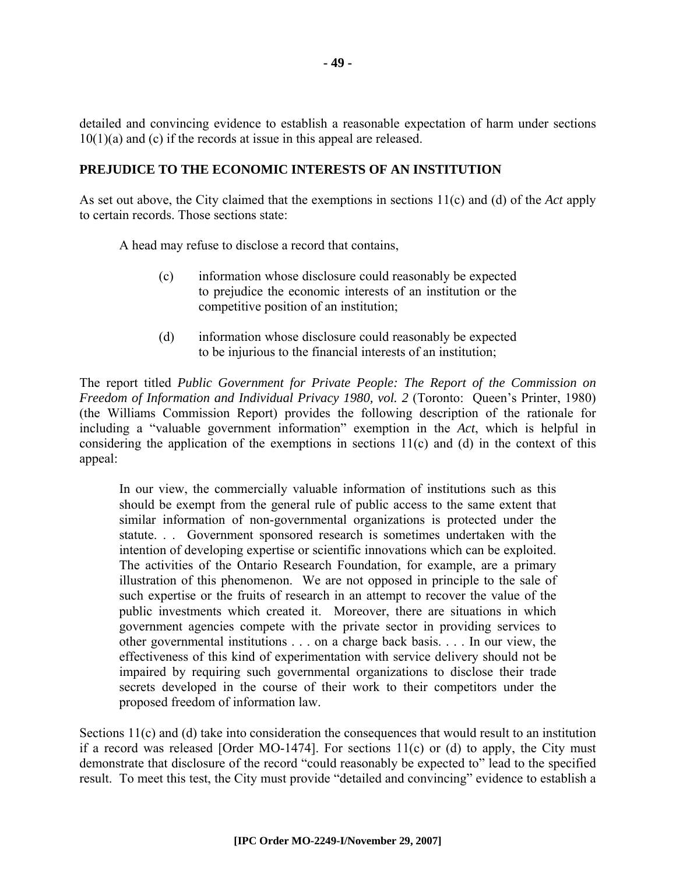detailed and convincing evidence to establish a reasonable expectation of harm under sections  $10(1)(a)$  and (c) if the records at issue in this appeal are released.

#### **PREJUDICE TO THE ECONOMIC INTERESTS OF AN INSTITUTION**

As set out above, the City claimed that the exemptions in sections 11(c) and (d) of the *Act* apply to certain records. Those sections state:

A head may refuse to disclose a record that contains,

- (c) information whose disclosure could reasonably be expected to prejudice the economic interests of an institution or the competitive position of an institution;
- (d) information whose disclosure could reasonably be expected to be injurious to the financial interests of an institution;

The report titled *Public Government for Private People: The Report of the Commission on Freedom of Information and Individual Privacy 1980, vol. 2* (Toronto: Queen's Printer, 1980) (the Williams Commission Report) provides the following description of the rationale for including a "valuable government information" exemption in the *Act*, which is helpful in considering the application of the exemptions in sections 11(c) and (d) in the context of this appeal:

In our view, the commercially valuable information of institutions such as this should be exempt from the general rule of public access to the same extent that similar information of non-governmental organizations is protected under the statute. . . Government sponsored research is sometimes undertaken with the intention of developing expertise or scientific innovations which can be exploited. The activities of the Ontario Research Foundation, for example, are a primary illustration of this phenomenon. We are not opposed in principle to the sale of such expertise or the fruits of research in an attempt to recover the value of the public investments which created it. Moreover, there are situations in which government agencies compete with the private sector in providing services to other governmental institutions . . . on a charge back basis. . . . In our view, the effectiveness of this kind of experimentation with service delivery should not be impaired by requiring such governmental organizations to disclose their trade secrets developed in the course of their work to their competitors under the proposed freedom of information law.

Sections 11(c) and (d) take into consideration the consequences that would result to an institution if a record was released [Order MO-1474]. For sections  $11(c)$  or (d) to apply, the City must demonstrate that disclosure of the record "could reasonably be expected to" lead to the specified result. To meet this test, the City must provide "detailed and convincing" evidence to establish a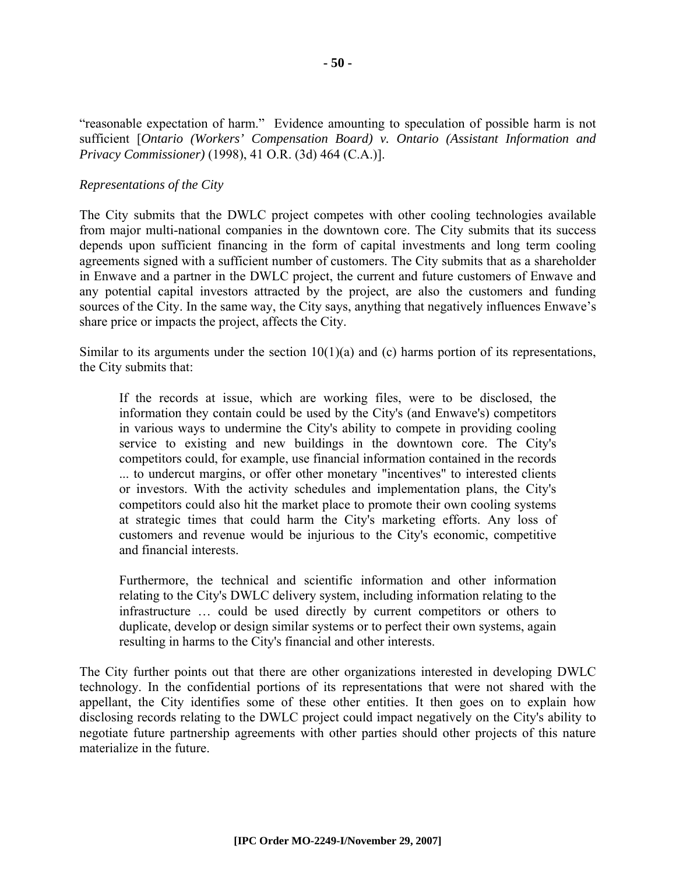"reasonable expectation of harm." Evidence amounting to speculation of possible harm is not sufficient [*Ontario (Workers' Compensation Board) v. Ontario (Assistant Information and Privacy Commissioner)* (1998), 41 O.R. (3d) 464 (C.A.)].

#### *Representations of the City*

The City submits that the DWLC project competes with other cooling technologies available from major multi-national companies in the downtown core. The City submits that its success depends upon sufficient financing in the form of capital investments and long term cooling agreements signed with a sufficient number of customers. The City submits that as a shareholder in Enwave and a partner in the DWLC project, the current and future customers of Enwave and any potential capital investors attracted by the project, are also the customers and funding sources of the City. In the same way, the City says, anything that negatively influences Enwave's share price or impacts the project, affects the City.

Similar to its arguments under the section  $10(1)(a)$  and (c) harms portion of its representations, the City submits that:

If the records at issue, which are working files, were to be disclosed, the information they contain could be used by the City's (and Enwave's) competitors in various ways to undermine the City's ability to compete in providing cooling service to existing and new buildings in the downtown core. The City's competitors could, for example, use financial information contained in the records ... to undercut margins, or offer other monetary "incentives" to interested clients or investors. With the activity schedules and implementation plans, the City's competitors could also hit the market place to promote their own cooling systems at strategic times that could harm the City's marketing efforts. Any loss of customers and revenue would be injurious to the City's economic, competitive and financial interests.

Furthermore, the technical and scientific information and other information relating to the City's DWLC delivery system, including information relating to the infrastructure … could be used directly by current competitors or others to duplicate, develop or design similar systems or to perfect their own systems, again resulting in harms to the City's financial and other interests.

The City further points out that there are other organizations interested in developing DWLC technology. In the confidential portions of its representations that were not shared with the appellant, the City identifies some of these other entities. It then goes on to explain how disclosing records relating to the DWLC project could impact negatively on the City's ability to negotiate future partnership agreements with other parties should other projects of this nature materialize in the future.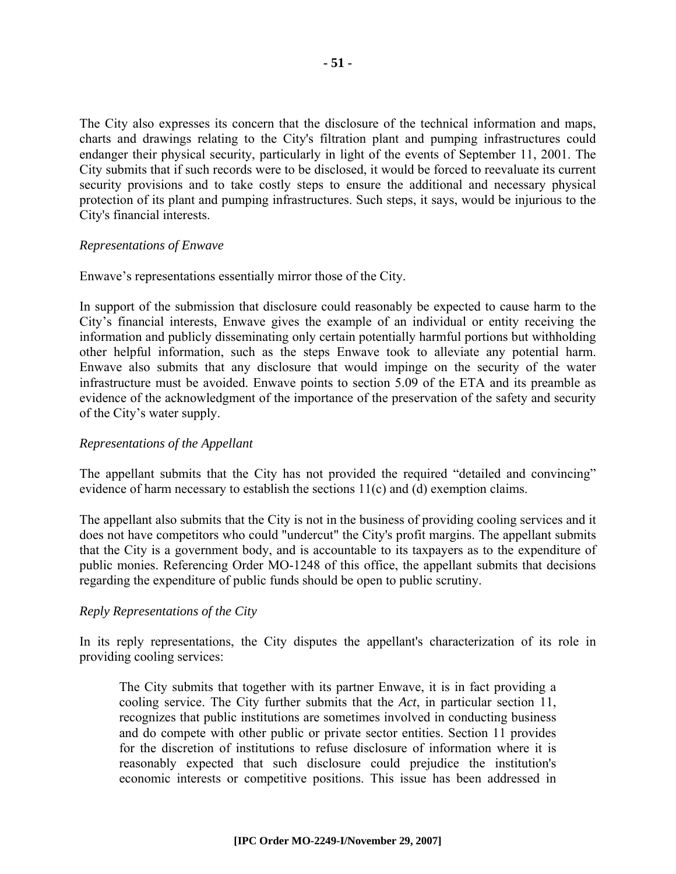The City also expresses its concern that the disclosure of the technical information and maps, charts and drawings relating to the City's filtration plant and pumping infrastructures could endanger their physical security, particularly in light of the events of September 11, 2001. The City submits that if such records were to be disclosed, it would be forced to reevaluate its current security provisions and to take costly steps to ensure the additional and necessary physical protection of its plant and pumping infrastructures. Such steps, it says, would be injurious to the City's financial interests.

#### *Representations of Enwave*

Enwave's representations essentially mirror those of the City.

In support of the submission that disclosure could reasonably be expected to cause harm to the City's financial interests, Enwave gives the example of an individual or entity receiving the information and publicly disseminating only certain potentially harmful portions but withholding other helpful information, such as the steps Enwave took to alleviate any potential harm. Enwave also submits that any disclosure that would impinge on the security of the water infrastructure must be avoided. Enwave points to section 5.09 of the ETA and its preamble as evidence of the acknowledgment of the importance of the preservation of the safety and security of the City's water supply.

#### *Representations of the Appellant*

The appellant submits that the City has not provided the required "detailed and convincing" evidence of harm necessary to establish the sections 11(c) and (d) exemption claims.

The appellant also submits that the City is not in the business of providing cooling services and it does not have competitors who could "undercut" the City's profit margins. The appellant submits that the City is a government body, and is accountable to its taxpayers as to the expenditure of public monies. Referencing Order MO-1248 of this office, the appellant submits that decisions regarding the expenditure of public funds should be open to public scrutiny.

#### *Reply Representations of the City*

In its reply representations, the City disputes the appellant's characterization of its role in providing cooling services:

The City submits that together with its partner Enwave, it is in fact providing a cooling service. The City further submits that the *Act*, in particular section 11, recognizes that public institutions are sometimes involved in conducting business and do compete with other public or private sector entities. Section 11 provides for the discretion of institutions to refuse disclosure of information where it is reasonably expected that such disclosure could prejudice the institution's economic interests or competitive positions. This issue has been addressed in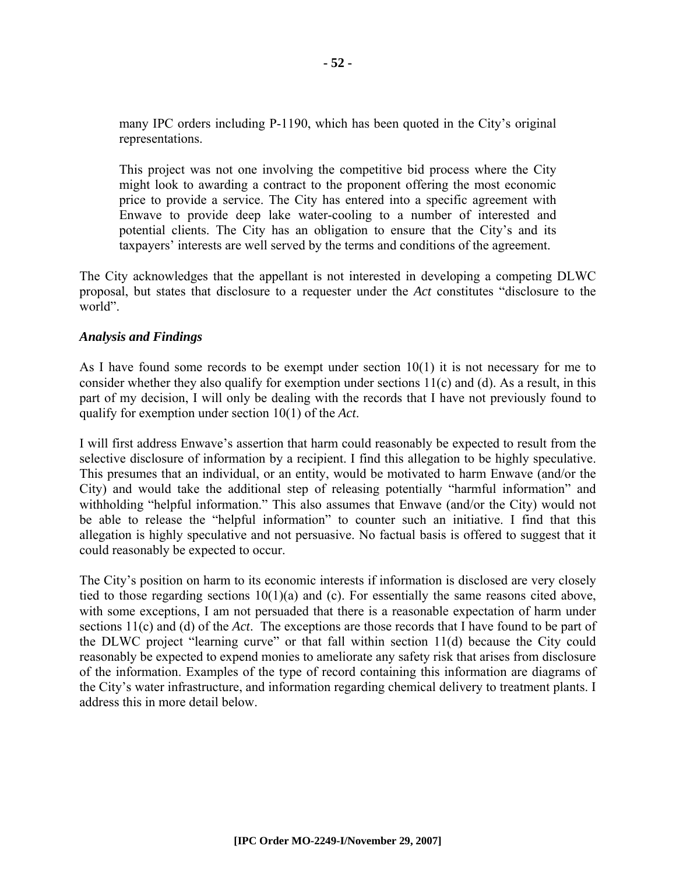many IPC orders including P-1190, which has been quoted in the City's original representations.

This project was not one involving the competitive bid process where the City might look to awarding a contract to the proponent offering the most economic price to provide a service. The City has entered into a specific agreement with Enwave to provide deep lake water-cooling to a number of interested and potential clients. The City has an obligation to ensure that the City's and its taxpayers' interests are well served by the terms and conditions of the agreement.

The City acknowledges that the appellant is not interested in developing a competing DLWC proposal, but states that disclosure to a requester under the *Act* constitutes "disclosure to the world".

#### *Analysis and Findings*

As I have found some records to be exempt under section  $10(1)$  it is not necessary for me to consider whether they also qualify for exemption under sections 11(c) and (d). As a result, in this part of my decision, I will only be dealing with the records that I have not previously found to qualify for exemption under section 10(1) of the *Act*.

I will first address Enwave's assertion that harm could reasonably be expected to result from the selective disclosure of information by a recipient. I find this allegation to be highly speculative. This presumes that an individual, or an entity, would be motivated to harm Enwave (and/or the City) and would take the additional step of releasing potentially "harmful information" and withholding "helpful information." This also assumes that Enwave (and/or the City) would not be able to release the "helpful information" to counter such an initiative. I find that this allegation is highly speculative and not persuasive. No factual basis is offered to suggest that it could reasonably be expected to occur.

The City's position on harm to its economic interests if information is disclosed are very closely tied to those regarding sections 10(1)(a) and (c). For essentially the same reasons cited above, with some exceptions, I am not persuaded that there is a reasonable expectation of harm under sections 11(c) and (d) of the *Act*. The exceptions are those records that I have found to be part of the DLWC project "learning curve" or that fall within section 11(d) because the City could reasonably be expected to expend monies to ameliorate any safety risk that arises from disclosure of the information. Examples of the type of record containing this information are diagrams of the City's water infrastructure, and information regarding chemical delivery to treatment plants. I address this in more detail below.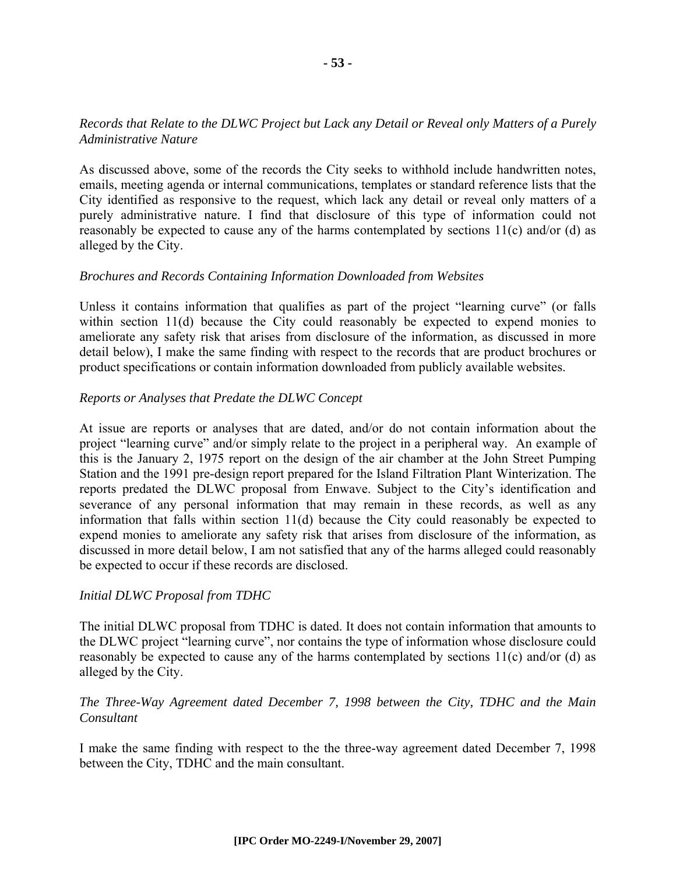#### *Records that Relate to the DLWC Project but Lack any Detail or Reveal only Matters of a Purely Administrative Nature*

As discussed above, some of the records the City seeks to withhold include handwritten notes, emails, meeting agenda or internal communications, templates or standard reference lists that the City identified as responsive to the request, which lack any detail or reveal only matters of a purely administrative nature. I find that disclosure of this type of information could not reasonably be expected to cause any of the harms contemplated by sections  $11(c)$  and/or (d) as alleged by the City.

#### *Brochures and Records Containing Information Downloaded from Websites*

Unless it contains information that qualifies as part of the project "learning curve" (or falls within section 11(d) because the City could reasonably be expected to expend monies to ameliorate any safety risk that arises from disclosure of the information, as discussed in more detail below), I make the same finding with respect to the records that are product brochures or product specifications or contain information downloaded from publicly available websites.

#### *Reports or Analyses that Predate the DLWC Concept*

At issue are reports or analyses that are dated, and/or do not contain information about the project "learning curve" and/or simply relate to the project in a peripheral way. An example of this is the January 2, 1975 report on the design of the air chamber at the John Street Pumping Station and the 1991 pre-design report prepared for the Island Filtration Plant Winterization. The reports predated the DLWC proposal from Enwave. Subject to the City's identification and severance of any personal information that may remain in these records, as well as any information that falls within section 11(d) because the City could reasonably be expected to expend monies to ameliorate any safety risk that arises from disclosure of the information, as discussed in more detail below, I am not satisfied that any of the harms alleged could reasonably be expected to occur if these records are disclosed.

#### *Initial DLWC Proposal from TDHC*

The initial DLWC proposal from TDHC is dated. It does not contain information that amounts to the DLWC project "learning curve", nor contains the type of information whose disclosure could reasonably be expected to cause any of the harms contemplated by sections 11(c) and/or (d) as alleged by the City.

#### *The Three-Way Agreement dated December 7, 1998 between the City, TDHC and the Main Consultant*

I make the same finding with respect to the the three-way agreement dated December 7, 1998 between the City, TDHC and the main consultant.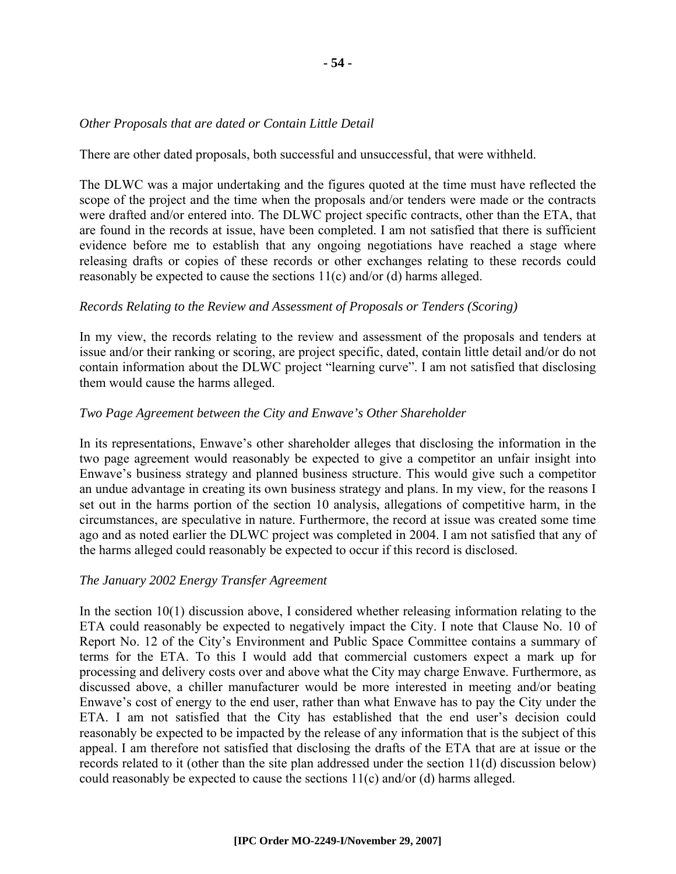#### *Other Proposals that are dated or Contain Little Detail*

There are other dated proposals, both successful and unsuccessful, that were withheld.

The DLWC was a major undertaking and the figures quoted at the time must have reflected the scope of the project and the time when the proposals and/or tenders were made or the contracts were drafted and/or entered into. The DLWC project specific contracts, other than the ETA, that are found in the records at issue, have been completed. I am not satisfied that there is sufficient evidence before me to establish that any ongoing negotiations have reached a stage where releasing drafts or copies of these records or other exchanges relating to these records could reasonably be expected to cause the sections 11(c) and/or (d) harms alleged.

#### *Records Relating to the Review and Assessment of Proposals or Tenders (Scoring)*

In my view, the records relating to the review and assessment of the proposals and tenders at issue and/or their ranking or scoring, are project specific, dated, contain little detail and/or do not contain information about the DLWC project "learning curve". I am not satisfied that disclosing them would cause the harms alleged.

#### *Two Page Agreement between the City and Enwave's Other Shareholder*

In its representations, Enwave's other shareholder alleges that disclosing the information in the two page agreement would reasonably be expected to give a competitor an unfair insight into Enwave's business strategy and planned business structure. This would give such a competitor an undue advantage in creating its own business strategy and plans. In my view, for the reasons I set out in the harms portion of the section 10 analysis, allegations of competitive harm, in the circumstances, are speculative in nature. Furthermore, the record at issue was created some time ago and as noted earlier the DLWC project was completed in 2004. I am not satisfied that any of the harms alleged could reasonably be expected to occur if this record is disclosed.

#### *The January 2002 Energy Transfer Agreement*

In the section  $10(1)$  discussion above, I considered whether releasing information relating to the ETA could reasonably be expected to negatively impact the City. I note that Clause No. 10 of Report No. 12 of the City's Environment and Public Space Committee contains a summary of terms for the ETA. To this I would add that commercial customers expect a mark up for processing and delivery costs over and above what the City may charge Enwave. Furthermore, as discussed above, a chiller manufacturer would be more interested in meeting and/or beating Enwave's cost of energy to the end user, rather than what Enwave has to pay the City under the ETA. I am not satisfied that the City has established that the end user's decision could reasonably be expected to be impacted by the release of any information that is the subject of this appeal. I am therefore not satisfied that disclosing the drafts of the ETA that are at issue or the records related to it (other than the site plan addressed under the section 11(d) discussion below) could reasonably be expected to cause the sections 11(c) and/or (d) harms alleged.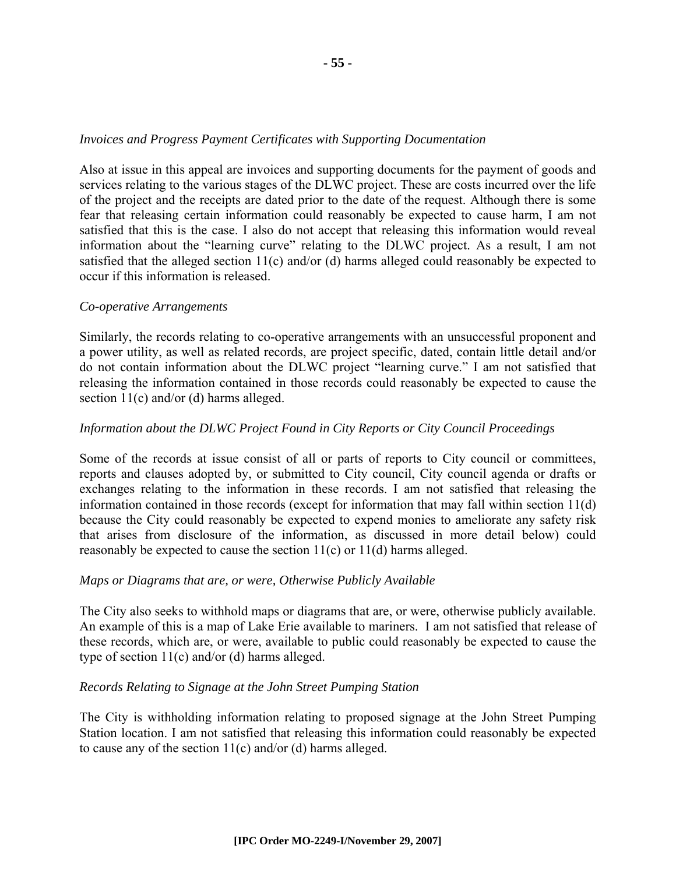#### *Invoices and Progress Payment Certificates with Supporting Documentation*

Also at issue in this appeal are invoices and supporting documents for the payment of goods and services relating to the various stages of the DLWC project. These are costs incurred over the life of the project and the receipts are dated prior to the date of the request. Although there is some fear that releasing certain information could reasonably be expected to cause harm, I am not satisfied that this is the case. I also do not accept that releasing this information would reveal information about the "learning curve" relating to the DLWC project. As a result, I am not satisfied that the alleged section 11(c) and/or (d) harms alleged could reasonably be expected to occur if this information is released.

#### *Co-operative Arrangements*

Similarly, the records relating to co-operative arrangements with an unsuccessful proponent and a power utility, as well as related records, are project specific, dated, contain little detail and/or do not contain information about the DLWC project "learning curve." I am not satisfied that releasing the information contained in those records could reasonably be expected to cause the section 11(c) and/or (d) harms alleged.

#### *Information about the DLWC Project Found in City Reports or City Council Proceedings*

Some of the records at issue consist of all or parts of reports to City council or committees, reports and clauses adopted by, or submitted to City council, City council agenda or drafts or exchanges relating to the information in these records. I am not satisfied that releasing the information contained in those records (except for information that may fall within section 11(d) because the City could reasonably be expected to expend monies to ameliorate any safety risk that arises from disclosure of the information, as discussed in more detail below) could reasonably be expected to cause the section 11(c) or 11(d) harms alleged.

#### *Maps or Diagrams that are, or were, Otherwise Publicly Available*

The City also seeks to withhold maps or diagrams that are, or were, otherwise publicly available. An example of this is a map of Lake Erie available to mariners. I am not satisfied that release of these records, which are, or were, available to public could reasonably be expected to cause the type of section 11(c) and/or (d) harms alleged.

#### *Records Relating to Signage at the John Street Pumping Station*

The City is withholding information relating to proposed signage at the John Street Pumping Station location. I am not satisfied that releasing this information could reasonably be expected to cause any of the section 11(c) and/or (d) harms alleged.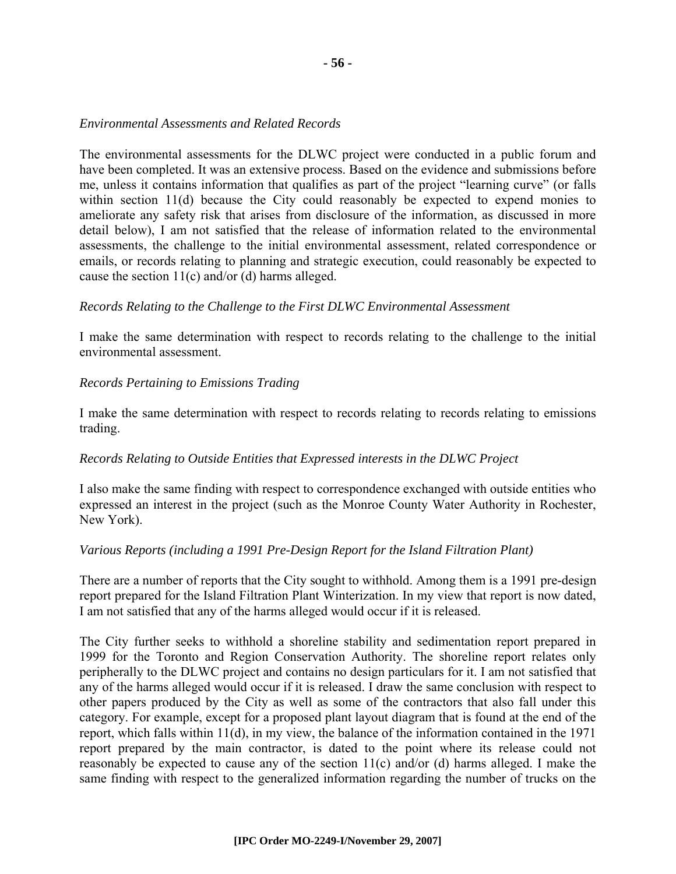#### *Environmental Assessments and Related Records*

The environmental assessments for the DLWC project were conducted in a public forum and have been completed. It was an extensive process. Based on the evidence and submissions before me, unless it contains information that qualifies as part of the project "learning curve" (or falls within section 11(d) because the City could reasonably be expected to expend monies to ameliorate any safety risk that arises from disclosure of the information, as discussed in more detail below), I am not satisfied that the release of information related to the environmental assessments, the challenge to the initial environmental assessment, related correspondence or emails, or records relating to planning and strategic execution, could reasonably be expected to cause the section  $11(c)$  and/or (d) harms alleged.

#### *Records Relating to the Challenge to the First DLWC Environmental Assessment*

I make the same determination with respect to records relating to the challenge to the initial environmental assessment.

#### *Records Pertaining to Emissions Trading*

I make the same determination with respect to records relating to records relating to emissions trading.

#### *Records Relating to Outside Entities that Expressed interests in the DLWC Project*

I also make the same finding with respect to correspondence exchanged with outside entities who expressed an interest in the project (such as the Monroe County Water Authority in Rochester, New York).

#### *Various Reports (including a 1991 Pre-Design Report for the Island Filtration Plant)*

There are a number of reports that the City sought to withhold. Among them is a 1991 pre-design report prepared for the Island Filtration Plant Winterization. In my view that report is now dated, I am not satisfied that any of the harms alleged would occur if it is released.

The City further seeks to withhold a shoreline stability and sedimentation report prepared in 1999 for the Toronto and Region Conservation Authority. The shoreline report relates only peripherally to the DLWC project and contains no design particulars for it. I am not satisfied that any of the harms alleged would occur if it is released. I draw the same conclusion with respect to other papers produced by the City as well as some of the contractors that also fall under this category. For example, except for a proposed plant layout diagram that is found at the end of the report, which falls within 11(d), in my view, the balance of the information contained in the 1971 report prepared by the main contractor, is dated to the point where its release could not reasonably be expected to cause any of the section  $11(c)$  and/or (d) harms alleged. I make the same finding with respect to the generalized information regarding the number of trucks on the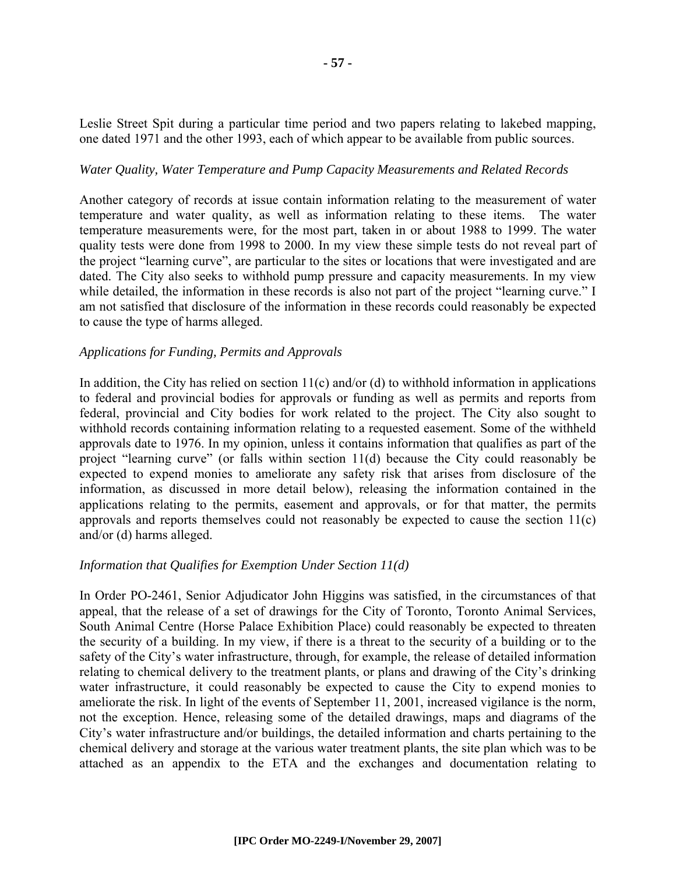Leslie Street Spit during a particular time period and two papers relating to lakebed mapping, one dated 1971 and the other 1993, each of which appear to be available from public sources.

#### *Water Quality, Water Temperature and Pump Capacity Measurements and Related Records*

Another category of records at issue contain information relating to the measurement of water temperature and water quality, as well as information relating to these items. The water temperature measurements were, for the most part, taken in or about 1988 to 1999. The water quality tests were done from 1998 to 2000. In my view these simple tests do not reveal part of the project "learning curve", are particular to the sites or locations that were investigated and are dated. The City also seeks to withhold pump pressure and capacity measurements. In my view while detailed, the information in these records is also not part of the project "learning curve." I am not satisfied that disclosure of the information in these records could reasonably be expected to cause the type of harms alleged.

#### *Applications for Funding, Permits and Approvals*

In addition, the City has relied on section  $11(c)$  and/or (d) to withhold information in applications to federal and provincial bodies for approvals or funding as well as permits and reports from federal, provincial and City bodies for work related to the project. The City also sought to withhold records containing information relating to a requested easement. Some of the withheld approvals date to 1976. In my opinion, unless it contains information that qualifies as part of the project "learning curve" (or falls within section 11(d) because the City could reasonably be expected to expend monies to ameliorate any safety risk that arises from disclosure of the information, as discussed in more detail below), releasing the information contained in the applications relating to the permits, easement and approvals, or for that matter, the permits approvals and reports themselves could not reasonably be expected to cause the section 11(c) and/or (d) harms alleged.

#### *Information that Qualifies for Exemption Under Section 11(d)*

In Order PO-2461, Senior Adjudicator John Higgins was satisfied, in the circumstances of that appeal, that the release of a set of drawings for the City of Toronto, Toronto Animal Services, South Animal Centre (Horse Palace Exhibition Place) could reasonably be expected to threaten the security of a building. In my view, if there is a threat to the security of a building or to the safety of the City's water infrastructure, through, for example, the release of detailed information relating to chemical delivery to the treatment plants, or plans and drawing of the City's drinking water infrastructure, it could reasonably be expected to cause the City to expend monies to ameliorate the risk. In light of the events of September 11, 2001, increased vigilance is the norm, not the exception. Hence, releasing some of the detailed drawings, maps and diagrams of the City's water infrastructure and/or buildings, the detailed information and charts pertaining to the chemical delivery and storage at the various water treatment plants, the site plan which was to be attached as an appendix to the ETA and the exchanges and documentation relating to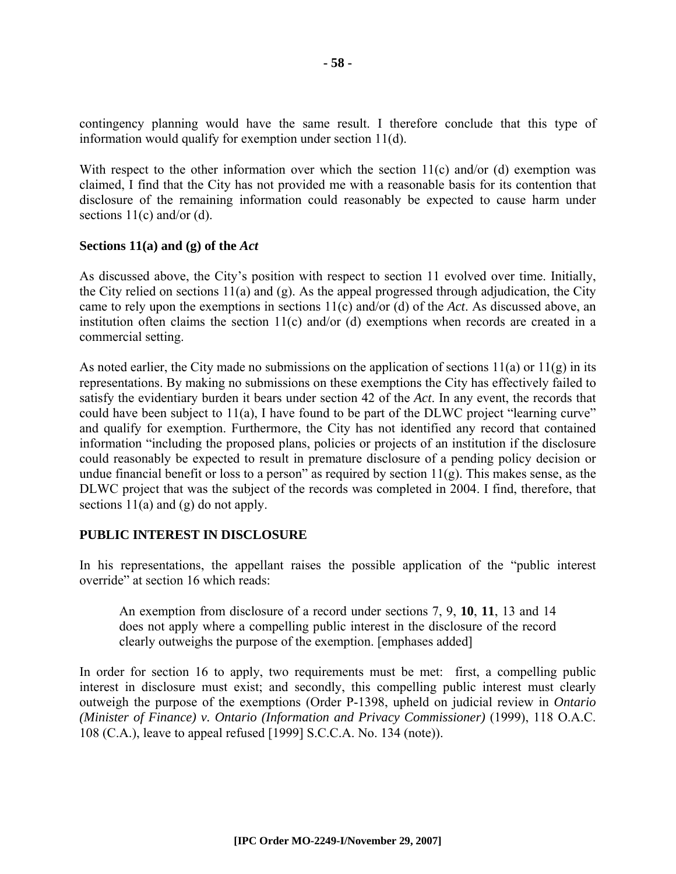contingency planning would have the same result. I therefore conclude that this type of information would qualify for exemption under section 11(d).

With respect to the other information over which the section  $11(c)$  and/or (d) exemption was claimed, I find that the City has not provided me with a reasonable basis for its contention that disclosure of the remaining information could reasonably be expected to cause harm under sections  $11(c)$  and/or (d).

#### **Sections 11(a) and (g) of the** *Act*

As discussed above, the City's position with respect to section 11 evolved over time. Initially, the City relied on sections 11(a) and (g). As the appeal progressed through adjudication, the City came to rely upon the exemptions in sections 11(c) and/or (d) of the *Act*. As discussed above, an institution often claims the section 11(c) and/or (d) exemptions when records are created in a commercial setting.

As noted earlier, the City made no submissions on the application of sections  $11(a)$  or  $11(g)$  in its representations. By making no submissions on these exemptions the City has effectively failed to satisfy the evidentiary burden it bears under section 42 of the *Act*. In any event, the records that could have been subject to 11(a), I have found to be part of the DLWC project "learning curve" and qualify for exemption. Furthermore, the City has not identified any record that contained information "including the proposed plans, policies or projects of an institution if the disclosure could reasonably be expected to result in premature disclosure of a pending policy decision or undue financial benefit or loss to a person" as required by section  $11(g)$ . This makes sense, as the DLWC project that was the subject of the records was completed in 2004. I find, therefore, that sections  $11(a)$  and  $(g)$  do not apply.

#### **PUBLIC INTEREST IN DISCLOSURE**

In his representations, the appellant raises the possible application of the "public interest override" at section 16 which reads:

An exemption from disclosure of a record under sections 7, 9, **10**, **11**, 13 and 14 does not apply where a compelling public interest in the disclosure of the record clearly outweighs the purpose of the exemption. [emphases added]

In order for section 16 to apply, two requirements must be met: first, a compelling public interest in disclosure must exist; and secondly, this compelling public interest must clearly outweigh the purpose of the exemptions (Order P-1398, upheld on judicial review in *Ontario (Minister of Finance) v. Ontario (Information and Privacy Commissioner)* (1999), 118 O.A.C. 108 (C.A.), leave to appeal refused [1999] S.C.C.A. No. 134 (note)).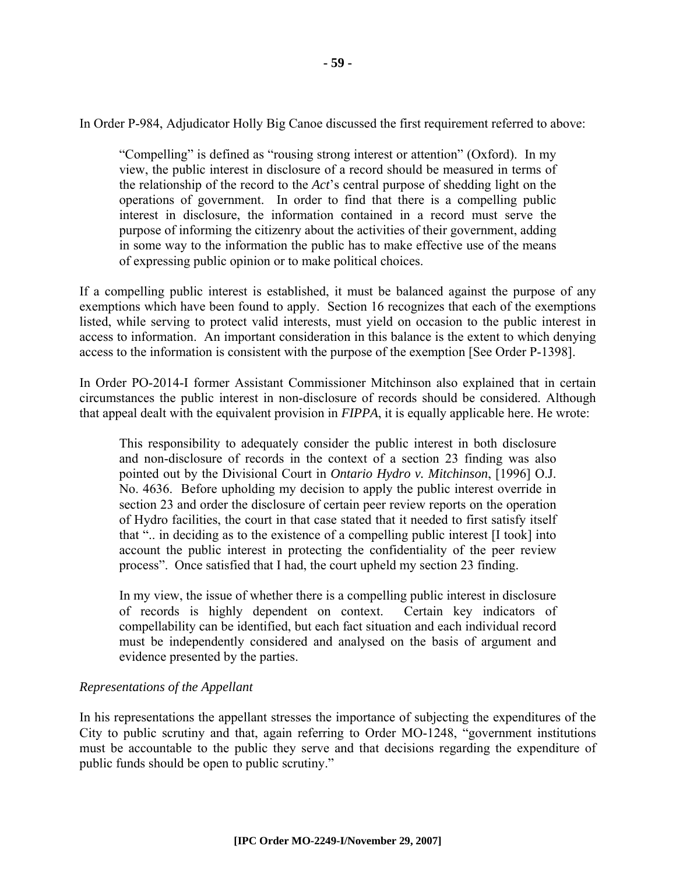In Order P-984, Adjudicator Holly Big Canoe discussed the first requirement referred to above:

"Compelling" is defined as "rousing strong interest or attention" (Oxford). In my view, the public interest in disclosure of a record should be measured in terms of the relationship of the record to the *Act*'s central purpose of shedding light on the operations of government. In order to find that there is a compelling public interest in disclosure, the information contained in a record must serve the purpose of informing the citizenry about the activities of their government, adding in some way to the information the public has to make effective use of the means of expressing public opinion or to make political choices.

If a compelling public interest is established, it must be balanced against the purpose of any exemptions which have been found to apply. Section 16 recognizes that each of the exemptions listed, while serving to protect valid interests, must yield on occasion to the public interest in access to information. An important consideration in this balance is the extent to which denying access to the information is consistent with the purpose of the exemption [See Order P-1398].

In Order PO-2014-I former Assistant Commissioner Mitchinson also explained that in certain circumstances the public interest in non-disclosure of records should be considered. Although that appeal dealt with the equivalent provision in *FIPPA*, it is equally applicable here. He wrote:

This responsibility to adequately consider the public interest in both disclosure and non-disclosure of records in the context of a section 23 finding was also pointed out by the Divisional Court in *Ontario Hydro v. Mitchinson*, [1996] O.J. No. 4636. Before upholding my decision to apply the public interest override in section 23 and order the disclosure of certain peer review reports on the operation of Hydro facilities, the court in that case stated that it needed to first satisfy itself that ".. in deciding as to the existence of a compelling public interest [I took] into account the public interest in protecting the confidentiality of the peer review process". Once satisfied that I had, the court upheld my section 23 finding.

In my view, the issue of whether there is a compelling public interest in disclosure of records is highly dependent on context. Certain key indicators of compellability can be identified, but each fact situation and each individual record must be independently considered and analysed on the basis of argument and evidence presented by the parties.

#### *Representations of the Appellant*

In his representations the appellant stresses the importance of subjecting the expenditures of the City to public scrutiny and that, again referring to Order MO-1248, "government institutions must be accountable to the public they serve and that decisions regarding the expenditure of public funds should be open to public scrutiny."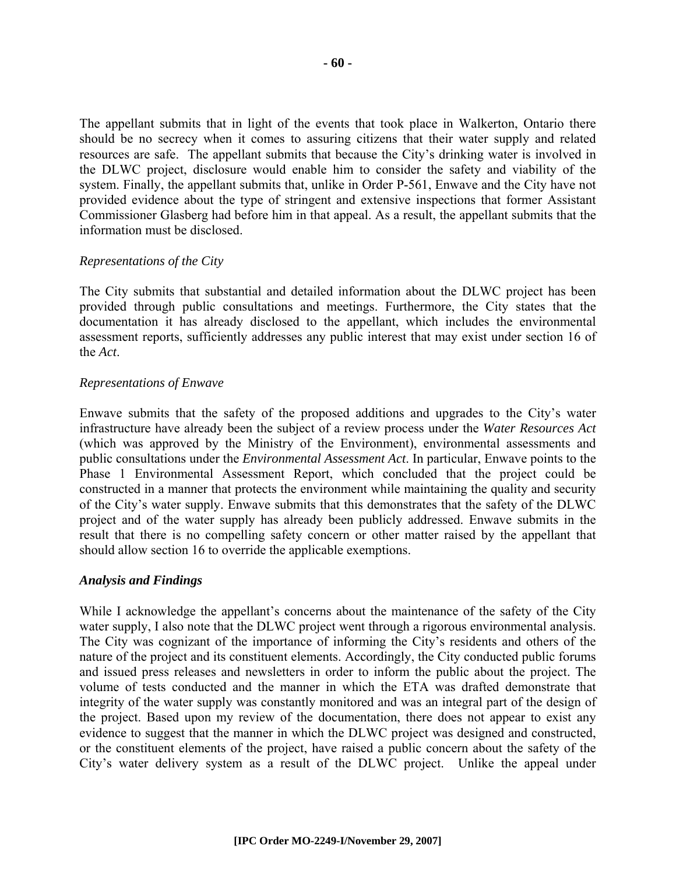The appellant submits that in light of the events that took place in Walkerton, Ontario there should be no secrecy when it comes to assuring citizens that their water supply and related resources are safe. The appellant submits that because the City's drinking water is involved in the DLWC project, disclosure would enable him to consider the safety and viability of the system. Finally, the appellant submits that, unlike in Order P-561, Enwave and the City have not provided evidence about the type of stringent and extensive inspections that former Assistant Commissioner Glasberg had before him in that appeal. As a result, the appellant submits that the information must be disclosed.

#### *Representations of the City*

The City submits that substantial and detailed information about the DLWC project has been provided through public consultations and meetings. Furthermore, the City states that the documentation it has already disclosed to the appellant, which includes the environmental assessment reports, sufficiently addresses any public interest that may exist under section 16 of the *Act*.

#### *Representations of Enwave*

Enwave submits that the safety of the proposed additions and upgrades to the City's water infrastructure have already been the subject of a review process under the *Water Resources Act* (which was approved by the Ministry of the Environment), environmental assessments and public consultations under the *Environmental Assessment Act*. In particular, Enwave points to the Phase 1 Environmental Assessment Report, which concluded that the project could be constructed in a manner that protects the environment while maintaining the quality and security of the City's water supply. Enwave submits that this demonstrates that the safety of the DLWC project and of the water supply has already been publicly addressed. Enwave submits in the result that there is no compelling safety concern or other matter raised by the appellant that should allow section 16 to override the applicable exemptions.

#### *Analysis and Findings*

While I acknowledge the appellant's concerns about the maintenance of the safety of the City water supply, I also note that the DLWC project went through a rigorous environmental analysis. The City was cognizant of the importance of informing the City's residents and others of the nature of the project and its constituent elements. Accordingly, the City conducted public forums and issued press releases and newsletters in order to inform the public about the project. The volume of tests conducted and the manner in which the ETA was drafted demonstrate that integrity of the water supply was constantly monitored and was an integral part of the design of the project. Based upon my review of the documentation, there does not appear to exist any evidence to suggest that the manner in which the DLWC project was designed and constructed, or the constituent elements of the project, have raised a public concern about the safety of the City's water delivery system as a result of the DLWC project. Unlike the appeal under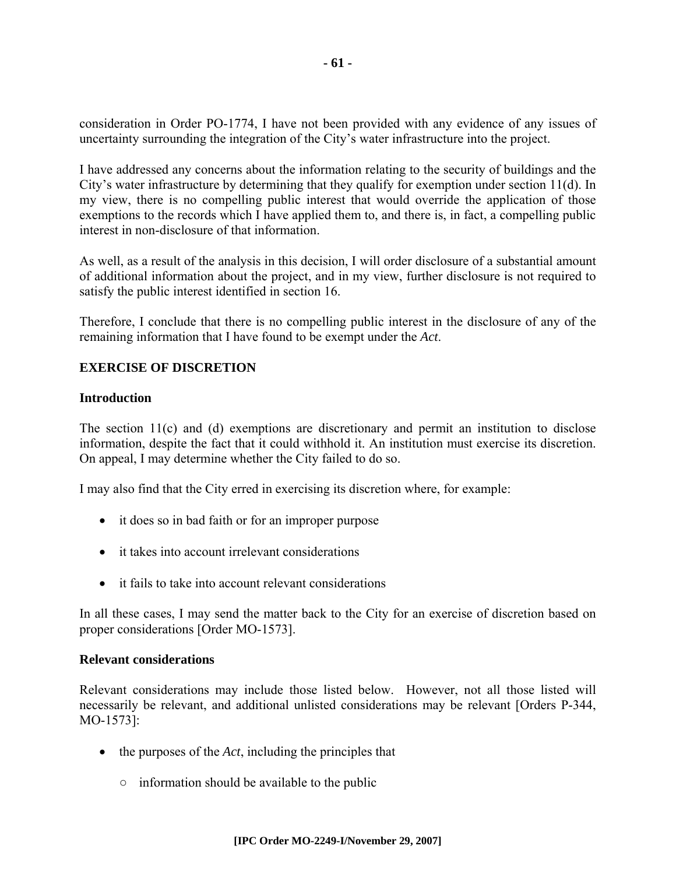consideration in Order PO-1774, I have not been provided with any evidence of any issues of uncertainty surrounding the integration of the City's water infrastructure into the project.

I have addressed any concerns about the information relating to the security of buildings and the City's water infrastructure by determining that they qualify for exemption under section 11(d). In my view, there is no compelling public interest that would override the application of those exemptions to the records which I have applied them to, and there is, in fact, a compelling public interest in non-disclosure of that information.

As well, as a result of the analysis in this decision, I will order disclosure of a substantial amount of additional information about the project, and in my view, further disclosure is not required to satisfy the public interest identified in section 16.

Therefore, I conclude that there is no compelling public interest in the disclosure of any of the remaining information that I have found to be exempt under the *Act*.

#### **EXERCISE OF DISCRETION**

#### **Introduction**

The section 11(c) and (d) exemptions are discretionary and permit an institution to disclose information, despite the fact that it could withhold it. An institution must exercise its discretion. On appeal, I may determine whether the City failed to do so.

I may also find that the City erred in exercising its discretion where, for example:

- it does so in bad faith or for an improper purpose
- it takes into account irrelevant considerations
- it fails to take into account relevant considerations

In all these cases, I may send the matter back to the City for an exercise of discretion based on proper considerations [Order MO-1573].

#### **Relevant considerations**

Relevant considerations may include those listed below. However, not all those listed will necessarily be relevant, and additional unlisted considerations may be relevant [Orders P-344, MO-1573]:

- the purposes of the *Act*, including the principles that
	- $\circ$  information should be available to the public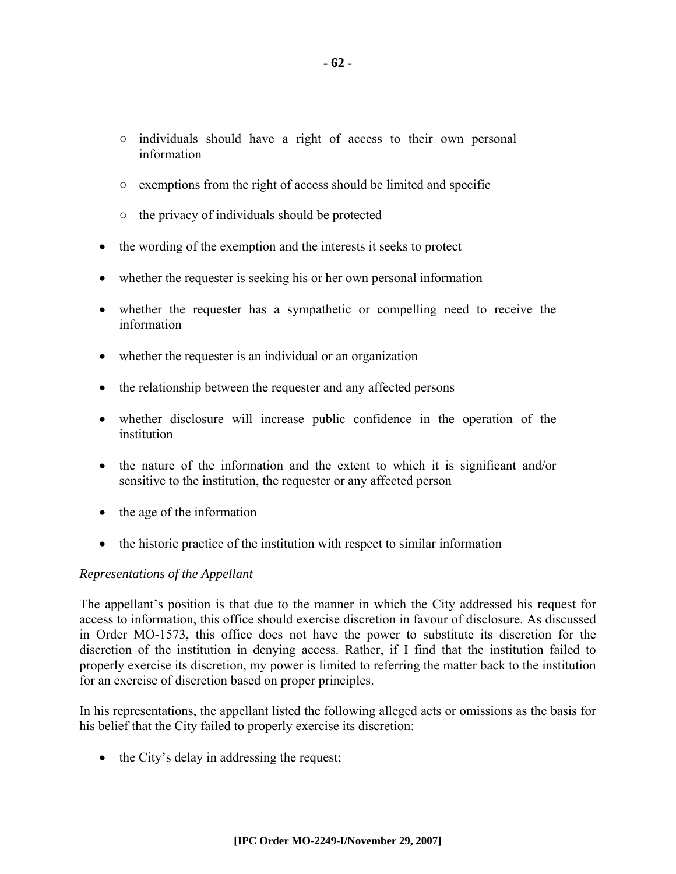- individuals should have a right of access to their own personal information
- exemptions from the right of access should be limited and specific
- $\circ$  the privacy of individuals should be protected
- the wording of the exemption and the interests it seeks to protect
- whether the requester is seeking his or her own personal information
- whether the requester has a sympathetic or compelling need to receive the information
- whether the requester is an individual or an organization
- the relationship between the requester and any affected persons
- whether disclosure will increase public confidence in the operation of the institution
- the nature of the information and the extent to which it is significant and/or sensitive to the institution, the requester or any affected person
- the age of the information
- the historic practice of the institution with respect to similar information

#### *Representations of the Appellant*

The appellant's position is that due to the manner in which the City addressed his request for access to information, this office should exercise discretion in favour of disclosure. As discussed in Order MO-1573, this office does not have the power to substitute its discretion for the discretion of the institution in denying access. Rather, if I find that the institution failed to properly exercise its discretion, my power is limited to referring the matter back to the institution for an exercise of discretion based on proper principles.

In his representations, the appellant listed the following alleged acts or omissions as the basis for his belief that the City failed to properly exercise its discretion:

• the City's delay in addressing the request;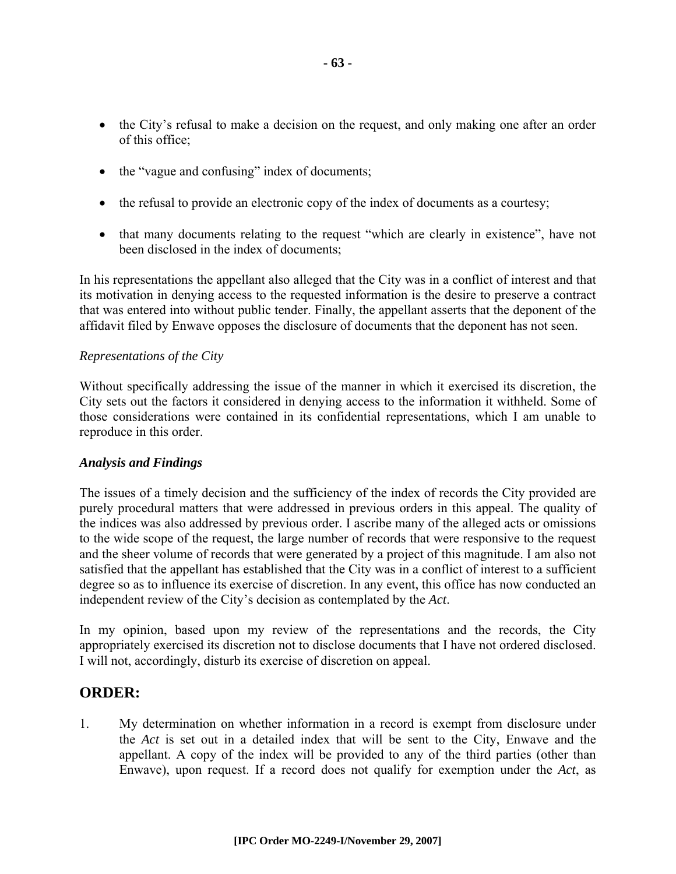- the City's refusal to make a decision on the request, and only making one after an order of this office;
- the "vague and confusing" index of documents;
- the refusal to provide an electronic copy of the index of documents as a courtesy;
- that many documents relating to the request "which are clearly in existence", have not been disclosed in the index of documents;

In his representations the appellant also alleged that the City was in a conflict of interest and that its motivation in denying access to the requested information is the desire to preserve a contract that was entered into without public tender. Finally, the appellant asserts that the deponent of the affidavit filed by Enwave opposes the disclosure of documents that the deponent has not seen.

#### *Representations of the City*

Without specifically addressing the issue of the manner in which it exercised its discretion, the City sets out the factors it considered in denying access to the information it withheld. Some of those considerations were contained in its confidential representations, which I am unable to reproduce in this order.

#### *Analysis and Findings*

The issues of a timely decision and the sufficiency of the index of records the City provided are purely procedural matters that were addressed in previous orders in this appeal. The quality of the indices was also addressed by previous order. I ascribe many of the alleged acts or omissions to the wide scope of the request, the large number of records that were responsive to the request and the sheer volume of records that were generated by a project of this magnitude. I am also not satisfied that the appellant has established that the City was in a conflict of interest to a sufficient degree so as to influence its exercise of discretion. In any event, this office has now conducted an independent review of the City's decision as contemplated by the *Act*.

In my opinion, based upon my review of the representations and the records, the City appropriately exercised its discretion not to disclose documents that I have not ordered disclosed. I will not, accordingly, disturb its exercise of discretion on appeal.

#### **ORDER:**

1. My determination on whether information in a record is exempt from disclosure under the *Act* is set out in a detailed index that will be sent to the City, Enwave and the appellant. A copy of the index will be provided to any of the third parties (other than Enwave), upon request. If a record does not qualify for exemption under the *Act*, as